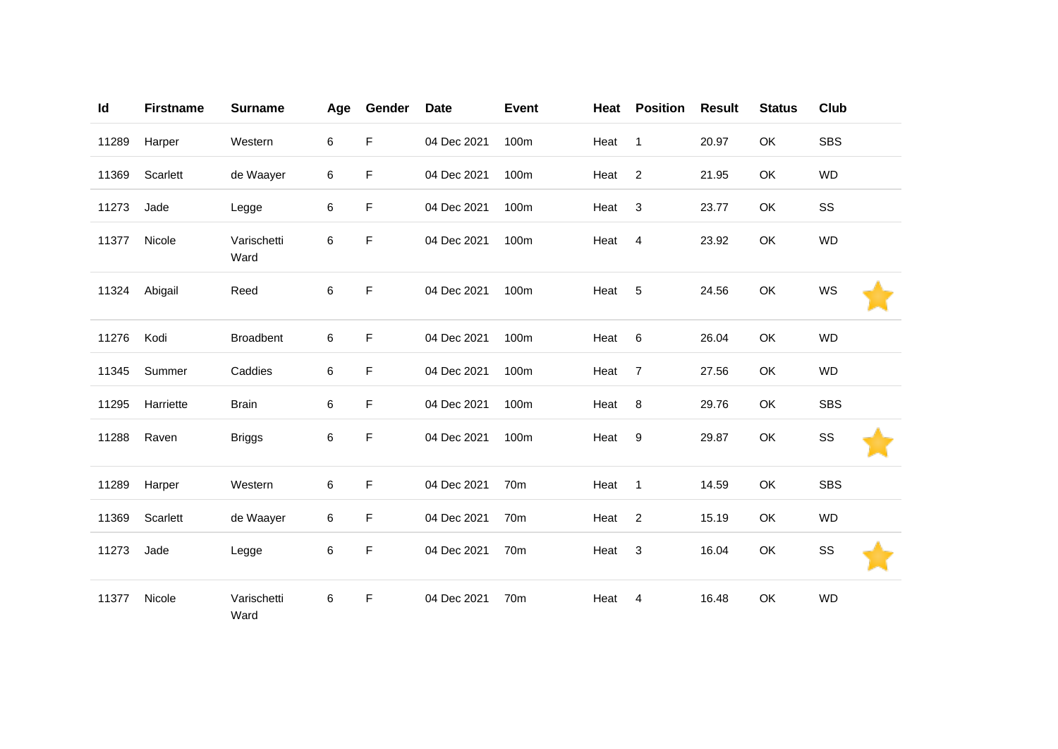| Id    | <b>Firstname</b> | <b>Surname</b>      | Age | Gender | <b>Date</b> | <b>Event</b> | Heat | <b>Position</b> | <b>Result</b> | <b>Status</b> | <b>Club</b> |
|-------|------------------|---------------------|-----|--------|-------------|--------------|------|-----------------|---------------|---------------|-------------|
| 11289 | Harper           | Western             | 6   | F      | 04 Dec 2021 | 100m         | Heat | $\mathbf{1}$    | 20.97         | OK            | <b>SBS</b>  |
| 11369 | Scarlett         | de Waayer           | 6   | F      | 04 Dec 2021 | 100m         | Heat | $\overline{2}$  | 21.95         | OK            | <b>WD</b>   |
| 11273 | Jade             | Legge               | 6   | F      | 04 Dec 2021 | 100m         | Heat | 3               | 23.77         | OK            | SS          |
| 11377 | Nicole           | Varischetti<br>Ward | 6   | F      | 04 Dec 2021 | 100m         | Heat | 4               | 23.92         | OK            | <b>WD</b>   |
| 11324 | Abigail          | Reed                | 6   | F      | 04 Dec 2021 | 100m         | Heat | 5               | 24.56         | OK            | WS          |
| 11276 | Kodi             | <b>Broadbent</b>    | 6   | F      | 04 Dec 2021 | 100m         | Heat | 6               | 26.04         | OK            | <b>WD</b>   |
| 11345 | Summer           | Caddies             | 6   | F      | 04 Dec 2021 | 100m         | Heat | $\overline{7}$  | 27.56         | OK            | <b>WD</b>   |
| 11295 | Harriette        | <b>Brain</b>        | 6   | F      | 04 Dec 2021 | 100m         | Heat | 8               | 29.76         | OK            | <b>SBS</b>  |
| 11288 | Raven            | <b>Briggs</b>       | 6   | F      | 04 Dec 2021 | 100m         | Heat | $9\,$           | 29.87         | OK            | SS          |
| 11289 | Harper           | Western             | 6   | F      | 04 Dec 2021 | 70m          | Heat | $\overline{1}$  | 14.59         | OK            | <b>SBS</b>  |
| 11369 | Scarlett         | de Waayer           | 6   | F      | 04 Dec 2021 | 70m          | Heat | $\overline{2}$  | 15.19         | OK            | <b>WD</b>   |
| 11273 | Jade             | Legge               | 6   | F      | 04 Dec 2021 | 70m          | Heat | 3               | 16.04         | OK            | SS          |
| 11377 | Nicole           | Varischetti<br>Ward | 6   | F      | 04 Dec 2021 | 70m          | Heat | 4               | 16.48         | OK            | <b>WD</b>   |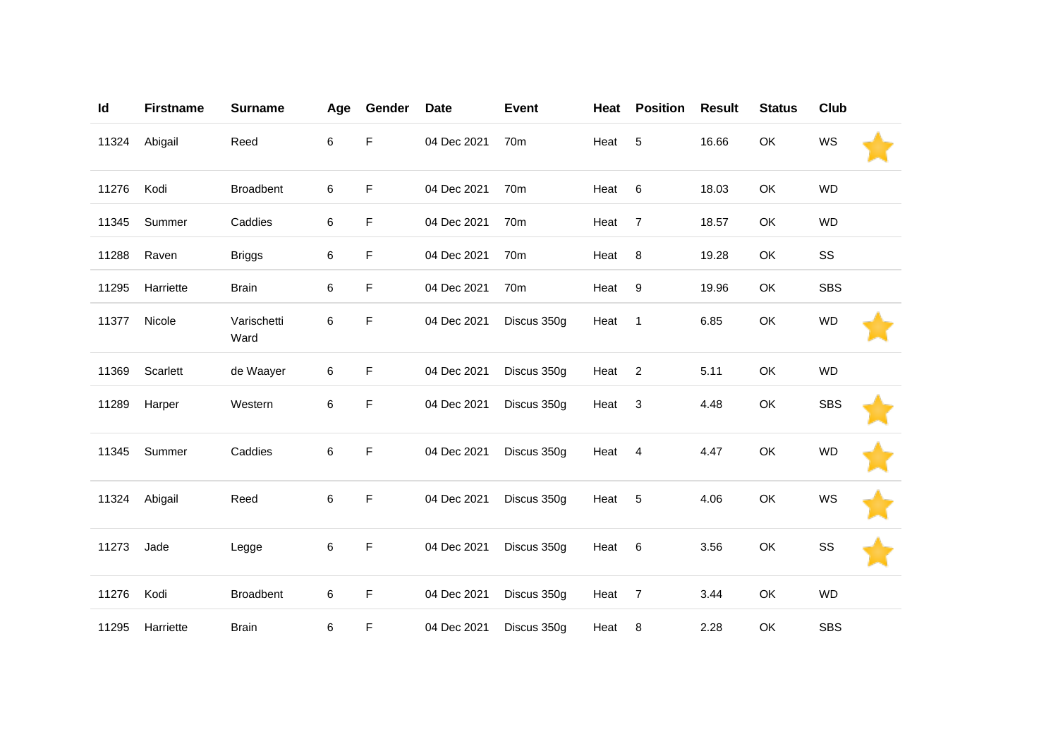| Id    | <b>Firstname</b> | <b>Surname</b>      | Age | Gender | <b>Date</b> | <b>Event</b>    | Heat | <b>Position</b> | <b>Result</b> | <b>Status</b> | <b>Club</b> |  |
|-------|------------------|---------------------|-----|--------|-------------|-----------------|------|-----------------|---------------|---------------|-------------|--|
| 11324 | Abigail          | Reed                | 6   | F      | 04 Dec 2021 | 70m             | Heat | $\sqrt{5}$      | 16.66         | OK            | WS          |  |
| 11276 | Kodi             | <b>Broadbent</b>    | 6   | F      | 04 Dec 2021 | 70 <sub>m</sub> | Heat | 6               | 18.03         | OK            | <b>WD</b>   |  |
| 11345 | Summer           | Caddies             | 6   | F      | 04 Dec 2021 | 70m             | Heat | $\overline{7}$  | 18.57         | OK            | <b>WD</b>   |  |
| 11288 | Raven            | <b>Briggs</b>       | 6   | F      | 04 Dec 2021 | 70 <sub>m</sub> | Heat | 8               | 19.28         | OK            | SS          |  |
| 11295 | Harriette        | <b>Brain</b>        | 6   | F      | 04 Dec 2021 | 70 <sub>m</sub> | Heat | 9               | 19.96         | OK            | <b>SBS</b>  |  |
| 11377 | Nicole           | Varischetti<br>Ward | 6   | F      | 04 Dec 2021 | Discus 350g     | Heat | $\mathbf{1}$    | 6.85          | OK            | <b>WD</b>   |  |
| 11369 | Scarlett         | de Waayer           | 6   | F      | 04 Dec 2021 | Discus 350g     | Heat | $\overline{2}$  | 5.11          | OK            | <b>WD</b>   |  |
| 11289 | Harper           | Western             | 6   | F      | 04 Dec 2021 | Discus 350g     | Heat | 3               | 4.48          | OK            | <b>SBS</b>  |  |
| 11345 | Summer           | Caddies             | 6   | F      | 04 Dec 2021 | Discus 350g     | Heat | 4               | 4.47          | OK            | <b>WD</b>   |  |
| 11324 | Abigail          | Reed                | 6   | F      | 04 Dec 2021 | Discus 350g     | Heat | 5               | 4.06          | OK            | WS          |  |
| 11273 | Jade             | Legge               | 6   | F      | 04 Dec 2021 | Discus 350g     | Heat | 6               | 3.56          | OK            | SS          |  |
| 11276 | Kodi             | <b>Broadbent</b>    | 6   | F      | 04 Dec 2021 | Discus 350g     | Heat | $\overline{7}$  | 3.44          | OK            | <b>WD</b>   |  |
| 11295 | Harriette        | <b>Brain</b>        | 6   | F      | 04 Dec 2021 | Discus 350g     | Heat | 8               | 2.28          | OK            | <b>SBS</b>  |  |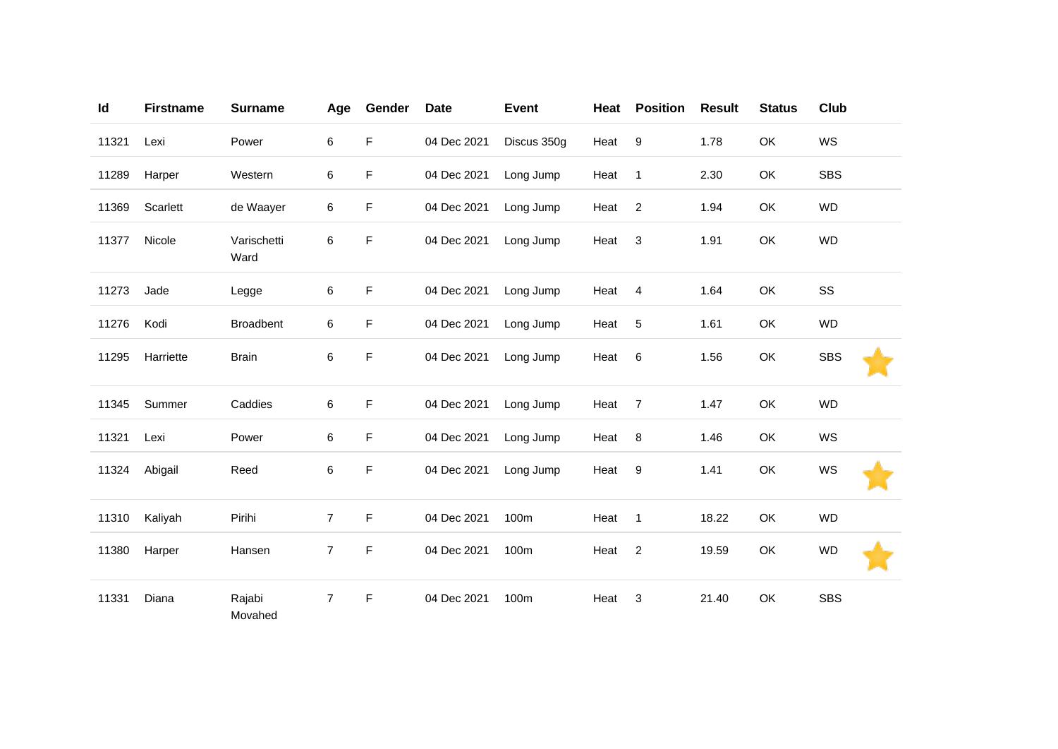| Id    | <b>Firstname</b> | <b>Surname</b>      | Age            | Gender | <b>Date</b> | <b>Event</b> | Heat | <b>Position</b> | <b>Result</b> | <b>Status</b> | <b>Club</b> |
|-------|------------------|---------------------|----------------|--------|-------------|--------------|------|-----------------|---------------|---------------|-------------|
| 11321 | Lexi             | Power               | 6              | F      | 04 Dec 2021 | Discus 350g  | Heat | 9               | 1.78          | OK            | WS          |
| 11289 | Harper           | Western             | 6              | F      | 04 Dec 2021 | Long Jump    | Heat | $\mathbf{1}$    | 2.30          | OK            | <b>SBS</b>  |
| 11369 | Scarlett         | de Waayer           | 6              | F      | 04 Dec 2021 | Long Jump    | Heat | $\overline{2}$  | 1.94          | OK            | <b>WD</b>   |
| 11377 | Nicole           | Varischetti<br>Ward | 6              | F      | 04 Dec 2021 | Long Jump    | Heat | 3               | 1.91          | OK            | <b>WD</b>   |
| 11273 | Jade             | Legge               | 6              | F      | 04 Dec 2021 | Long Jump    | Heat | $\overline{4}$  | 1.64          | OK            | SS          |
| 11276 | Kodi             | <b>Broadbent</b>    | 6              | F      | 04 Dec 2021 | Long Jump    | Heat | 5               | 1.61          | OK            | <b>WD</b>   |
| 11295 | Harriette        | <b>Brain</b>        | 6              | F      | 04 Dec 2021 | Long Jump    | Heat | 6               | 1.56          | OK            | <b>SBS</b>  |
| 11345 | Summer           | Caddies             | 6              | F      | 04 Dec 2021 | Long Jump    | Heat | $\overline{7}$  | 1.47          | OK            | <b>WD</b>   |
| 11321 | Lexi             | Power               | 6              | F      | 04 Dec 2021 | Long Jump    | Heat | 8               | 1.46          | OK            | WS          |
| 11324 | Abigail          | Reed                | 6              | F      | 04 Dec 2021 | Long Jump    | Heat | 9               | 1.41          | OK            | WS          |
| 11310 | Kaliyah          | Pirihi              | $\overline{7}$ | F      | 04 Dec 2021 | 100m         | Heat | $\mathbf{1}$    | 18.22         | OK            | <b>WD</b>   |
| 11380 | Harper           | Hansen              | $\overline{7}$ | F      | 04 Dec 2021 | 100m         | Heat | $\overline{2}$  | 19.59         | OK            | <b>WD</b>   |
| 11331 | Diana            | Rajabi<br>Movahed   | $\overline{7}$ | F      | 04 Dec 2021 | 100m         | Heat | 3               | 21.40         | OK            | <b>SBS</b>  |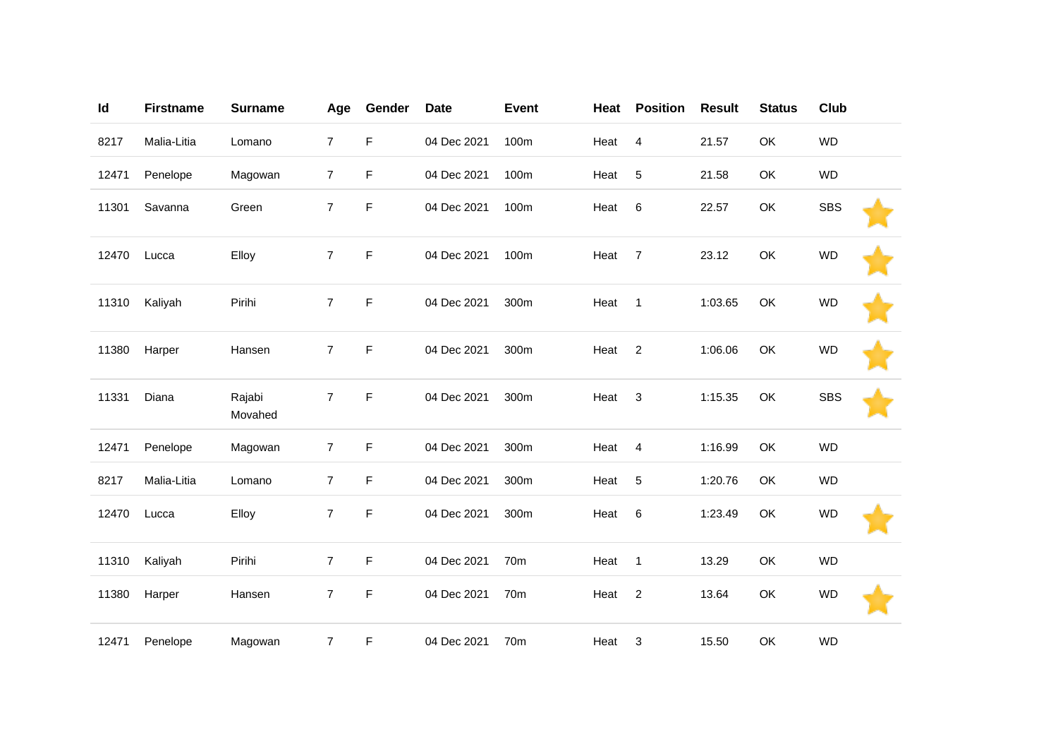| Id    | <b>Firstname</b> | <b>Surname</b>    | Age            | Gender      | <b>Date</b> | <b>Event</b>    | Heat | <b>Position</b> | <b>Result</b> | <b>Status</b> | Club       |  |
|-------|------------------|-------------------|----------------|-------------|-------------|-----------------|------|-----------------|---------------|---------------|------------|--|
| 8217  | Malia-Litia      | Lomano            | $\overline{7}$ | $\mathsf F$ | 04 Dec 2021 | 100m            | Heat | $\overline{4}$  | 21.57         | OK            | <b>WD</b>  |  |
| 12471 | Penelope         | Magowan           | $\overline{7}$ | F           | 04 Dec 2021 | 100m            | Heat | 5               | 21.58         | OK            | <b>WD</b>  |  |
| 11301 | Savanna          | Green             | $\overline{7}$ | $\mathsf F$ | 04 Dec 2021 | 100m            | Heat | 6               | 22.57         | OK            | <b>SBS</b> |  |
| 12470 | Lucca            | Elloy             | $\overline{7}$ | $\mathsf F$ | 04 Dec 2021 | 100m            | Heat | $\overline{7}$  | 23.12         | OK            | <b>WD</b>  |  |
| 11310 | Kaliyah          | Pirihi            | $\overline{7}$ | F           | 04 Dec 2021 | 300m            | Heat | $\mathbf{1}$    | 1:03.65       | OK            | <b>WD</b>  |  |
| 11380 | Harper           | Hansen            | $\overline{7}$ | $\mathsf F$ | 04 Dec 2021 | 300m            | Heat | $\overline{2}$  | 1:06.06       | OK            | <b>WD</b>  |  |
| 11331 | Diana            | Rajabi<br>Movahed | $\overline{7}$ | F           | 04 Dec 2021 | 300m            | Heat | 3               | 1:15.35       | OK            | <b>SBS</b> |  |
| 12471 | Penelope         | Magowan           | $\overline{7}$ | F           | 04 Dec 2021 | 300m            | Heat | $\overline{4}$  | 1:16.99       | OK            | <b>WD</b>  |  |
| 8217  | Malia-Litia      | Lomano            | $\overline{7}$ | F           | 04 Dec 2021 | 300m            | Heat | 5               | 1:20.76       | OK            | <b>WD</b>  |  |
| 12470 | Lucca            | Elloy             | 7              | F           | 04 Dec 2021 | 300m            | Heat | $\,6$           | 1:23.49       | OK            | <b>WD</b>  |  |
| 11310 | Kaliyah          | Pirihi            | $\overline{7}$ | F           | 04 Dec 2021 | 70 <sub>m</sub> | Heat | $\overline{1}$  | 13.29         | OK            | <b>WD</b>  |  |
| 11380 | Harper           | Hansen            | 7              | F           | 04 Dec 2021 | 70m             | Heat | $\overline{c}$  | 13.64         | OK            | <b>WD</b>  |  |
| 12471 | Penelope         | Magowan           | $\overline{7}$ | F           | 04 Dec 2021 | 70m             | Heat | 3               | 15.50         | OK            | <b>WD</b>  |  |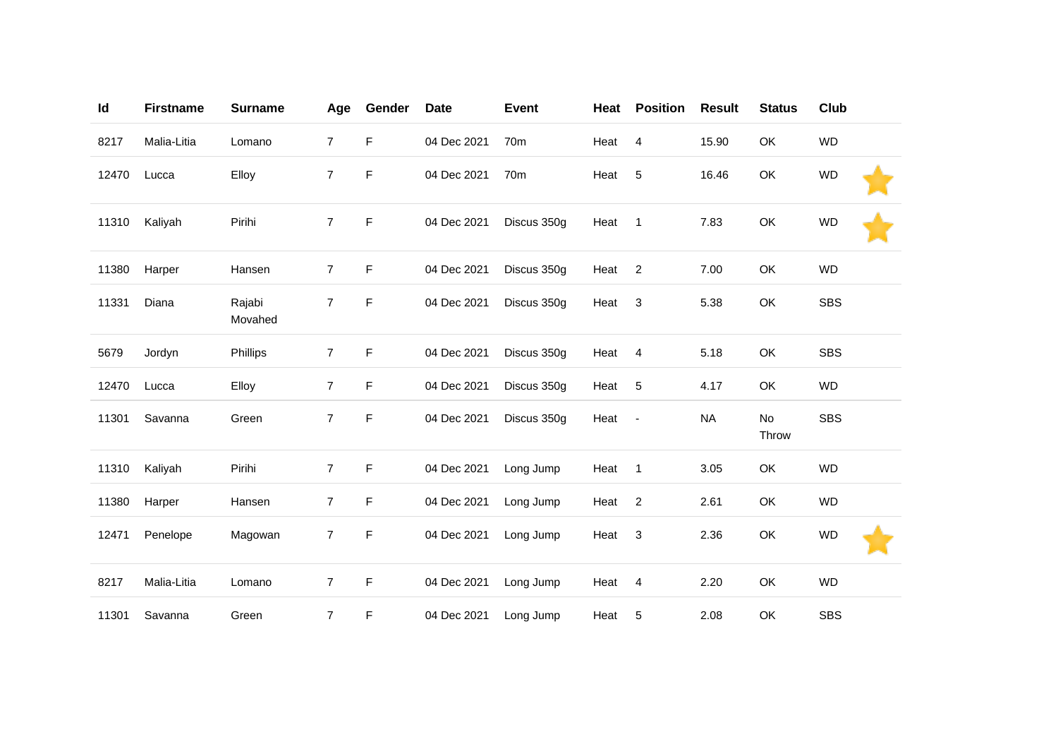| Id    | <b>Firstname</b> | <b>Surname</b>    | Age            | Gender      | <b>Date</b> | <b>Event</b>    | Heat | <b>Position</b>          | <b>Result</b> | <b>Status</b> | <b>Club</b> |  |
|-------|------------------|-------------------|----------------|-------------|-------------|-----------------|------|--------------------------|---------------|---------------|-------------|--|
| 8217  | Malia-Litia      | Lomano            | $\overline{7}$ | F           | 04 Dec 2021 | 70 <sub>m</sub> | Heat | 4                        | 15.90         | OK            | <b>WD</b>   |  |
| 12470 | Lucca            | Elloy             | $\overline{7}$ | F           | 04 Dec 2021 | 70 <sub>m</sub> | Heat | $\sqrt{5}$               | 16.46         | OK            | <b>WD</b>   |  |
| 11310 | Kaliyah          | Pirihi            | $\overline{7}$ | F           | 04 Dec 2021 | Discus 350g     | Heat | $\mathbf{1}$             | 7.83          | OK            | <b>WD</b>   |  |
| 11380 | Harper           | Hansen            | 7              | F           | 04 Dec 2021 | Discus 350g     | Heat | $\overline{c}$           | 7.00          | OK            | <b>WD</b>   |  |
| 11331 | Diana            | Rajabi<br>Movahed | $\overline{7}$ | F           | 04 Dec 2021 | Discus 350g     | Heat | 3                        | 5.38          | OK            | <b>SBS</b>  |  |
| 5679  | Jordyn           | Phillips          | $\overline{7}$ | $\mathsf F$ | 04 Dec 2021 | Discus 350g     | Heat | $\overline{4}$           | 5.18          | OK            | <b>SBS</b>  |  |
| 12470 | Lucca            | Elloy             | $\overline{7}$ | F.          | 04 Dec 2021 | Discus 350g     | Heat | 5                        | 4.17          | OK            | <b>WD</b>   |  |
| 11301 | Savanna          | Green             | $\overline{7}$ | F           | 04 Dec 2021 | Discus 350g     | Heat | $\overline{\phantom{a}}$ | <b>NA</b>     | No<br>Throw   | <b>SBS</b>  |  |
| 11310 | Kaliyah          | Pirihi            | $\overline{7}$ | F.          | 04 Dec 2021 | Long Jump       | Heat | $\mathbf{1}$             | 3.05          | OK            | <b>WD</b>   |  |
| 11380 | Harper           | Hansen            | $\overline{7}$ | F           | 04 Dec 2021 | Long Jump       | Heat | $\overline{c}$           | 2.61          | OK            | <b>WD</b>   |  |
| 12471 | Penelope         | Magowan           | 7              | F           | 04 Dec 2021 | Long Jump       | Heat | 3                        | 2.36          | OK            | <b>WD</b>   |  |
| 8217  | Malia-Litia      | Lomano            | $\overline{7}$ | F           | 04 Dec 2021 | Long Jump       | Heat | $\overline{4}$           | 2.20          | OK            | <b>WD</b>   |  |
| 11301 | Savanna          | Green             | $\overline{7}$ | F           | 04 Dec 2021 | Long Jump       | Heat | 5                        | 2.08          | OK            | <b>SBS</b>  |  |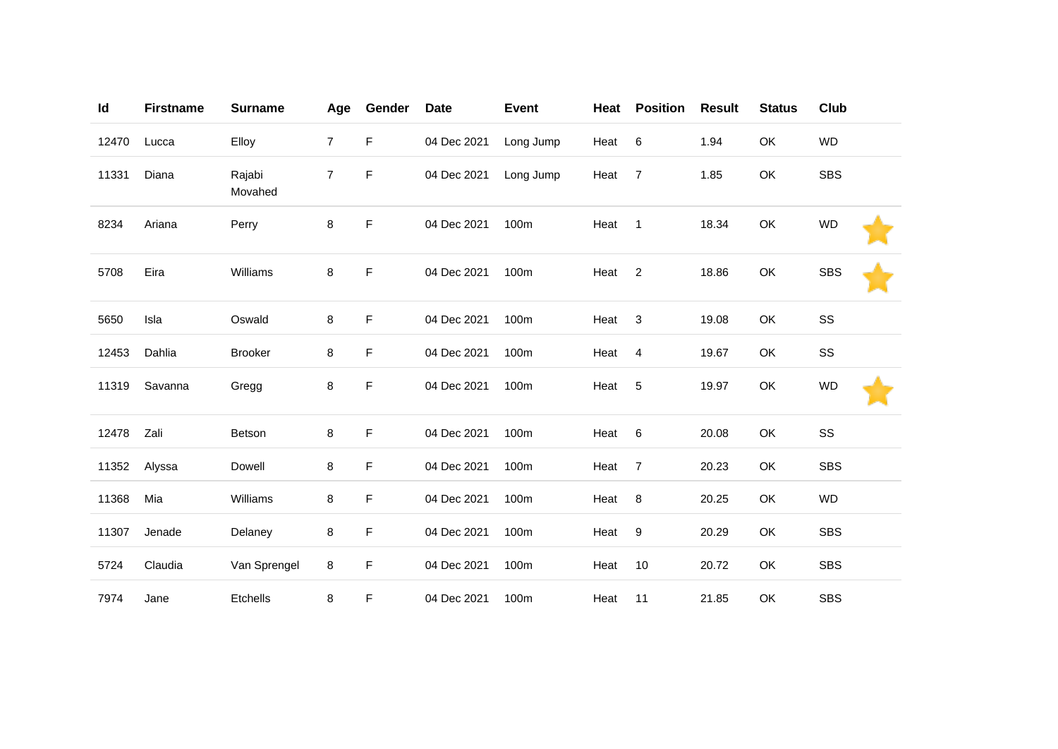| Id    | <b>Firstname</b> | <b>Surname</b>    | Age            | Gender | <b>Date</b> | <b>Event</b> | Heat | <b>Position</b> | <b>Result</b> | <b>Status</b> | Club       |
|-------|------------------|-------------------|----------------|--------|-------------|--------------|------|-----------------|---------------|---------------|------------|
| 12470 | Lucca            | Elloy             | $\overline{7}$ | F      | 04 Dec 2021 | Long Jump    | Heat | 6               | 1.94          | OK            | <b>WD</b>  |
| 11331 | Diana            | Rajabi<br>Movahed | $\overline{7}$ | F      | 04 Dec 2021 | Long Jump    | Heat | $\overline{7}$  | 1.85          | OK            | <b>SBS</b> |
| 8234  | Ariana           | Perry             | 8              | F      | 04 Dec 2021 | 100m         | Heat | $\mathbf{1}$    | 18.34         | OK            | <b>WD</b>  |
| 5708  | Eira             | Williams          | 8              | F      | 04 Dec 2021 | 100m         | Heat | $\overline{c}$  | 18.86         | OK            | <b>SBS</b> |
| 5650  | Isla             | Oswald            | 8              | F      | 04 Dec 2021 | 100m         | Heat | 3               | 19.08         | OK            | SS         |
| 12453 | Dahlia           | <b>Brooker</b>    | 8              | F      | 04 Dec 2021 | 100m         | Heat | 4               | 19.67         | OK            | SS         |
| 11319 | Savanna          | Gregg             | 8              | F      | 04 Dec 2021 | 100m         | Heat | 5               | 19.97         | OK            | <b>WD</b>  |
| 12478 | Zali             | Betson            | 8              | F      | 04 Dec 2021 | 100m         | Heat | $\,6$           | 20.08         | OK            | SS         |
| 11352 | Alyssa           | Dowell            | 8              | F      | 04 Dec 2021 | 100m         | Heat | $\overline{7}$  | 20.23         | OK            | <b>SBS</b> |
| 11368 | Mia              | Williams          | 8              | F      | 04 Dec 2021 | 100m         | Heat | 8               | 20.25         | OK            | <b>WD</b>  |
| 11307 | Jenade           | Delaney           | 8              | F      | 04 Dec 2021 | 100m         | Heat | $9\,$           | 20.29         | OK            | <b>SBS</b> |
| 5724  | Claudia          | Van Sprengel      | 8              | F      | 04 Dec 2021 | 100m         | Heat | 10              | 20.72         | OK            | <b>SBS</b> |
| 7974  | Jane             | Etchells          | 8              | F      | 04 Dec 2021 | 100m         | Heat | 11              | 21.85         | OK            | <b>SBS</b> |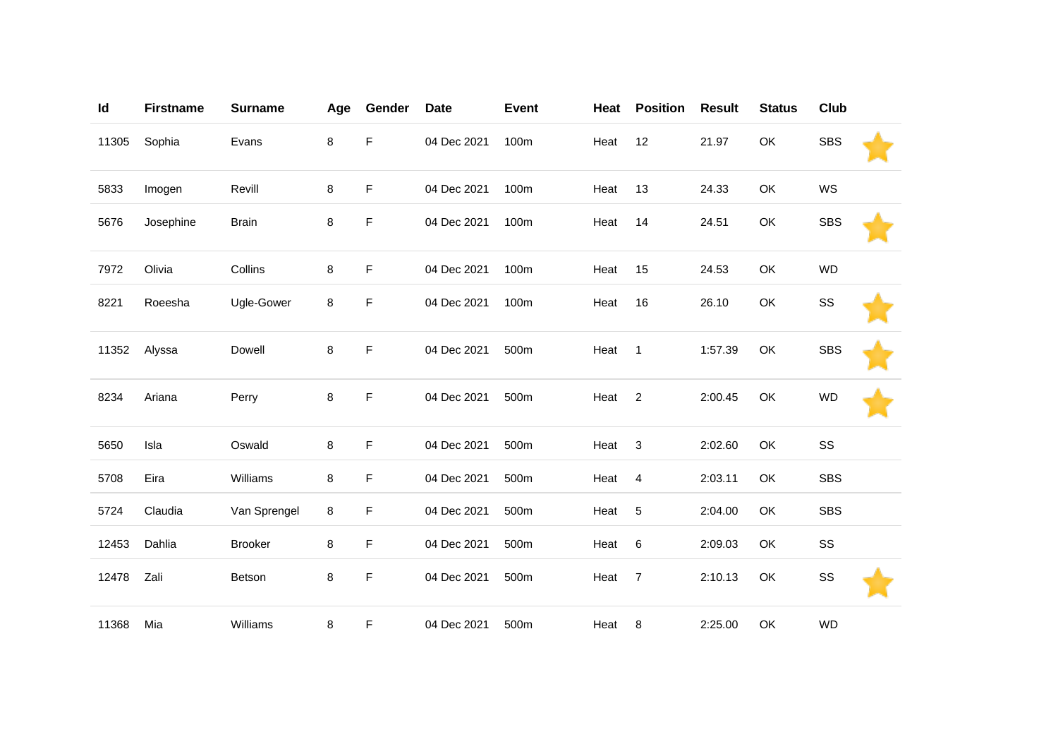| Id    | <b>Firstname</b> | <b>Surname</b> | Age | Gender | <b>Date</b> | <b>Event</b> | Heat | <b>Position</b> | <b>Result</b> | <b>Status</b> | Club       |  |
|-------|------------------|----------------|-----|--------|-------------|--------------|------|-----------------|---------------|---------------|------------|--|
| 11305 | Sophia           | Evans          | 8   | F      | 04 Dec 2021 | 100m         | Heat | 12              | 21.97         | OK            | <b>SBS</b> |  |
| 5833  | Imogen           | Revill         | 8   | F      | 04 Dec 2021 | 100m         | Heat | 13              | 24.33         | OK            | WS         |  |
| 5676  | Josephine        | <b>Brain</b>   | 8   | F      | 04 Dec 2021 | 100m         | Heat | 14              | 24.51         | OK            | <b>SBS</b> |  |
| 7972  | Olivia           | Collins        | 8   | F      | 04 Dec 2021 | 100m         | Heat | 15              | 24.53         | OK            | <b>WD</b>  |  |
| 8221  | Roeesha          | Ugle-Gower     | 8   | F      | 04 Dec 2021 | 100m         | Heat | 16              | 26.10         | OK            | SS         |  |
| 11352 | Alyssa           | Dowell         | 8   | F      | 04 Dec 2021 | 500m         | Heat | $\mathbf{1}$    | 1:57.39       | OK            | <b>SBS</b> |  |
| 8234  | Ariana           | Perry          | 8   | F      | 04 Dec 2021 | 500m         | Heat | $\overline{2}$  | 2:00.45       | OK            | <b>WD</b>  |  |
| 5650  | Isla             | Oswald         | 8   | F      | 04 Dec 2021 | 500m         | Heat | 3               | 2:02.60       | OK            | SS         |  |
| 5708  | Eira             | Williams       | 8   | F      | 04 Dec 2021 | 500m         | Heat | $\overline{4}$  | 2:03.11       | OK            | <b>SBS</b> |  |
| 5724  | Claudia          | Van Sprengel   | 8   | F      | 04 Dec 2021 | 500m         | Heat | 5               | 2:04.00       | OK            | <b>SBS</b> |  |
| 12453 | Dahlia           | <b>Brooker</b> | 8   | F      | 04 Dec 2021 | 500m         | Heat | 6               | 2:09.03       | OK            | SS         |  |
| 12478 | Zali             | Betson         | 8   | F      | 04 Dec 2021 | 500m         | Heat | $\overline{7}$  | 2:10.13       | OK            | SS         |  |
| 11368 | Mia              | Williams       | 8   | F      | 04 Dec 2021 | 500m         | Heat | 8               | 2:25.00       | OK            | <b>WD</b>  |  |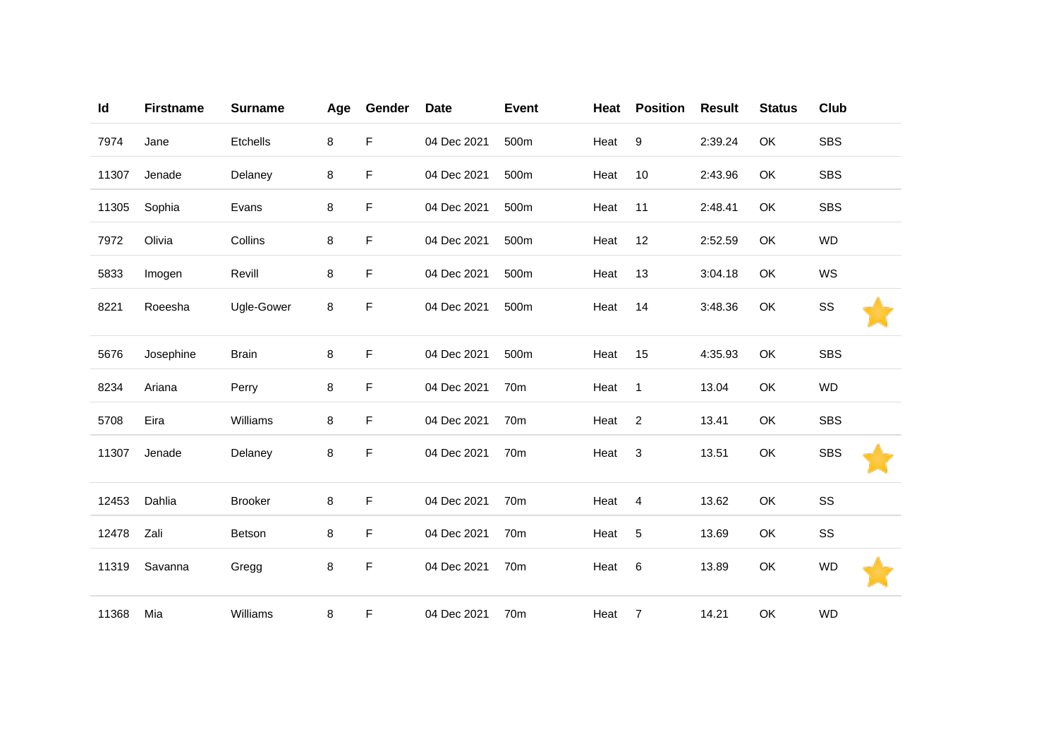| Id    | <b>Firstname</b> | <b>Surname</b> | Age | Gender | <b>Date</b> | <b>Event</b> | Heat | <b>Position</b> | <b>Result</b> | <b>Status</b> | Club       |
|-------|------------------|----------------|-----|--------|-------------|--------------|------|-----------------|---------------|---------------|------------|
| 7974  | Jane             | Etchells       | 8   | F      | 04 Dec 2021 | 500m         | Heat | $9\,$           | 2:39.24       | OK            | <b>SBS</b> |
| 11307 | Jenade           | Delaney        | 8   | F      | 04 Dec 2021 | 500m         | Heat | 10              | 2:43.96       | <b>OK</b>     | <b>SBS</b> |
| 11305 | Sophia           | Evans          | 8   | F      | 04 Dec 2021 | 500m         | Heat | 11              | 2:48.41       | OK            | <b>SBS</b> |
| 7972  | Olivia           | Collins        | 8   | F      | 04 Dec 2021 | 500m         | Heat | 12              | 2:52.59       | OK            | <b>WD</b>  |
| 5833  | Imogen           | Revill         | 8   | F      | 04 Dec 2021 | 500m         | Heat | 13              | 3:04.18       | OK            | WS         |
| 8221  | Roeesha          | Ugle-Gower     | 8   | F      | 04 Dec 2021 | 500m         | Heat | 14              | 3:48.36       | OK            | SS         |
| 5676  | Josephine        | <b>Brain</b>   | 8   | F      | 04 Dec 2021 | 500m         | Heat | 15              | 4:35.93       | OK            | <b>SBS</b> |
| 8234  | Ariana           | Perry          | 8   | F      | 04 Dec 2021 | 70m          | Heat | $\mathbf{1}$    | 13.04         | OK            | <b>WD</b>  |
| 5708  | Eira             | Williams       | 8   | F      | 04 Dec 2021 | 70m          | Heat | $\overline{2}$  | 13.41         | OK            | <b>SBS</b> |
| 11307 | Jenade           | Delaney        | 8   | F      | 04 Dec 2021 | 70m          | Heat | 3               | 13.51         | OK            | <b>SBS</b> |
| 12453 | Dahlia           | <b>Brooker</b> | 8   | F      | 04 Dec 2021 | 70m          | Heat | 4               | 13.62         | OK            | SS         |
| 12478 | Zali             | Betson         | 8   | F      | 04 Dec 2021 | 70m          | Heat | $\sqrt{5}$      | 13.69         | OK            | SS         |
| 11319 | Savanna          | Gregg          | 8   | F      | 04 Dec 2021 | 70m          | Heat | 6               | 13.89         | OK            | <b>WD</b>  |
| 11368 | Mia              | Williams       | 8   | F      | 04 Dec 2021 | 70m          | Heat | 7               | 14.21         | OK            | <b>WD</b>  |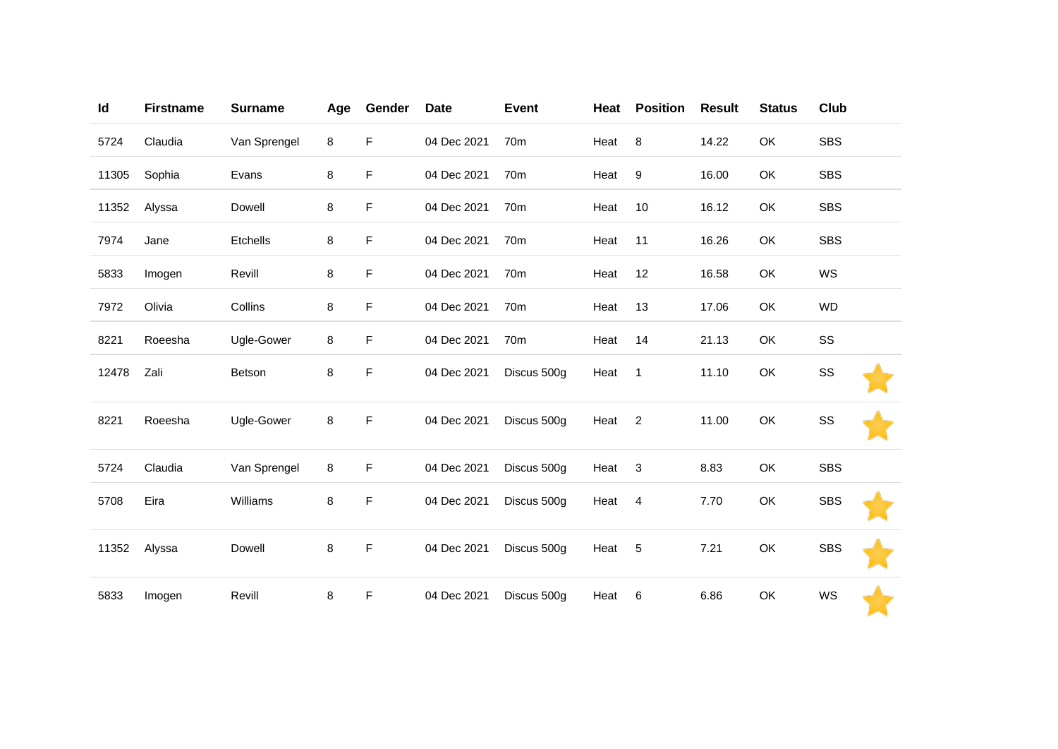| Id    | <b>Firstname</b> | <b>Surname</b> | Age | Gender      | <b>Date</b> | <b>Event</b> | Heat | <b>Position</b> | <b>Result</b> | <b>Status</b> | Club       |  |
|-------|------------------|----------------|-----|-------------|-------------|--------------|------|-----------------|---------------|---------------|------------|--|
| 5724  | Claudia          | Van Sprengel   | 8   | F           | 04 Dec 2021 | 70m          | Heat | 8               | 14.22         | OK            | <b>SBS</b> |  |
| 11305 | Sophia           | Evans          | 8   | F           | 04 Dec 2021 | 70m          | Heat | 9               | 16.00         | OK            | <b>SBS</b> |  |
| 11352 | Alyssa           | Dowell         | 8   | F           | 04 Dec 2021 | 70m          | Heat | 10              | 16.12         | OK            | <b>SBS</b> |  |
| 7974  | Jane             | Etchells       | 8   | F           | 04 Dec 2021 | 70m          | Heat | 11              | 16.26         | OK            | <b>SBS</b> |  |
| 5833  | Imogen           | Revill         | 8   | F           | 04 Dec 2021 | 70m          | Heat | 12              | 16.58         | OK            | WS         |  |
| 7972  | Olivia           | Collins        | 8   | F           | 04 Dec 2021 | 70m          | Heat | 13              | 17.06         | OK            | <b>WD</b>  |  |
| 8221  | Roeesha          | Ugle-Gower     | 8   | F           | 04 Dec 2021 | 70m          | Heat | 14              | 21.13         | OK            | SS         |  |
| 12478 | Zali             | Betson         | 8   | F           | 04 Dec 2021 | Discus 500g  | Heat | $\overline{1}$  | 11.10         | OK            | SS         |  |
| 8221  | Roeesha          | Ugle-Gower     | 8   | $\mathsf F$ | 04 Dec 2021 | Discus 500g  | Heat | $\overline{2}$  | 11.00         | OK            | SS         |  |
| 5724  | Claudia          | Van Sprengel   | 8   | F           | 04 Dec 2021 | Discus 500g  | Heat | 3               | 8.83          | OK            | <b>SBS</b> |  |
| 5708  | Eira             | Williams       | 8   | F           | 04 Dec 2021 | Discus 500g  | Heat | $\overline{4}$  | 7.70          | OK            | <b>SBS</b> |  |
| 11352 | Alyssa           | Dowell         | 8   | $\mathsf F$ | 04 Dec 2021 | Discus 500g  | Heat | 5               | 7.21          | OK            | <b>SBS</b> |  |
| 5833  | Imogen           | Revill         | 8   | F           | 04 Dec 2021 | Discus 500g  | Heat | 6               | 6.86          | OK            | WS         |  |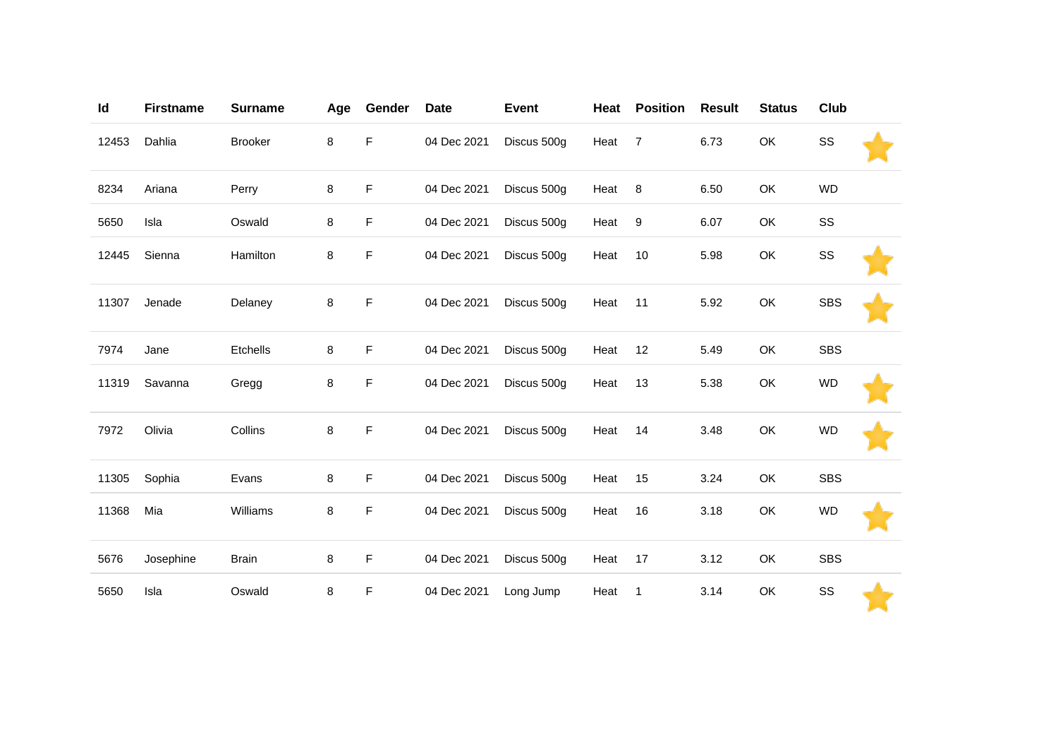| Id    | <b>Firstname</b> | <b>Surname</b> | Age | Gender | <b>Date</b> | <b>Event</b> | Heat | <b>Position</b> | <b>Result</b> | <b>Status</b> | <b>Club</b> |  |
|-------|------------------|----------------|-----|--------|-------------|--------------|------|-----------------|---------------|---------------|-------------|--|
| 12453 | Dahlia           | <b>Brooker</b> | 8   | F      | 04 Dec 2021 | Discus 500g  | Heat | $\overline{7}$  | 6.73          | OK            | SS          |  |
| 8234  | Ariana           | Perry          | 8   | F      | 04 Dec 2021 | Discus 500g  | Heat | 8               | 6.50          | OK            | <b>WD</b>   |  |
| 5650  | Isla             | Oswald         | 8   | F      | 04 Dec 2021 | Discus 500g  | Heat | 9               | 6.07          | OK            | SS          |  |
| 12445 | Sienna           | Hamilton       | 8   | F      | 04 Dec 2021 | Discus 500g  | Heat | 10              | 5.98          | OK            | SS          |  |
| 11307 | Jenade           | Delaney        | 8   | F      | 04 Dec 2021 | Discus 500g  | Heat | 11              | 5.92          | OK            | <b>SBS</b>  |  |
| 7974  | Jane             | Etchells       | 8   | F      | 04 Dec 2021 | Discus 500g  | Heat | 12              | 5.49          | OK            | <b>SBS</b>  |  |
| 11319 | Savanna          | Gregg          | 8   | F      | 04 Dec 2021 | Discus 500g  | Heat | 13              | 5.38          | OK            | <b>WD</b>   |  |
| 7972  | Olivia           | Collins        | 8   | F      | 04 Dec 2021 | Discus 500g  | Heat | 14              | 3.48          | OK            | <b>WD</b>   |  |
| 11305 | Sophia           | Evans          | 8   | F      | 04 Dec 2021 | Discus 500g  | Heat | 15              | 3.24          | OK            | <b>SBS</b>  |  |
| 11368 | Mia              | Williams       | 8   | F      | 04 Dec 2021 | Discus 500g  | Heat | 16              | 3.18          | OK            | <b>WD</b>   |  |
| 5676  | Josephine        | <b>Brain</b>   | 8   | F      | 04 Dec 2021 | Discus 500g  | Heat | 17              | 3.12          | OK            | <b>SBS</b>  |  |
| 5650  | Isla             | Oswald         | 8   | F      | 04 Dec 2021 | Long Jump    | Heat | 1               | 3.14          | OK            | SS          |  |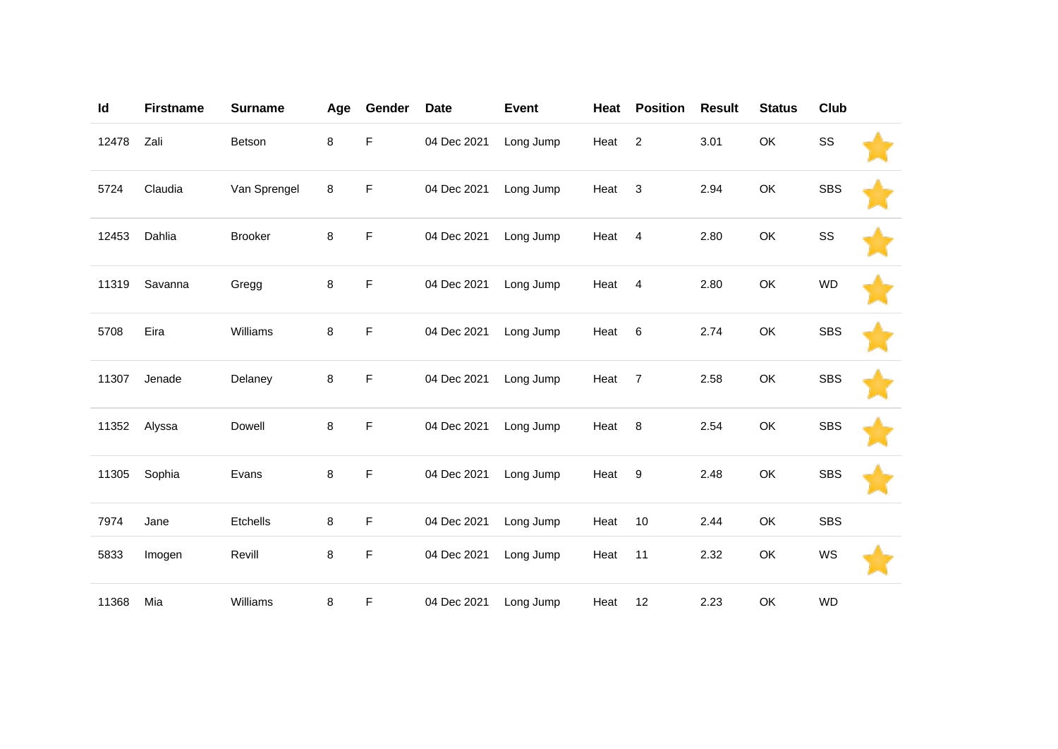| Id    | <b>Firstname</b> | <b>Surname</b> | Age | Gender      | <b>Date</b> | <b>Event</b> | Heat              | <b>Position</b> | <b>Result</b> | <b>Status</b> | Club       |  |
|-------|------------------|----------------|-----|-------------|-------------|--------------|-------------------|-----------------|---------------|---------------|------------|--|
| 12478 | Zali             | Betson         | 8   | $\mathsf F$ | 04 Dec 2021 | Long Jump    | Heat <sub>2</sub> |                 | 3.01          | OK            | SS         |  |
| 5724  | Claudia          | Van Sprengel   | 8   | F           | 04 Dec 2021 | Long Jump    | Heat <sub>3</sub> |                 | 2.94          | OK            | <b>SBS</b> |  |
| 12453 | Dahlia           | <b>Brooker</b> | 8   | F           | 04 Dec 2021 | Long Jump    | Heat              | $\overline{4}$  | 2.80          | OK            | SS         |  |
| 11319 | Savanna          | Gregg          | 8   | F           | 04 Dec 2021 | Long Jump    | Heat              | $\overline{4}$  | 2.80          | OK            | <b>WD</b>  |  |
| 5708  | Eira             | Williams       | 8   | F           | 04 Dec 2021 | Long Jump    | Heat              | 6               | 2.74          | OK            | <b>SBS</b> |  |
| 11307 | Jenade           | Delaney        | 8   | F           | 04 Dec 2021 | Long Jump    | Heat              | $\overline{7}$  | 2.58          | OK            | <b>SBS</b> |  |
| 11352 | Alyssa           | Dowell         | 8   | F           | 04 Dec 2021 | Long Jump    | Heat 8            |                 | 2.54          | OK            | <b>SBS</b> |  |
| 11305 | Sophia           | Evans          | 8   | F           | 04 Dec 2021 | Long Jump    | Heat 9            |                 | 2.48          | OK            | <b>SBS</b> |  |
| 7974  | Jane             | Etchells       | 8   | F           | 04 Dec 2021 | Long Jump    | Heat              | 10              | 2.44          | OK            | <b>SBS</b> |  |
| 5833  | Imogen           | Revill         | 8   | F           | 04 Dec 2021 | Long Jump    | Heat              | 11              | 2.32          | OK            | WS         |  |
| 11368 | Mia              | Williams       | 8   | F           | 04 Dec 2021 | Long Jump    | Heat              | 12              | 2.23          | OK            | <b>WD</b>  |  |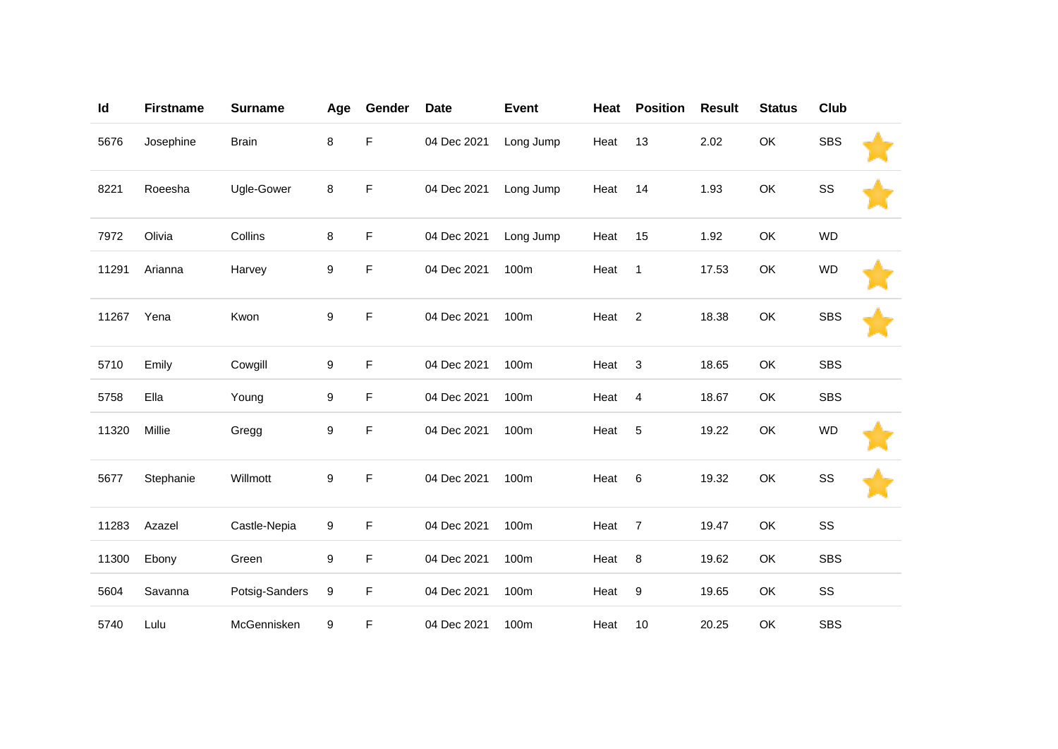| Id    | <b>Firstname</b> | <b>Surname</b> | Age | Gender      | <b>Date</b> | <b>Event</b> | Heat | <b>Position</b> | <b>Result</b> | <b>Status</b> | Club       |  |
|-------|------------------|----------------|-----|-------------|-------------|--------------|------|-----------------|---------------|---------------|------------|--|
| 5676  | Josephine        | <b>Brain</b>   | 8   | F           | 04 Dec 2021 | Long Jump    | Heat | 13              | 2.02          | OK            | <b>SBS</b> |  |
| 8221  | Roeesha          | Ugle-Gower     | 8   | F           | 04 Dec 2021 | Long Jump    | Heat | 14              | 1.93          | OK            | SS         |  |
| 7972  | Olivia           | Collins        | 8   | $\mathsf F$ | 04 Dec 2021 | Long Jump    | Heat | 15              | 1.92          | OK            | <b>WD</b>  |  |
| 11291 | Arianna          | Harvey         | 9   | F           | 04 Dec 2021 | 100m         | Heat | $\mathbf{1}$    | 17.53         | OK            | <b>WD</b>  |  |
| 11267 | Yena             | Kwon           | 9   | F           | 04 Dec 2021 | 100m         | Heat | $\overline{2}$  | 18.38         | OK            | <b>SBS</b> |  |
| 5710  | Emily            | Cowgill        | 9   | F           | 04 Dec 2021 | 100m         | Heat | $\sqrt{3}$      | 18.65         | OK            | <b>SBS</b> |  |
| 5758  | Ella             | Young          | 9   | F           | 04 Dec 2021 | 100m         | Heat | 4               | 18.67         | OK            | <b>SBS</b> |  |
| 11320 | Millie           | Gregg          | 9   | F           | 04 Dec 2021 | 100m         | Heat | 5               | 19.22         | OK            | <b>WD</b>  |  |
| 5677  | Stephanie        | Willmott       | 9   | F           | 04 Dec 2021 | 100m         | Heat | 6               | 19.32         | OK            | SS         |  |
| 11283 | Azazel           | Castle-Nepia   | 9   | $\mathsf F$ | 04 Dec 2021 | 100m         | Heat | $\overline{7}$  | 19.47         | OK            | SS         |  |
| 11300 | Ebony            | Green          | 9   | F           | 04 Dec 2021 | 100m         | Heat | 8               | 19.62         | OK            | <b>SBS</b> |  |
| 5604  | Savanna          | Potsig-Sanders | 9   | F           | 04 Dec 2021 | 100m         | Heat | 9               | 19.65         | OK            | SS         |  |
| 5740  | Lulu             | McGennisken    | 9   | F           | 04 Dec 2021 | 100m         | Heat | 10              | 20.25         | OK            | <b>SBS</b> |  |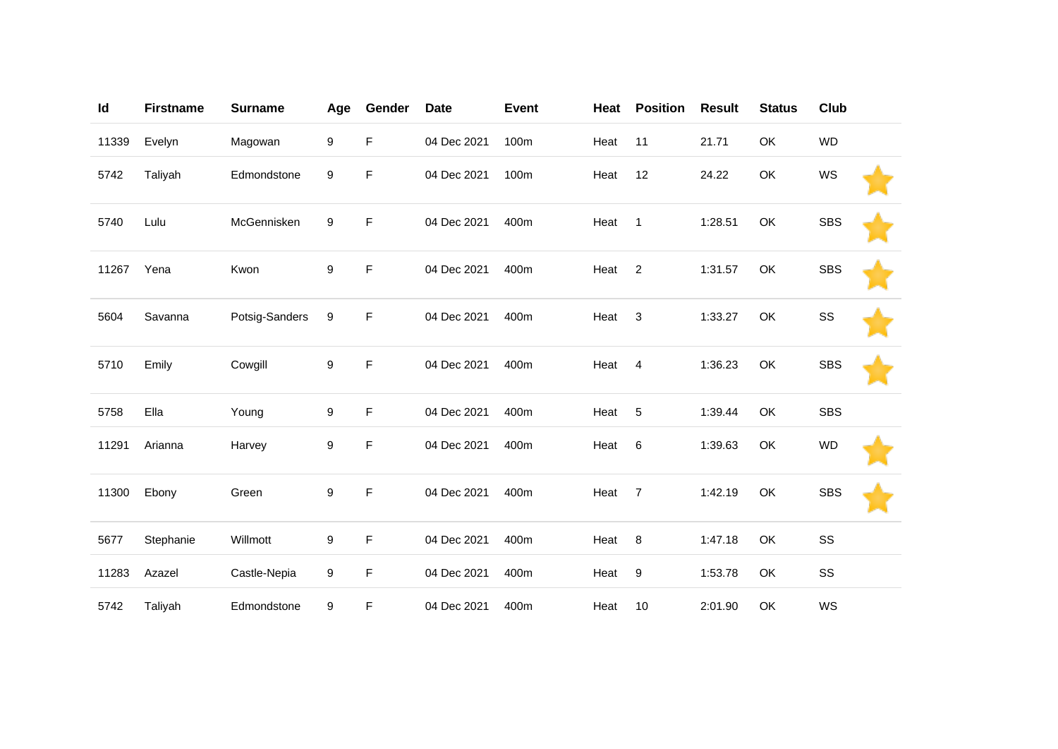| Id    | <b>Firstname</b> | <b>Surname</b> | Age | Gender | <b>Date</b> | <b>Event</b> | Heat | <b>Position</b>  | <b>Result</b> | <b>Status</b> | Club       |  |
|-------|------------------|----------------|-----|--------|-------------|--------------|------|------------------|---------------|---------------|------------|--|
| 11339 | Evelyn           | Magowan        | 9   | F.     | 04 Dec 2021 | 100m         | Heat | 11               | 21.71         | OK            | <b>WD</b>  |  |
| 5742  | Taliyah          | Edmondstone    | 9   | F      | 04 Dec 2021 | 100m         | Heat | 12               | 24.22         | OK            | WS         |  |
| 5740  | Lulu             | McGennisken    | 9   | F      | 04 Dec 2021 | 400m         | Heat | $\mathbf{1}$     | 1:28.51       | OK            | <b>SBS</b> |  |
| 11267 | Yena             | Kwon           | 9   | F      | 04 Dec 2021 | 400m         | Heat | $\overline{c}$   | 1:31.57       | OK            | <b>SBS</b> |  |
| 5604  | Savanna          | Potsig-Sanders | 9   | F      | 04 Dec 2021 | 400m         | Heat | 3                | 1:33.27       | OK            | SS         |  |
| 5710  | Emily            | Cowgill        | 9   | F      | 04 Dec 2021 | 400m         | Heat | $\overline{4}$   | 1:36.23       | OK            | <b>SBS</b> |  |
| 5758  | Ella             | Young          | 9   | F      | 04 Dec 2021 | 400m         | Heat | 5                | 1:39.44       | OK            | <b>SBS</b> |  |
| 11291 | Arianna          | Harvey         | 9   | F      | 04 Dec 2021 | 400m         | Heat | 6                | 1:39.63       | OK            | <b>WD</b>  |  |
| 11300 | Ebony            | Green          | 9   | F.     | 04 Dec 2021 | 400m         | Heat | $\overline{7}$   | 1:42.19       | OK            | <b>SBS</b> |  |
| 5677  | Stephanie        | Willmott       | 9   | F.     | 04 Dec 2021 | 400m         | Heat | 8                | 1:47.18       | OK            | SS         |  |
| 11283 | Azazel           | Castle-Nepia   | 9   | F      | 04 Dec 2021 | 400m         | Heat | $\boldsymbol{9}$ | 1:53.78       | OK            | SS         |  |
| 5742  | Taliyah          | Edmondstone    | 9   | F      | 04 Dec 2021 | 400m         | Heat | 10               | 2:01.90       | OK            | WS         |  |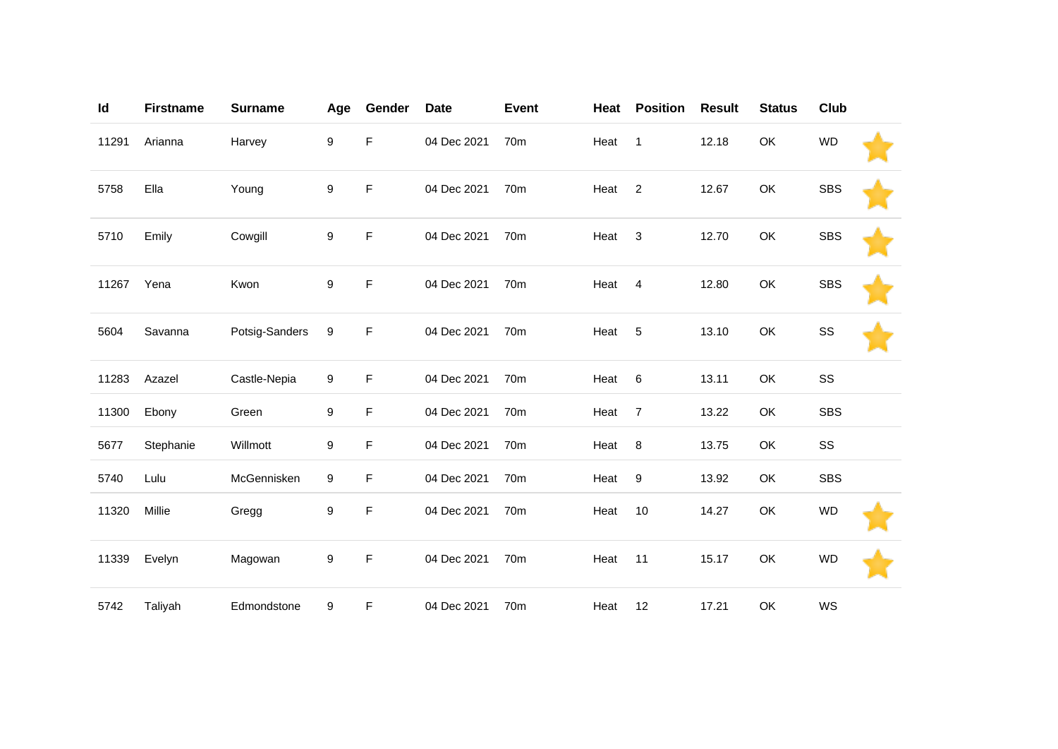| Id    | <b>Firstname</b> | <b>Surname</b> | Age | Gender | <b>Date</b> | <b>Event</b>    | Heat | <b>Position</b> | <b>Result</b> | <b>Status</b> | Club       |  |
|-------|------------------|----------------|-----|--------|-------------|-----------------|------|-----------------|---------------|---------------|------------|--|
| 11291 | Arianna          | Harvey         | 9   | F      | 04 Dec 2021 | 70 <sub>m</sub> | Heat | $\mathbf{1}$    | 12.18         | OK            | <b>WD</b>  |  |
| 5758  | Ella             | Young          | 9   | F      | 04 Dec 2021 | 70 <sub>m</sub> | Heat | $\overline{2}$  | 12.67         | OK            | <b>SBS</b> |  |
| 5710  | Emily            | Cowgill        | 9   | F      | 04 Dec 2021 | 70m             | Heat | 3               | 12.70         | OK            | <b>SBS</b> |  |
| 11267 | Yena             | Kwon           | 9   | F      | 04 Dec 2021 | 70 <sub>m</sub> | Heat | $\overline{4}$  | 12.80         | OK            | <b>SBS</b> |  |
| 5604  | Savanna          | Potsig-Sanders | 9   | F      | 04 Dec 2021 | 70 <sub>m</sub> | Heat | 5               | 13.10         | OK            | SS         |  |
| 11283 | Azazel           | Castle-Nepia   | 9   | F      | 04 Dec 2021 | 70 <sub>m</sub> | Heat | $\,6$           | 13.11         | OK            | SS         |  |
| 11300 | Ebony            | Green          | 9   | F      | 04 Dec 2021 | 70m             | Heat | $\overline{7}$  | 13.22         | OK            | <b>SBS</b> |  |
| 5677  | Stephanie        | Willmott       | 9   | F      | 04 Dec 2021 | 70m             | Heat | 8               | 13.75         | OK            | SS         |  |
| 5740  | Lulu             | McGennisken    | 9   | F      | 04 Dec 2021 | 70 <sub>m</sub> | Heat | 9               | 13.92         | OK            | <b>SBS</b> |  |
| 11320 | Millie           | Gregg          | 9   | F      | 04 Dec 2021 | 70m             | Heat | 10              | 14.27         | OK            | <b>WD</b>  |  |
| 11339 | Evelyn           | Magowan        | 9   | F      | 04 Dec 2021 | 70m             | Heat | 11              | 15.17         | OK            | <b>WD</b>  |  |
| 5742  | Taliyah          | Edmondstone    | 9   | F      | 04 Dec 2021 | 70m             | Heat | 12              | 17.21         | OK            | WS         |  |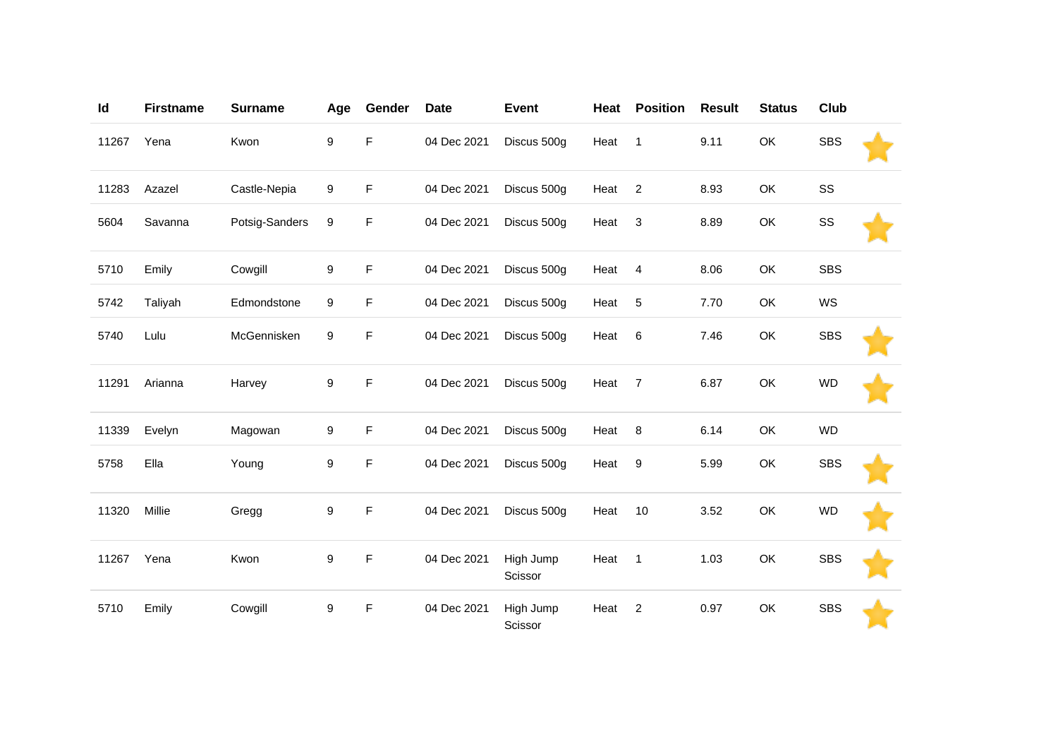| Id    | <b>Firstname</b> | <b>Surname</b> | Age | Gender      | <b>Date</b> | <b>Event</b>         | Heat | <b>Position</b> | <b>Result</b> | <b>Status</b> | Club       |  |
|-------|------------------|----------------|-----|-------------|-------------|----------------------|------|-----------------|---------------|---------------|------------|--|
| 11267 | Yena             | Kwon           | 9   | F           | 04 Dec 2021 | Discus 500g          | Heat | $\overline{1}$  | 9.11          | OK            | <b>SBS</b> |  |
| 11283 | Azazel           | Castle-Nepia   | 9   | F           | 04 Dec 2021 | Discus 500g          | Heat | $\overline{2}$  | 8.93          | OK            | SS         |  |
| 5604  | Savanna          | Potsig-Sanders | 9   | F           | 04 Dec 2021 | Discus 500g          | Heat | $\sqrt{3}$      | 8.89          | OK            | SS         |  |
| 5710  | Emily            | Cowgill        | 9   | F           | 04 Dec 2021 | Discus 500g          | Heat | $\overline{4}$  | 8.06          | OK            | <b>SBS</b> |  |
| 5742  | Taliyah          | Edmondstone    | 9   | F           | 04 Dec 2021 | Discus 500g          | Heat | 5               | 7.70          | OK            | WS         |  |
| 5740  | Lulu             | McGennisken    | 9   | F           | 04 Dec 2021 | Discus 500g          | Heat | 6               | 7.46          | OK            | <b>SBS</b> |  |
| 11291 | Arianna          | Harvey         | 9   | $\mathsf F$ | 04 Dec 2021 | Discus 500g          | Heat | $\overline{7}$  | 6.87          | OK            | <b>WD</b>  |  |
| 11339 | Evelyn           | Magowan        | 9   | F           | 04 Dec 2021 | Discus 500g          | Heat | 8               | 6.14          | OK            | <b>WD</b>  |  |
| 5758  | Ella             | Young          | 9   | F           | 04 Dec 2021 | Discus 500g          | Heat | 9               | 5.99          | OK            | <b>SBS</b> |  |
| 11320 | Millie           | Gregg          | 9   | F           | 04 Dec 2021 | Discus 500g          | Heat | $10$            | 3.52          | OK            | <b>WD</b>  |  |
| 11267 | Yena             | Kwon           | 9   | F           | 04 Dec 2021 | High Jump<br>Scissor | Heat | $\overline{1}$  | 1.03          | OK            | <b>SBS</b> |  |
| 5710  | Emily            | Cowgill        | 9   | F           | 04 Dec 2021 | High Jump<br>Scissor | Heat | $\overline{c}$  | 0.97          | OK            | <b>SBS</b> |  |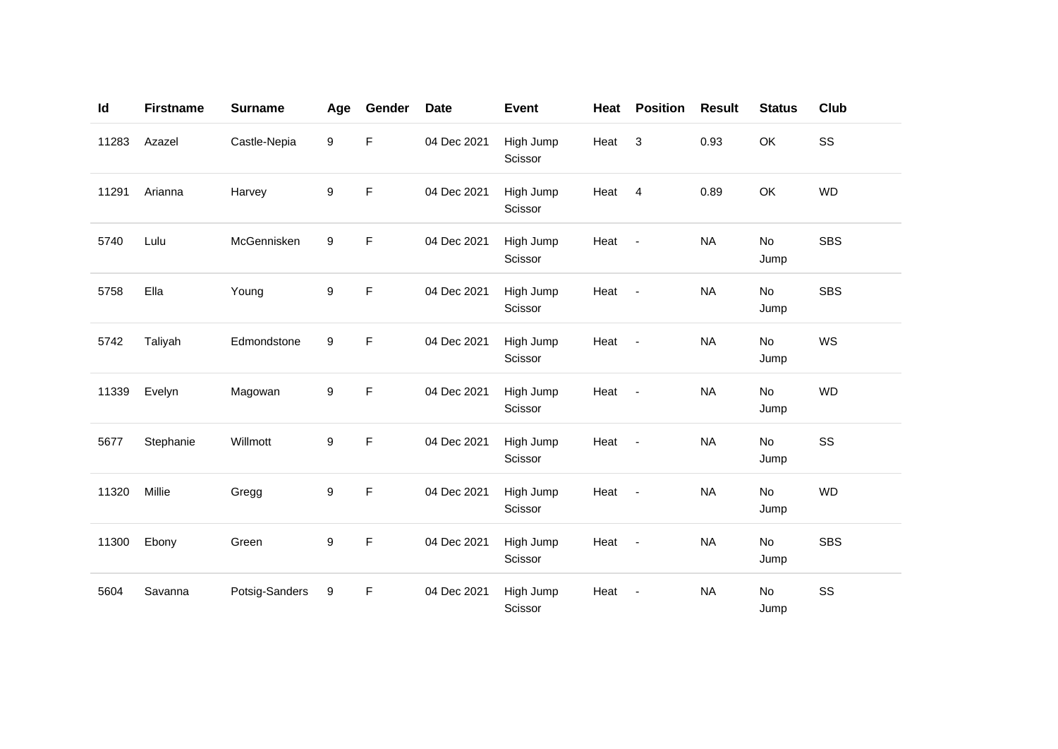| Id    | <b>Firstname</b> | <b>Surname</b> | Age | Gender      | <b>Date</b> | <b>Event</b>         | Heat | <b>Position</b>          | <b>Result</b> | <b>Status</b> | Club       |
|-------|------------------|----------------|-----|-------------|-------------|----------------------|------|--------------------------|---------------|---------------|------------|
| 11283 | Azazel           | Castle-Nepia   | 9   | F           | 04 Dec 2021 | High Jump<br>Scissor | Heat | 3                        | 0.93          | OK            | SS         |
| 11291 | Arianna          | Harvey         | 9   | F           | 04 Dec 2021 | High Jump<br>Scissor | Heat | $\overline{4}$           | 0.89          | OK            | <b>WD</b>  |
| 5740  | Lulu             | McGennisken    | 9   | F           | 04 Dec 2021 | High Jump<br>Scissor | Heat | $\blacksquare$           | <b>NA</b>     | No<br>Jump    | <b>SBS</b> |
| 5758  | Ella             | Young          | 9   | F           | 04 Dec 2021 | High Jump<br>Scissor | Heat | $\blacksquare$           | <b>NA</b>     | No<br>Jump    | <b>SBS</b> |
| 5742  | Taliyah          | Edmondstone    | 9   | F           | 04 Dec 2021 | High Jump<br>Scissor | Heat | $\overline{\phantom{a}}$ | <b>NA</b>     | No<br>Jump    | WS         |
| 11339 | Evelyn           | Magowan        | 9   | $\mathsf F$ | 04 Dec 2021 | High Jump<br>Scissor | Heat | $\blacksquare$           | <b>NA</b>     | No<br>Jump    | <b>WD</b>  |
| 5677  | Stephanie        | Willmott       | 9   | F           | 04 Dec 2021 | High Jump<br>Scissor | Heat | $\overline{\phantom{a}}$ | <b>NA</b>     | No<br>Jump    | SS         |
| 11320 | Millie           | Gregg          | 9   | F           | 04 Dec 2021 | High Jump<br>Scissor | Heat | $\blacksquare$           | <b>NA</b>     | No<br>Jump    | <b>WD</b>  |
| 11300 | Ebony            | Green          | 9   | F           | 04 Dec 2021 | High Jump<br>Scissor | Heat | $\overline{\phantom{a}}$ | <b>NA</b>     | No<br>Jump    | <b>SBS</b> |
| 5604  | Savanna          | Potsig-Sanders | 9   | F           | 04 Dec 2021 | High Jump<br>Scissor | Heat | ÷,                       | <b>NA</b>     | No<br>Jump    | SS         |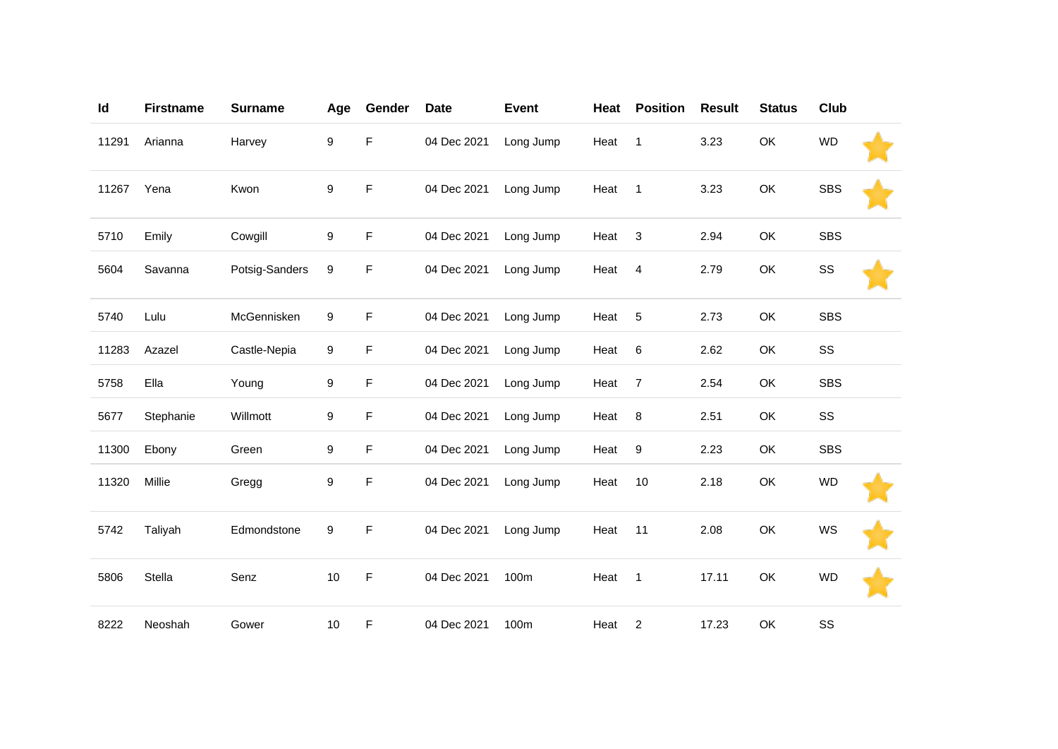| Id    | <b>Firstname</b> | <b>Surname</b> | Age              | Gender      | <b>Date</b> | <b>Event</b> | Heat | <b>Position</b>  | <b>Result</b> | <b>Status</b> | Club       |  |
|-------|------------------|----------------|------------------|-------------|-------------|--------------|------|------------------|---------------|---------------|------------|--|
| 11291 | Arianna          | Harvey         | 9                | F           | 04 Dec 2021 | Long Jump    | Heat | $\mathbf{1}$     | 3.23          | OK            | <b>WD</b>  |  |
| 11267 | Yena             | Kwon           | $\boldsymbol{9}$ | F           | 04 Dec 2021 | Long Jump    | Heat | $\mathbf{1}$     | 3.23          | OK            | <b>SBS</b> |  |
| 5710  | Emily            | Cowgill        | 9                | F           | 04 Dec 2021 | Long Jump    | Heat | $\sqrt{3}$       | 2.94          | OK            | <b>SBS</b> |  |
| 5604  | Savanna          | Potsig-Sanders | 9                | F           | 04 Dec 2021 | Long Jump    | Heat | $\overline{4}$   | 2.79          | OK            | SS         |  |
| 5740  | Lulu             | McGennisken    | 9                | F           | 04 Dec 2021 | Long Jump    | Heat | 5                | 2.73          | OK            | <b>SBS</b> |  |
| 11283 | Azazel           | Castle-Nepia   | 9                | F           | 04 Dec 2021 | Long Jump    | Heat | $6\phantom{1}6$  | 2.62          | OK            | SS         |  |
| 5758  | Ella             | Young          | 9                | F           | 04 Dec 2021 | Long Jump    | Heat | $\overline{7}$   | 2.54          | OK            | <b>SBS</b> |  |
| 5677  | Stephanie        | Willmott       | 9                | F           | 04 Dec 2021 | Long Jump    | Heat | 8                | 2.51          | OK            | SS         |  |
| 11300 | Ebony            | Green          | 9                | F           | 04 Dec 2021 | Long Jump    | Heat | $\boldsymbol{9}$ | 2.23          | OK            | <b>SBS</b> |  |
| 11320 | Millie           | Gregg          | 9                | F           | 04 Dec 2021 | Long Jump    | Heat | 10               | 2.18          | OK            | <b>WD</b>  |  |
| 5742  | Taliyah          | Edmondstone    | 9                | $\mathsf F$ | 04 Dec 2021 | Long Jump    | Heat | 11               | 2.08          | OK            | WS         |  |
| 5806  | Stella           | Senz           | 10               | F           | 04 Dec 2021 | 100m         | Heat | $\mathbf{1}$     | 17.11         | OK            | <b>WD</b>  |  |
| 8222  | Neoshah          | Gower          | $10$             | F           | 04 Dec 2021 | 100m         | Heat | $\overline{2}$   | 17.23         | OK            | SS         |  |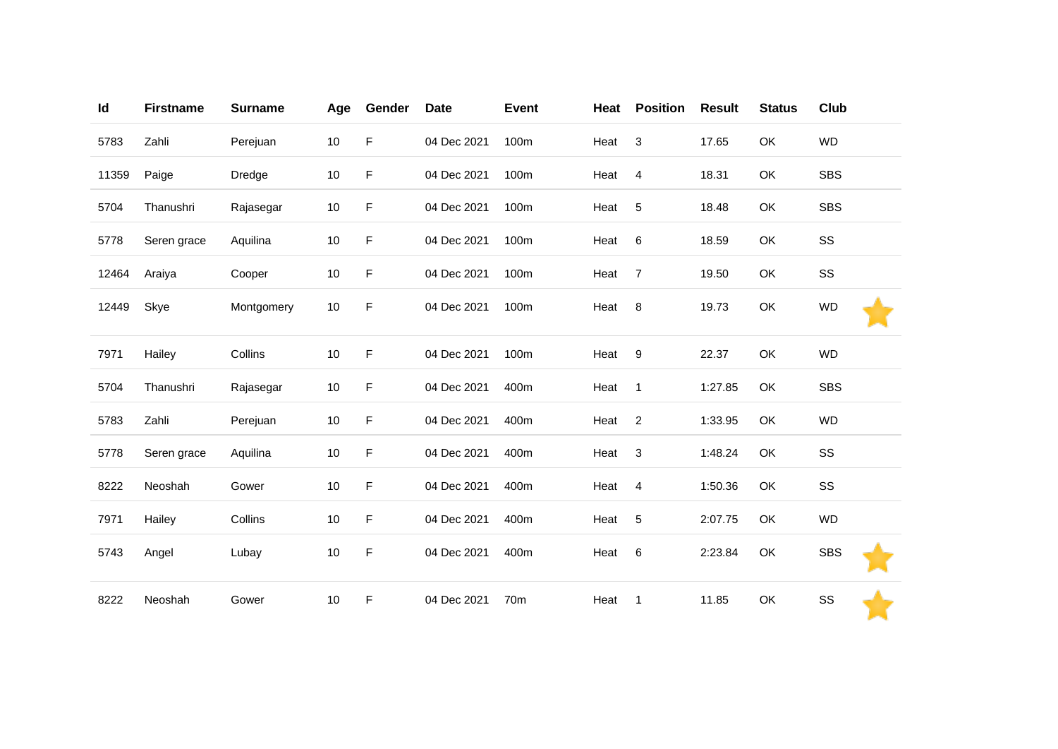| Id    | <b>Firstname</b> | <b>Surname</b> | Age  | Gender | <b>Date</b> | <b>Event</b> | Heat | <b>Position</b> | <b>Result</b> | <b>Status</b> | Club       |
|-------|------------------|----------------|------|--------|-------------|--------------|------|-----------------|---------------|---------------|------------|
| 5783  | Zahli            | Perejuan       | $10$ | F      | 04 Dec 2021 | 100m         | Heat | 3               | 17.65         | OK            | <b>WD</b>  |
| 11359 | Paige            | Dredge         | 10   | F      | 04 Dec 2021 | 100m         | Heat | $\overline{4}$  | 18.31         | OK            | <b>SBS</b> |
| 5704  | Thanushri        | Rajasegar      | 10   | F      | 04 Dec 2021 | 100m         | Heat | $\sqrt{5}$      | 18.48         | OK            | <b>SBS</b> |
| 5778  | Seren grace      | Aquilina       | $10$ | F      | 04 Dec 2021 | 100m         | Heat | $\,6$           | 18.59         | OK            | SS         |
| 12464 | Araiya           | Cooper         | $10$ | F      | 04 Dec 2021 | 100m         | Heat | $\overline{7}$  | 19.50         | OK            | SS         |
| 12449 | Skye             | Montgomery     | $10$ | F      | 04 Dec 2021 | 100m         | Heat | 8               | 19.73         | OK            | <b>WD</b>  |
| 7971  | Hailey           | Collins        | $10$ | F      | 04 Dec 2021 | 100m         | Heat | 9               | 22.37         | OK            | <b>WD</b>  |
| 5704  | Thanushri        | Rajasegar      | $10$ | F      | 04 Dec 2021 | 400m         | Heat | $\mathbf{1}$    | 1:27.85       | OK            | <b>SBS</b> |
| 5783  | Zahli            | Perejuan       | 10   | F      | 04 Dec 2021 | 400m         | Heat | $\overline{c}$  | 1:33.95       | <b>OK</b>     | <b>WD</b>  |
| 5778  | Seren grace      | Aquilina       | $10$ | F      | 04 Dec 2021 | 400m         | Heat | $\sqrt{3}$      | 1:48.24       | OK            | SS         |
| 8222  | Neoshah          | Gower          | 10   | F      | 04 Dec 2021 | 400m         | Heat | 4               | 1:50.36       | OK            | SS         |
| 7971  | Hailey           | Collins        | $10$ | F      | 04 Dec 2021 | 400m         | Heat | $\overline{5}$  | 2:07.75       | <b>OK</b>     | <b>WD</b>  |
| 5743  | Angel            | Lubay          | 10   | F      | 04 Dec 2021 | 400m         | Heat | $\,6\,$         | 2:23.84       | OK            | <b>SBS</b> |
| 8222  | Neoshah          | Gower          | $10$ | F      | 04 Dec 2021 | 70m          | Heat | $\mathbf{1}$    | 11.85         | OK            | SS         |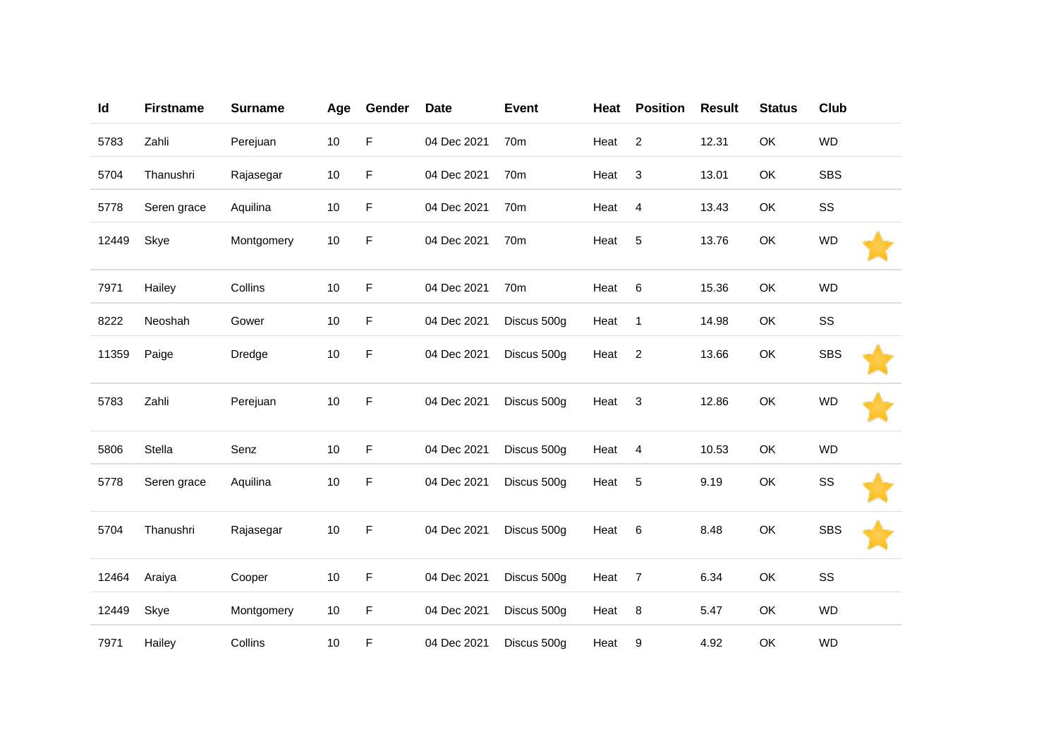| Id    | <b>Firstname</b> | <b>Surname</b> | Age  | Gender | <b>Date</b> | <b>Event</b>    | Heat | <b>Position</b> | <b>Result</b> | <b>Status</b> | Club       |  |
|-------|------------------|----------------|------|--------|-------------|-----------------|------|-----------------|---------------|---------------|------------|--|
| 5783  | Zahli            | Perejuan       | $10$ | F      | 04 Dec 2021 | 70 <sub>m</sub> | Heat | $\overline{2}$  | 12.31         | OK            | <b>WD</b>  |  |
| 5704  | Thanushri        | Rajasegar      | $10$ | F      | 04 Dec 2021 | 70m             | Heat | 3               | 13.01         | OK            | <b>SBS</b> |  |
| 5778  | Seren grace      | Aquilina       | $10$ | F      | 04 Dec 2021 | 70 <sub>m</sub> | Heat | $\overline{4}$  | 13.43         | OK            | SS         |  |
| 12449 | Skye             | Montgomery     | $10$ | F      | 04 Dec 2021 | 70m             | Heat | 5               | 13.76         | OK            | <b>WD</b>  |  |
| 7971  | Hailey           | Collins        | $10$ | F      | 04 Dec 2021 | 70 <sub>m</sub> | Heat | 6               | 15.36         | OK            | <b>WD</b>  |  |
| 8222  | Neoshah          | Gower          | $10$ | F      | 04 Dec 2021 | Discus 500g     | Heat | $\mathbf{1}$    | 14.98         | OK            | SS         |  |
| 11359 | Paige            | Dredge         | $10$ | F      | 04 Dec 2021 | Discus 500g     | Heat | $\overline{2}$  | 13.66         | OK            | <b>SBS</b> |  |
| 5783  | Zahli            | Perejuan       | $10$ | F      | 04 Dec 2021 | Discus 500g     | Heat | 3               | 12.86         | OK            | <b>WD</b>  |  |
| 5806  | Stella           | Senz           | $10$ | F      | 04 Dec 2021 | Discus 500g     | Heat | $\overline{4}$  | 10.53         | OK            | <b>WD</b>  |  |
| 5778  | Seren grace      | Aquilina       | $10$ | F      | 04 Dec 2021 | Discus 500g     | Heat | 5               | 9.19          | OK            | SS         |  |
| 5704  | Thanushri        | Rajasegar      | 10   | F      | 04 Dec 2021 | Discus 500g     | Heat | 6               | 8.48          | OK            | <b>SBS</b> |  |
| 12464 | Araiya           | Cooper         | 10   | F      | 04 Dec 2021 | Discus 500g     | Heat | $\overline{7}$  | 6.34          | OK            | SS         |  |
| 12449 | Skye             | Montgomery     | 10   | F      | 04 Dec 2021 | Discus 500g     | Heat | 8               | 5.47          | OK            | <b>WD</b>  |  |
| 7971  | Hailey           | Collins        | $10$ | F      | 04 Dec 2021 | Discus 500g     | Heat | 9               | 4.92          | OK            | <b>WD</b>  |  |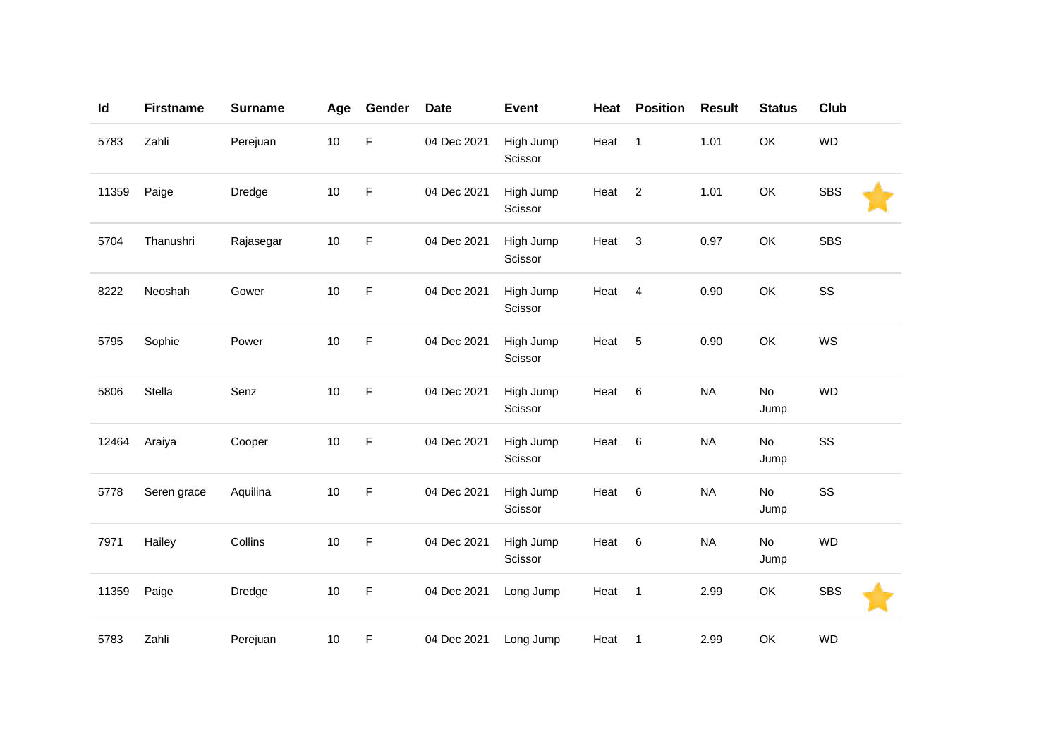| Id    | <b>Firstname</b> | <b>Surname</b> | Age    | Gender | <b>Date</b> | <b>Event</b>         | Heat | <b>Position</b> | <b>Result</b> | <b>Status</b> | <b>Club</b> |  |
|-------|------------------|----------------|--------|--------|-------------|----------------------|------|-----------------|---------------|---------------|-------------|--|
| 5783  | Zahli            | Perejuan       | $10$   | F      | 04 Dec 2021 | High Jump<br>Scissor | Heat | $\mathbf{1}$    | 1.01          | OK            | <b>WD</b>   |  |
| 11359 | Paige            | Dredge         | 10     | F      | 04 Dec 2021 | High Jump<br>Scissor | Heat | $\overline{c}$  | 1.01          | OK            | <b>SBS</b>  |  |
| 5704  | Thanushri        | Rajasegar      | $10$   | F      | 04 Dec 2021 | High Jump<br>Scissor | Heat | $\mathbf{3}$    | 0.97          | OK            | <b>SBS</b>  |  |
| 8222  | Neoshah          | Gower          | $10$   | F      | 04 Dec 2021 | High Jump<br>Scissor | Heat | $\overline{4}$  | 0.90          | OK            | SS          |  |
| 5795  | Sophie           | Power          | 10     | F      | 04 Dec 2021 | High Jump<br>Scissor | Heat | 5               | 0.90          | OK            | WS          |  |
| 5806  | Stella           | Senz           | $10\,$ | F      | 04 Dec 2021 | High Jump<br>Scissor | Heat | 6               | <b>NA</b>     | No<br>Jump    | <b>WD</b>   |  |
| 12464 | Araiya           | Cooper         | $10$   | F      | 04 Dec 2021 | High Jump<br>Scissor | Heat | 6               | <b>NA</b>     | No<br>Jump    | SS          |  |
| 5778  | Seren grace      | Aquilina       | $10$   | F      | 04 Dec 2021 | High Jump<br>Scissor | Heat | 6               | <b>NA</b>     | No<br>Jump    | SS          |  |
| 7971  | Hailey           | Collins        | 10     | F      | 04 Dec 2021 | High Jump<br>Scissor | Heat | $\,6$           | <b>NA</b>     | No<br>Jump    | <b>WD</b>   |  |
| 11359 | Paige            | Dredge         | $10$   | F      | 04 Dec 2021 | Long Jump            | Heat | $\mathbf{1}$    | 2.99          | OK            | <b>SBS</b>  |  |
| 5783  | Zahli            | Perejuan       | $10$   | F      | 04 Dec 2021 | Long Jump            | Heat | $\mathbf{1}$    | 2.99          | OK            | <b>WD</b>   |  |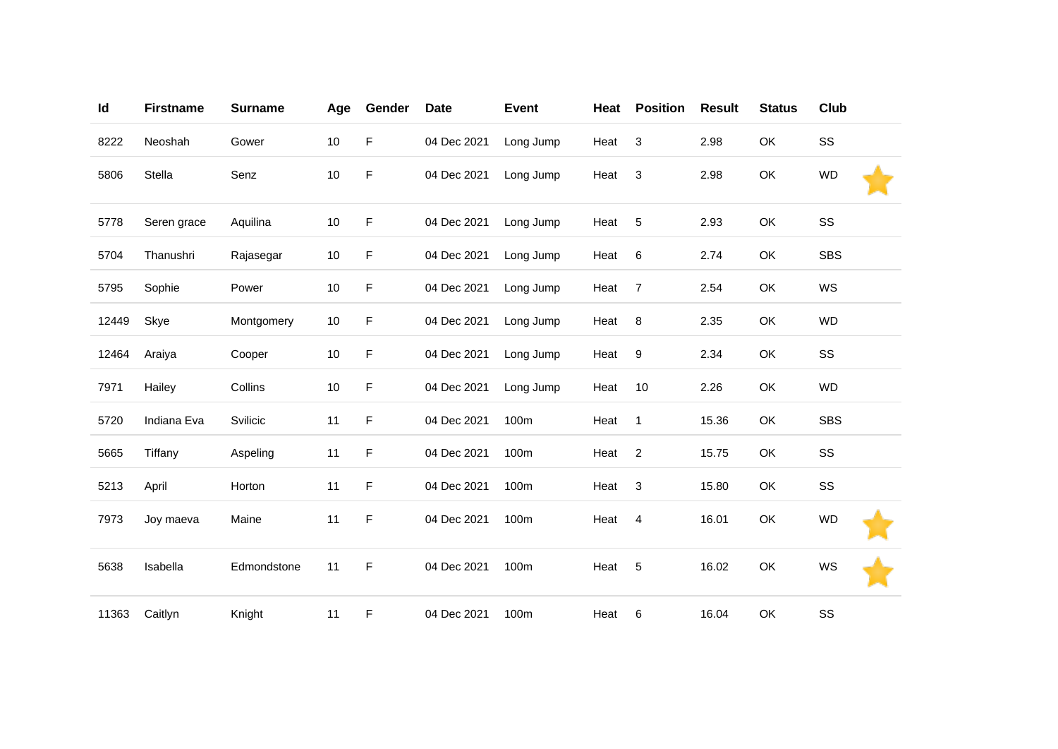| Id    | <b>Firstname</b> | <b>Surname</b> | Age  | Gender      | <b>Date</b> | <b>Event</b> | Heat | <b>Position</b> | <b>Result</b> | <b>Status</b> | Club       |
|-------|------------------|----------------|------|-------------|-------------|--------------|------|-----------------|---------------|---------------|------------|
| 8222  | Neoshah          | Gower          | $10$ | F           | 04 Dec 2021 | Long Jump    | Heat | $\mathbf{3}$    | 2.98          | OK            | SS         |
| 5806  | Stella           | Senz           | $10$ | $\mathsf F$ | 04 Dec 2021 | Long Jump    | Heat | 3               | 2.98          | OK            | <b>WD</b>  |
| 5778  | Seren grace      | Aquilina       | 10   | F           | 04 Dec 2021 | Long Jump    | Heat | $\sqrt{5}$      | 2.93          | OK            | SS         |
| 5704  | Thanushri        | Rajasegar      | $10$ | F           | 04 Dec 2021 | Long Jump    | Heat | 6               | 2.74          | OK            | <b>SBS</b> |
| 5795  | Sophie           | Power          | $10$ | F           | 04 Dec 2021 | Long Jump    | Heat | $\overline{7}$  | 2.54          | OK            | WS         |
| 12449 | Skye             | Montgomery     | 10   | F           | 04 Dec 2021 | Long Jump    | Heat | 8               | 2.35          | OK            | <b>WD</b>  |
| 12464 | Araiya           | Cooper         | 10   | F           | 04 Dec 2021 | Long Jump    | Heat | $9\,$           | 2.34          | OK            | SS         |
| 7971  | Hailey           | Collins        | $10$ | F           | 04 Dec 2021 | Long Jump    | Heat | 10              | 2.26          | OK            | <b>WD</b>  |
| 5720  | Indiana Eva      | Svilicic       | 11   | F           | 04 Dec 2021 | 100m         | Heat | $\mathbf{1}$    | 15.36         | OK            | <b>SBS</b> |
| 5665  | Tiffany          | Aspeling       | 11   | F           | 04 Dec 2021 | 100m         | Heat | $\overline{2}$  | 15.75         | OK            | SS         |
| 5213  | April            | Horton         | 11   | F           | 04 Dec 2021 | 100m         | Heat | $\sqrt{3}$      | 15.80         | OK            | SS         |
| 7973  | Joy maeva        | Maine          | 11   | F           | 04 Dec 2021 | 100m         | Heat | 4               | 16.01         | OK            | <b>WD</b>  |
| 5638  | Isabella         | Edmondstone    | 11   | F           | 04 Dec 2021 | 100m         | Heat | 5               | 16.02         | OK            | WS         |
| 11363 | Caitlyn          | Knight         | 11   | F           | 04 Dec 2021 | 100m         | Heat | 6               | 16.04         | OK            | SS         |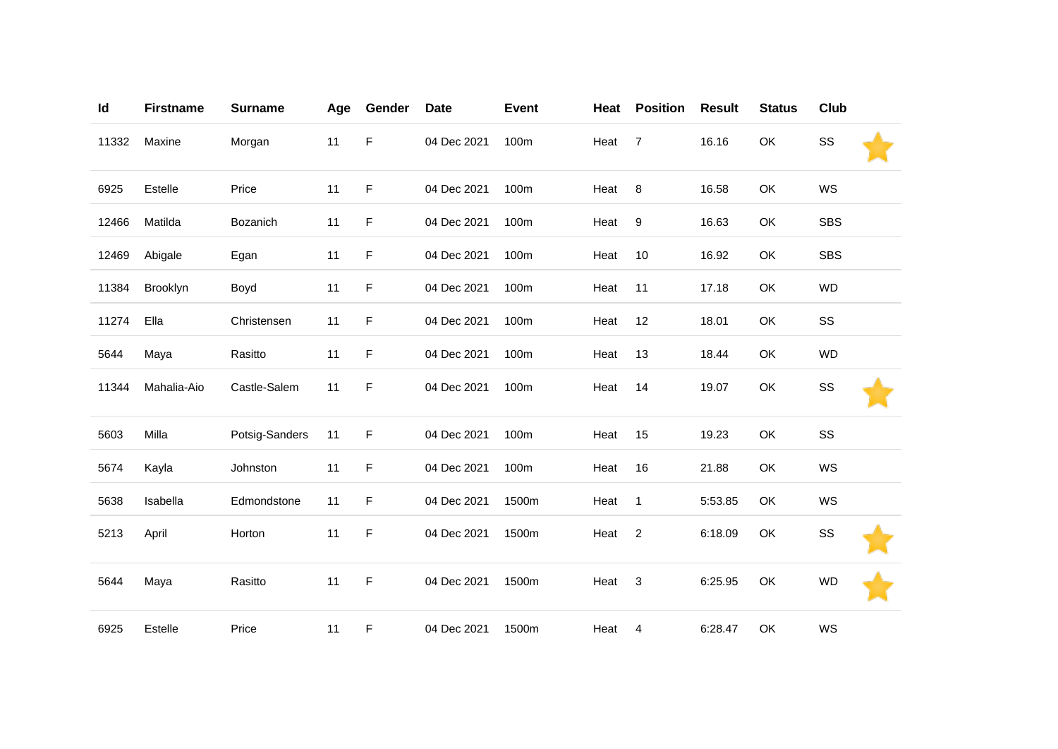| Id    | <b>Firstname</b> | <b>Surname</b> | Age | Gender | <b>Date</b> | <b>Event</b> | Heat | <b>Position</b> | <b>Result</b> | <b>Status</b> | Club       |
|-------|------------------|----------------|-----|--------|-------------|--------------|------|-----------------|---------------|---------------|------------|
| 11332 | Maxine           | Morgan         | 11  | F      | 04 Dec 2021 | 100m         | Heat | $\overline{7}$  | 16.16         | OK            | SS         |
| 6925  | Estelle          | Price          | 11  | F      | 04 Dec 2021 | 100m         | Heat | 8               | 16.58         | OK            | WS         |
| 12466 | Matilda          | Bozanich       | 11  | F      | 04 Dec 2021 | 100m         | Heat | 9               | 16.63         | OK            | <b>SBS</b> |
| 12469 | Abigale          | Egan           | 11  | F      | 04 Dec 2021 | 100m         | Heat | 10              | 16.92         | OK            | <b>SBS</b> |
| 11384 | Brooklyn         | Boyd           | 11  | F      | 04 Dec 2021 | 100m         | Heat | 11              | 17.18         | OK            | <b>WD</b>  |
| 11274 | Ella             | Christensen    | 11  | F      | 04 Dec 2021 | 100m         | Heat | 12              | 18.01         | OK            | SS         |
| 5644  | Maya             | Rasitto        | 11  | F      | 04 Dec 2021 | 100m         | Heat | 13              | 18.44         | OK            | <b>WD</b>  |
| 11344 | Mahalia-Aio      | Castle-Salem   | 11  | F      | 04 Dec 2021 | 100m         | Heat | 14              | 19.07         | OK            | SS         |
| 5603  | Milla            | Potsig-Sanders | 11  | F      | 04 Dec 2021 | 100m         | Heat | 15              | 19.23         | OK            | SS         |
| 5674  | Kayla            | Johnston       | 11  | F      | 04 Dec 2021 | 100m         | Heat | 16              | 21.88         | OK            | WS         |
| 5638  | Isabella         | Edmondstone    | 11  | F      | 04 Dec 2021 | 1500m        | Heat | $\mathbf{1}$    | 5:53.85       | OK            | WS         |
| 5213  | April            | Horton         | 11  | F      | 04 Dec 2021 | 1500m        | Heat | $\overline{c}$  | 6:18.09       | OK            | SS         |
| 5644  | Maya             | Rasitto        | 11  | F      | 04 Dec 2021 | 1500m        | Heat | 3               | 6:25.95       | OK            | <b>WD</b>  |
| 6925  | Estelle          | Price          | 11  | F      | 04 Dec 2021 | 1500m        | Heat | $\overline{4}$  | 6:28.47       | OK            | WS         |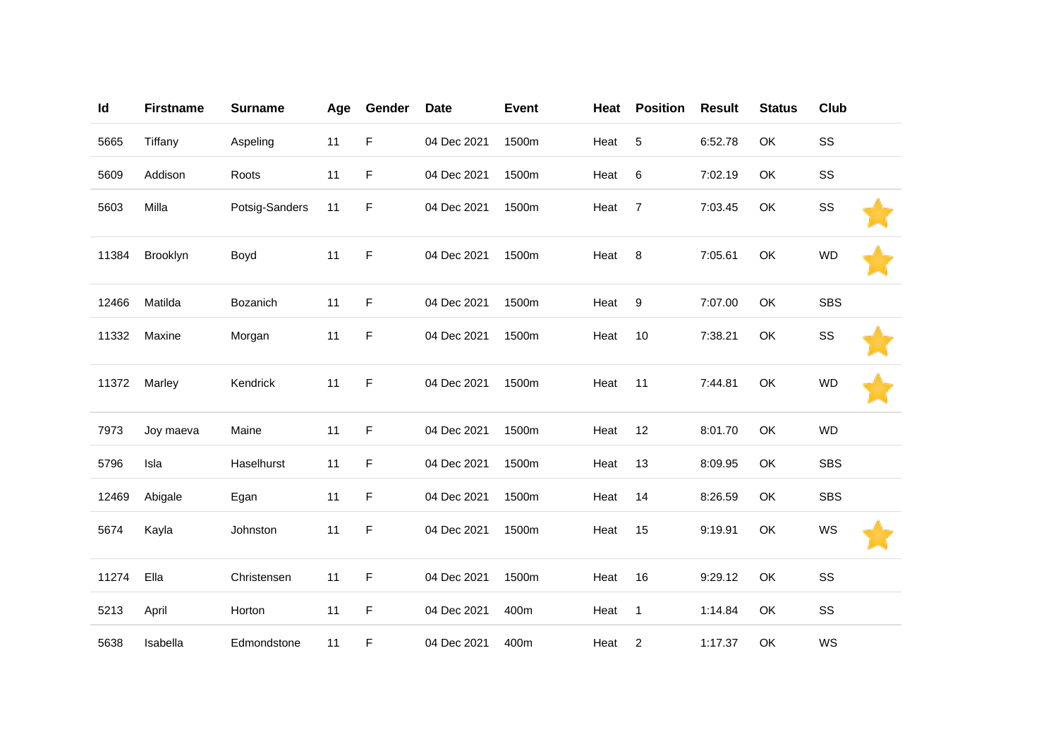| Id    | <b>Firstname</b> | <b>Surname</b> | Age | Gender | <b>Date</b> | <b>Event</b> | Heat | <b>Position</b> | <b>Result</b> | <b>Status</b> | Club       |  |
|-------|------------------|----------------|-----|--------|-------------|--------------|------|-----------------|---------------|---------------|------------|--|
| 5665  | Tiffany          | Aspeling       | 11  | F      | 04 Dec 2021 | 1500m        | Heat | 5               | 6:52.78       | OK            | SS         |  |
| 5609  | Addison          | Roots          | 11  | F      | 04 Dec 2021 | 1500m        | Heat | 6               | 7:02.19       | OK            | SS         |  |
| 5603  | Milla            | Potsig-Sanders | 11  | F      | 04 Dec 2021 | 1500m        | Heat | $\overline{7}$  | 7:03.45       | OK            | SS         |  |
| 11384 | Brooklyn         | Boyd           | 11  | F      | 04 Dec 2021 | 1500m        | Heat | 8               | 7:05.61       | OK            | <b>WD</b>  |  |
| 12466 | Matilda          | Bozanich       | 11  | F      | 04 Dec 2021 | 1500m        | Heat | 9               | 7:07.00       | OK            | <b>SBS</b> |  |
| 11332 | Maxine           | Morgan         | 11  | F      | 04 Dec 2021 | 1500m        | Heat | 10              | 7:38.21       | OK            | SS         |  |
| 11372 | Marley           | Kendrick       | 11  | F      | 04 Dec 2021 | 1500m        | Heat | 11              | 7:44.81       | OK            | <b>WD</b>  |  |
| 7973  | Joy maeva        | Maine          | 11  | F      | 04 Dec 2021 | 1500m        | Heat | 12              | 8:01.70       | OK            | <b>WD</b>  |  |
| 5796  | Isla             | Haselhurst     | 11  | F      | 04 Dec 2021 | 1500m        | Heat | 13              | 8:09.95       | OK            | <b>SBS</b> |  |
| 12469 | Abigale          | Egan           | 11  | F      | 04 Dec 2021 | 1500m        | Heat | 14              | 8:26.59       | OK            | <b>SBS</b> |  |
| 5674  | Kayla            | Johnston       | 11  | F      | 04 Dec 2021 | 1500m        | Heat | 15              | 9:19.91       | OK            | WS         |  |
| 11274 | Ella             | Christensen    | 11  | F      | 04 Dec 2021 | 1500m        | Heat | 16              | 9:29.12       | OK            | SS         |  |
| 5213  | April            | Horton         | 11  | F      | 04 Dec 2021 | 400m         | Heat | $\mathbf{1}$    | 1:14.84       | OK            | SS         |  |
| 5638  | Isabella         | Edmondstone    | 11  | F      | 04 Dec 2021 | 400m         | Heat | $\overline{c}$  | 1:17.37       | OK            | WS         |  |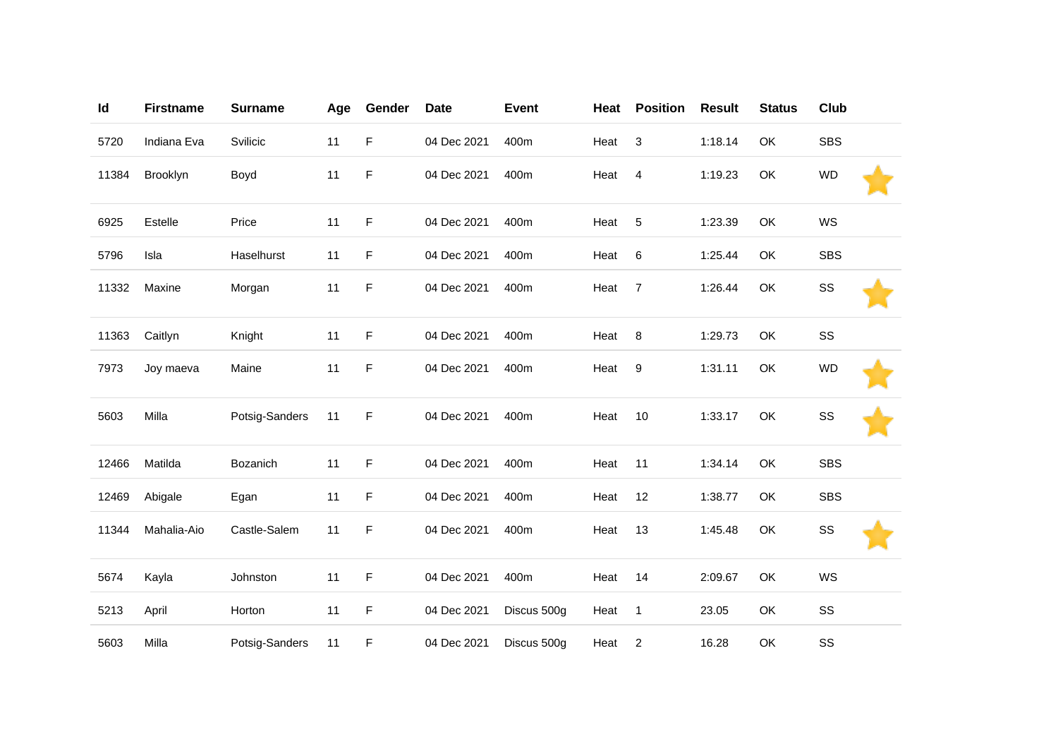| Id    | <b>Firstname</b> | <b>Surname</b> | Age | Gender | <b>Date</b> | <b>Event</b> | Heat | <b>Position</b>  | <b>Result</b> | <b>Status</b> | Club       |  |
|-------|------------------|----------------|-----|--------|-------------|--------------|------|------------------|---------------|---------------|------------|--|
| 5720  | Indiana Eva      | Svilicic       | 11  | F      | 04 Dec 2021 | 400m         | Heat | 3                | 1:18.14       | OK            | <b>SBS</b> |  |
| 11384 | Brooklyn         | Boyd           | 11  | F      | 04 Dec 2021 | 400m         | Heat | $\overline{4}$   | 1:19.23       | OK            | <b>WD</b>  |  |
| 6925  | Estelle          | Price          | 11  | F      | 04 Dec 2021 | 400m         | Heat | 5                | 1:23.39       | OK            | WS         |  |
| 5796  | Isla             | Haselhurst     | 11  | F      | 04 Dec 2021 | 400m         | Heat | 6                | 1:25.44       | OK            | <b>SBS</b> |  |
| 11332 | Maxine           | Morgan         | 11  | F      | 04 Dec 2021 | 400m         | Heat | $\overline{7}$   | 1:26.44       | OK            | SS         |  |
| 11363 | Caitlyn          | Knight         | 11  | F      | 04 Dec 2021 | 400m         | Heat | 8                | 1:29.73       | OK            | SS         |  |
| 7973  | Joy maeva        | Maine          | 11  | F      | 04 Dec 2021 | 400m         | Heat | $\boldsymbol{9}$ | 1:31.11       | OK            | <b>WD</b>  |  |
| 5603  | Milla            | Potsig-Sanders | 11  | F      | 04 Dec 2021 | 400m         | Heat | 10               | 1:33.17       | OK            | SS         |  |
| 12466 | Matilda          | Bozanich       | 11  | F      | 04 Dec 2021 | 400m         | Heat | 11               | 1:34.14       | OK            | <b>SBS</b> |  |
| 12469 | Abigale          | Egan           | 11  | F      | 04 Dec 2021 | 400m         | Heat | 12               | 1:38.77       | OK            | <b>SBS</b> |  |
| 11344 | Mahalia-Aio      | Castle-Salem   | 11  | F      | 04 Dec 2021 | 400m         | Heat | 13               | 1:45.48       | OK            | SS         |  |
| 5674  | Kayla            | Johnston       | 11  | F      | 04 Dec 2021 | 400m         | Heat | 14               | 2:09.67       | OK            | WS         |  |
| 5213  | April            | Horton         | 11  | F      | 04 Dec 2021 | Discus 500g  | Heat | $\mathbf{1}$     | 23.05         | OK            | SS         |  |
| 5603  | Milla            | Potsig-Sanders | 11  | F      | 04 Dec 2021 | Discus 500g  | Heat | $\overline{c}$   | 16.28         | OK            | SS         |  |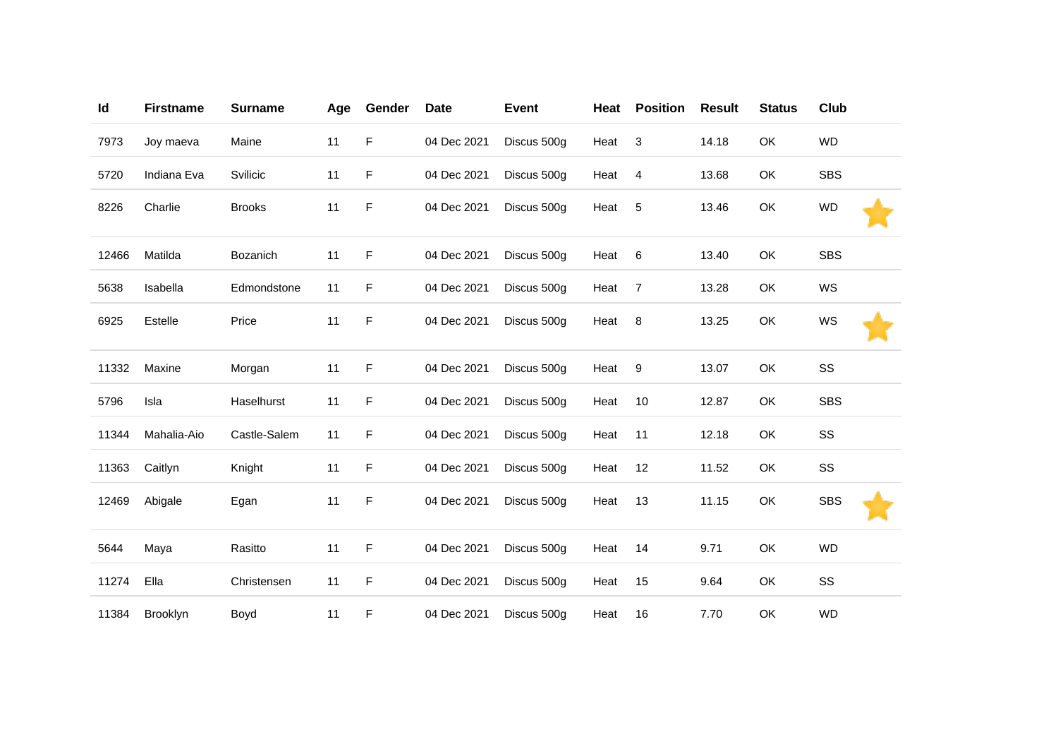| Id    | <b>Firstname</b> | <b>Surname</b>  | Age | Gender | <b>Date</b> | <b>Event</b> | Heat | <b>Position</b> | <b>Result</b> | <b>Status</b> | Club       |  |
|-------|------------------|-----------------|-----|--------|-------------|--------------|------|-----------------|---------------|---------------|------------|--|
| 7973  | Joy maeva        | Maine           | 11  | F      | 04 Dec 2021 | Discus 500g  | Heat | 3               | 14.18         | OK            | <b>WD</b>  |  |
| 5720  | Indiana Eva      | Svilicic        | 11  | F      | 04 Dec 2021 | Discus 500g  | Heat | 4               | 13.68         | OK            | <b>SBS</b> |  |
| 8226  | Charlie          | <b>Brooks</b>   | 11  | F      | 04 Dec 2021 | Discus 500g  | Heat | 5               | 13.46         | OK            | <b>WD</b>  |  |
| 12466 | Matilda          | <b>Bozanich</b> | 11  | F      | 04 Dec 2021 | Discus 500g  | Heat | 6               | 13.40         | OK            | <b>SBS</b> |  |
| 5638  | Isabella         | Edmondstone     | 11  | F      | 04 Dec 2021 | Discus 500g  | Heat | 7               | 13.28         | <b>OK</b>     | WS         |  |
| 6925  | Estelle          | Price           | 11  | F      | 04 Dec 2021 | Discus 500g  | Heat | 8               | 13.25         | <b>OK</b>     | WS         |  |
| 11332 | Maxine           | Morgan          | 11  | F      | 04 Dec 2021 | Discus 500g  | Heat | 9               | 13.07         | OK            | SS         |  |
| 5796  | Isla             | Haselhurst      | 11  | F      | 04 Dec 2021 | Discus 500g  | Heat | 10              | 12.87         | OK            | <b>SBS</b> |  |
| 11344 | Mahalia-Aio      | Castle-Salem    | 11  | F      | 04 Dec 2021 | Discus 500g  | Heat | 11              | 12.18         | OK            | SS         |  |
| 11363 | Caitlyn          | Knight          | 11  | F      | 04 Dec 2021 | Discus 500g  | Heat | 12              | 11.52         | OK            | SS         |  |
| 12469 | Abigale          | Egan            | 11  | F      | 04 Dec 2021 | Discus 500g  | Heat | 13              | 11.15         | OK            | <b>SBS</b> |  |
| 5644  | Maya             | Rasitto         | 11  | F      | 04 Dec 2021 | Discus 500g  | Heat | 14              | 9.71          | OK            | <b>WD</b>  |  |
| 11274 | Ella             | Christensen     | 11  | F      | 04 Dec 2021 | Discus 500g  | Heat | 15              | 9.64          | OK            | SS         |  |
| 11384 | <b>Brooklyn</b>  | Boyd            | 11  | F      | 04 Dec 2021 | Discus 500g  | Heat | 16              | 7.70          | OK            | <b>WD</b>  |  |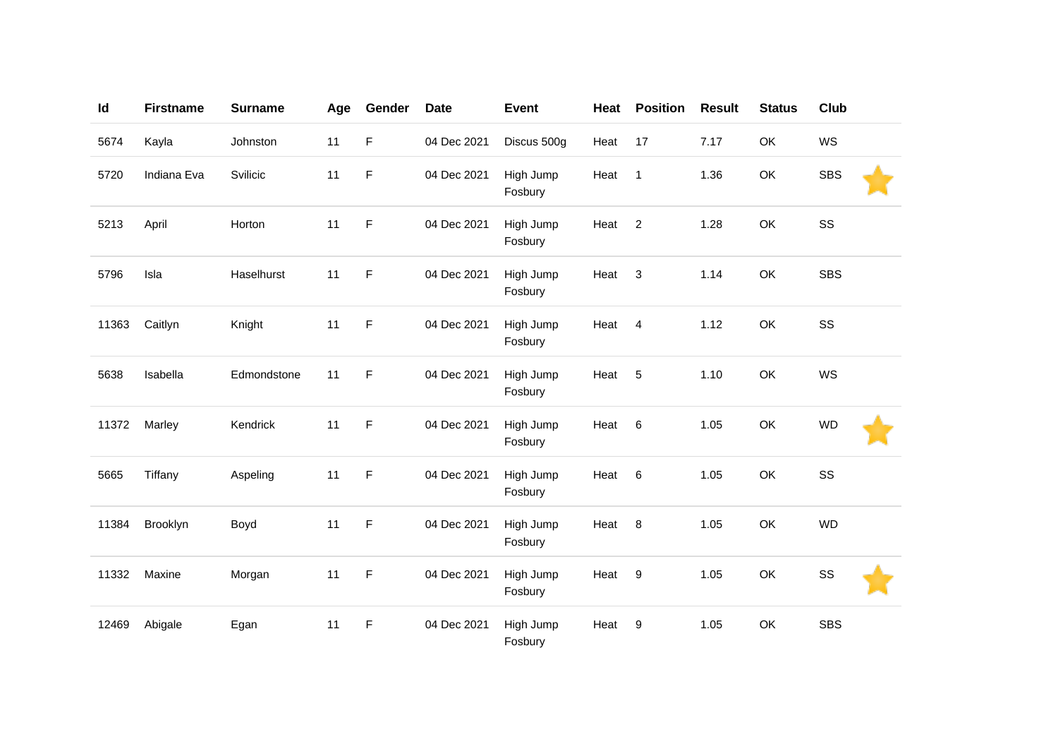| Id    | <b>Firstname</b> | <b>Surname</b> | Age | Gender | <b>Date</b> | <b>Event</b>         | Heat | <b>Position</b> | <b>Result</b> | <b>Status</b> | Club       |  |
|-------|------------------|----------------|-----|--------|-------------|----------------------|------|-----------------|---------------|---------------|------------|--|
| 5674  | Kayla            | Johnston       | 11  | F      | 04 Dec 2021 | Discus 500g          | Heat | 17              | 7.17          | OK            | WS         |  |
| 5720  | Indiana Eva      | Svilicic       | 11  | F      | 04 Dec 2021 | High Jump<br>Fosbury | Heat | $\mathbf{1}$    | 1.36          | OK            | <b>SBS</b> |  |
| 5213  | April            | Horton         | 11  | F      | 04 Dec 2021 | High Jump<br>Fosbury | Heat | $\overline{2}$  | 1.28          | OK            | SS         |  |
| 5796  | Isla             | Haselhurst     | 11  | F      | 04 Dec 2021 | High Jump<br>Fosbury | Heat | 3               | 1.14          | OK            | <b>SBS</b> |  |
| 11363 | Caitlyn          | Knight         | 11  | F      | 04 Dec 2021 | High Jump<br>Fosbury | Heat | 4               | 1.12          | OK            | SS         |  |
| 5638  | Isabella         | Edmondstone    | 11  | F      | 04 Dec 2021 | High Jump<br>Fosbury | Heat | 5               | 1.10          | OK            | WS         |  |
| 11372 | Marley           | Kendrick       | 11  | F      | 04 Dec 2021 | High Jump<br>Fosbury | Heat | $6\phantom{1}6$ | 1.05          | OK            | <b>WD</b>  |  |
| 5665  | Tiffany          | Aspeling       | 11  | F      | 04 Dec 2021 | High Jump<br>Fosbury | Heat | 6               | 1.05          | OK            | SS         |  |
| 11384 | Brooklyn         | Boyd           | 11  | F      | 04 Dec 2021 | High Jump<br>Fosbury | Heat | 8               | 1.05          | OK            | <b>WD</b>  |  |
| 11332 | Maxine           | Morgan         | 11  | F      | 04 Dec 2021 | High Jump<br>Fosbury | Heat | 9               | 1.05          | OK            | SS         |  |
| 12469 | Abigale          | Egan           | 11  | F      | 04 Dec 2021 | High Jump<br>Fosbury | Heat | 9               | 1.05          | OK            | <b>SBS</b> |  |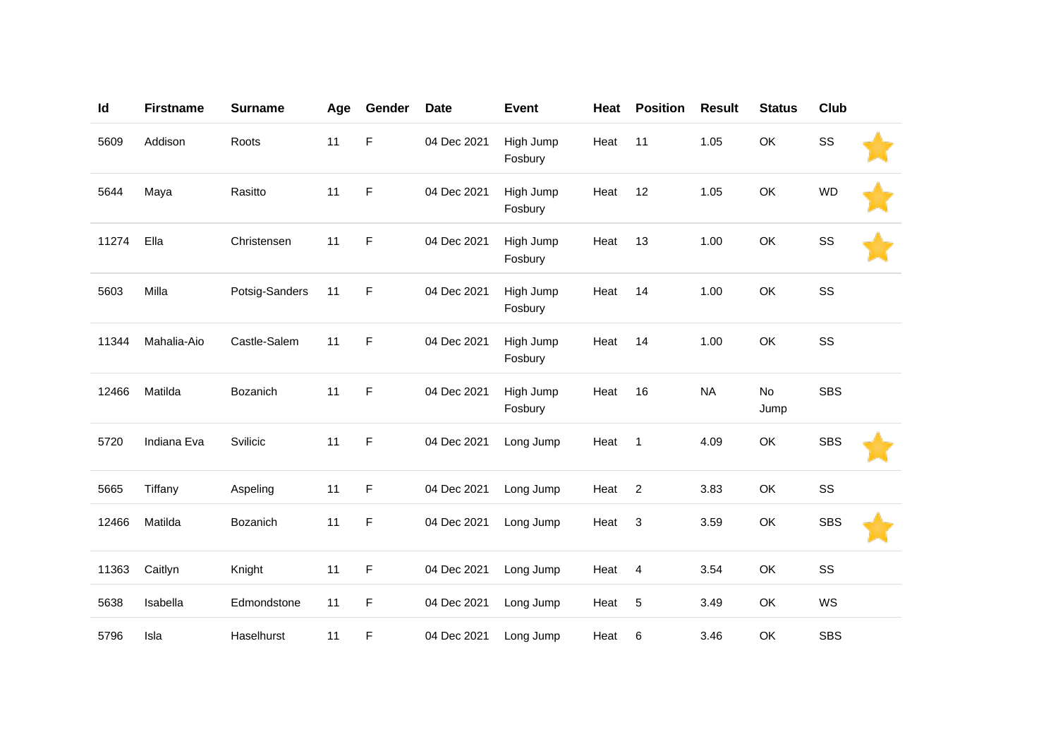| Id    | <b>Firstname</b> | <b>Surname</b> | Age | Gender | <b>Date</b> | <b>Event</b>         | Heat | <b>Position</b> | <b>Result</b> | <b>Status</b> | Club       |  |
|-------|------------------|----------------|-----|--------|-------------|----------------------|------|-----------------|---------------|---------------|------------|--|
| 5609  | Addison          | Roots          | 11  | F      | 04 Dec 2021 | High Jump<br>Fosbury | Heat | 11              | 1.05          | OK            | SS         |  |
| 5644  | Maya             | Rasitto        | 11  | F      | 04 Dec 2021 | High Jump<br>Fosbury | Heat | 12              | 1.05          | OK            | <b>WD</b>  |  |
| 11274 | Ella             | Christensen    | 11  | F      | 04 Dec 2021 | High Jump<br>Fosbury | Heat | 13              | 1.00          | OK            | SS         |  |
| 5603  | Milla            | Potsig-Sanders | 11  | F      | 04 Dec 2021 | High Jump<br>Fosbury | Heat | 14              | 1.00          | OK            | SS         |  |
| 11344 | Mahalia-Aio      | Castle-Salem   | 11  | F      | 04 Dec 2021 | High Jump<br>Fosbury | Heat | 14              | 1.00          | OK            | SS         |  |
| 12466 | Matilda          | Bozanich       | 11  | F      | 04 Dec 2021 | High Jump<br>Fosbury | Heat | 16              | <b>NA</b>     | No<br>Jump    | <b>SBS</b> |  |
| 5720  | Indiana Eva      | Svilicic       | 11  | F      | 04 Dec 2021 | Long Jump            | Heat | $\overline{1}$  | 4.09          | OK            | <b>SBS</b> |  |
| 5665  | Tiffany          | Aspeling       | 11  | F      | 04 Dec 2021 | Long Jump            | Heat | $\sqrt{2}$      | 3.83          | OK            | SS         |  |
| 12466 | Matilda          | Bozanich       | 11  | F      | 04 Dec 2021 | Long Jump            | Heat | 3               | 3.59          | OK            | <b>SBS</b> |  |
| 11363 | Caitlyn          | Knight         | 11  | F      | 04 Dec 2021 | Long Jump            | Heat | $\overline{4}$  | 3.54          | OK            | SS         |  |
| 5638  | Isabella         | Edmondstone    | 11  | F      | 04 Dec 2021 | Long Jump            | Heat | $\sqrt{5}$      | 3.49          | OK            | WS         |  |
| 5796  | Isla             | Haselhurst     | 11  | F      | 04 Dec 2021 | Long Jump            | Heat | 6               | 3.46          | OK            | <b>SBS</b> |  |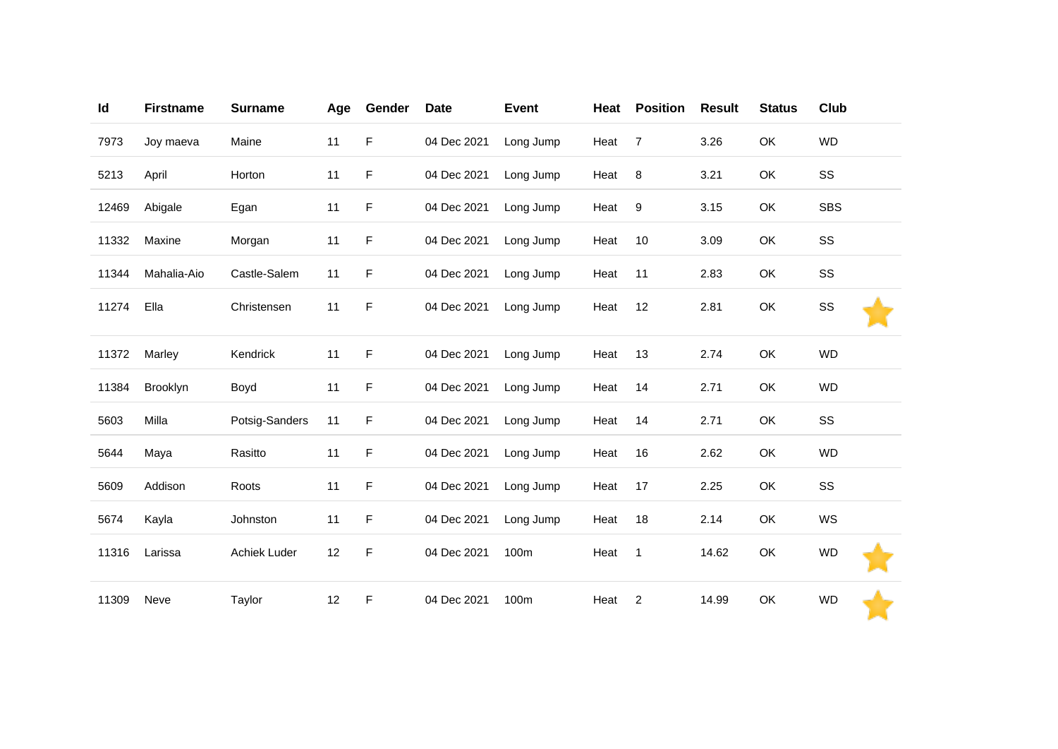| Id    | <b>Firstname</b> | <b>Surname</b> | Age | Gender | <b>Date</b> | <b>Event</b> | Heat | <b>Position</b> | <b>Result</b> | <b>Status</b> | Club       |  |
|-------|------------------|----------------|-----|--------|-------------|--------------|------|-----------------|---------------|---------------|------------|--|
| 7973  | Joy maeva        | Maine          | 11  | F      | 04 Dec 2021 | Long Jump    | Heat | $\overline{7}$  | 3.26          | OK            | <b>WD</b>  |  |
| 5213  | April            | Horton         | 11  | F      | 04 Dec 2021 | Long Jump    | Heat | 8               | 3.21          | OK            | SS         |  |
| 12469 | Abigale          | Egan           | 11  | F      | 04 Dec 2021 | Long Jump    | Heat | $9\,$           | 3.15          | OK            | <b>SBS</b> |  |
| 11332 | Maxine           | Morgan         | 11  | F      | 04 Dec 2021 | Long Jump    | Heat | 10              | 3.09          | OK            | SS         |  |
| 11344 | Mahalia-Aio      | Castle-Salem   | 11  | F      | 04 Dec 2021 | Long Jump    | Heat | 11              | 2.83          | OK            | SS         |  |
| 11274 | Ella             | Christensen    | 11  | F      | 04 Dec 2021 | Long Jump    | Heat | 12              | 2.81          | OK            | SS         |  |
| 11372 | Marley           | Kendrick       | 11  | F      | 04 Dec 2021 | Long Jump    | Heat | 13              | 2.74          | OK            | <b>WD</b>  |  |
| 11384 | Brooklyn         | Boyd           | 11  | F      | 04 Dec 2021 | Long Jump    | Heat | 14              | 2.71          | OK            | <b>WD</b>  |  |
| 5603  | Milla            | Potsig-Sanders | 11  | F      | 04 Dec 2021 | Long Jump    | Heat | 14              | 2.71          | OK            | SS         |  |
| 5644  | Maya             | Rasitto        | 11  | F      | 04 Dec 2021 | Long Jump    | Heat | 16              | 2.62          | OK            | <b>WD</b>  |  |
| 5609  | Addison          | Roots          | 11  | F      | 04 Dec 2021 | Long Jump    | Heat | 17              | 2.25          | OK            | SS         |  |
| 5674  | Kayla            | Johnston       | 11  | F      | 04 Dec 2021 | Long Jump    | Heat | 18              | 2.14          | OK            | WS         |  |
| 11316 | Larissa          | Achiek Luder   | 12  | F      | 04 Dec 2021 | 100m         | Heat | $\mathbf{1}$    | 14.62         | OK            | <b>WD</b>  |  |
| 11309 | Neve             | Taylor         | 12  | F      | 04 Dec 2021 | 100m         | Heat | $\overline{c}$  | 14.99         | OK            | <b>WD</b>  |  |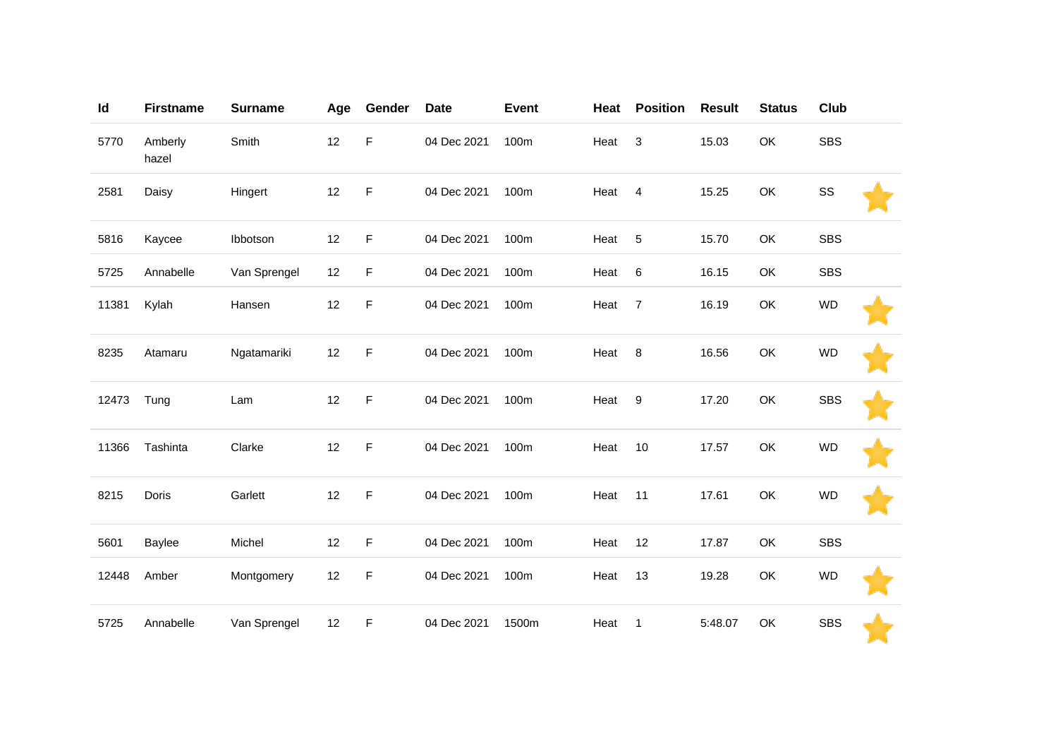| Id    | <b>Firstname</b> | <b>Surname</b> | Age | Gender      | <b>Date</b> | <b>Event</b> | Heat | <b>Position</b> | <b>Result</b> | <b>Status</b> | Club       |  |
|-------|------------------|----------------|-----|-------------|-------------|--------------|------|-----------------|---------------|---------------|------------|--|
| 5770  | Amberly<br>hazel | Smith          | 12  | F           | 04 Dec 2021 | 100m         | Heat | 3               | 15.03         | OK            | <b>SBS</b> |  |
| 2581  | Daisy            | Hingert        | 12  | F           | 04 Dec 2021 | 100m         | Heat | $\overline{4}$  | 15.25         | OK            | SS         |  |
| 5816  | Kaycee           | Ibbotson       | 12  | F           | 04 Dec 2021 | 100m         | Heat | 5               | 15.70         | OK            | <b>SBS</b> |  |
| 5725  | Annabelle        | Van Sprengel   | 12  | F           | 04 Dec 2021 | 100m         | Heat | 6               | 16.15         | OK            | <b>SBS</b> |  |
| 11381 | Kylah            | Hansen         | 12  | F           | 04 Dec 2021 | 100m         | Heat | $\overline{7}$  | 16.19         | OK            | <b>WD</b>  |  |
| 8235  | Atamaru          | Ngatamariki    | 12  | F           | 04 Dec 2021 | 100m         | Heat | 8               | 16.56         | OK            | <b>WD</b>  |  |
| 12473 | Tung             | Lam            | 12  | F           | 04 Dec 2021 | 100m         | Heat | 9               | 17.20         | OK            | <b>SBS</b> |  |
| 11366 | Tashinta         | Clarke         | 12  | F           | 04 Dec 2021 | 100m         | Heat | 10              | 17.57         | OK            | <b>WD</b>  |  |
| 8215  | Doris            | Garlett        | 12  | $\mathsf F$ | 04 Dec 2021 | 100m         | Heat | 11              | 17.61         | OK            | <b>WD</b>  |  |
| 5601  | Baylee           | Michel         | 12  | F           | 04 Dec 2021 | 100m         | Heat | 12              | 17.87         | OK            | <b>SBS</b> |  |
| 12448 | Amber            | Montgomery     | 12  | F           | 04 Dec 2021 | 100m         | Heat | 13              | 19.28         | OK            | <b>WD</b>  |  |
| 5725  | Annabelle        | Van Sprengel   | 12  | F           | 04 Dec 2021 | 1500m        | Heat | $\mathbf{1}$    | 5:48.07       | OK            | <b>SBS</b> |  |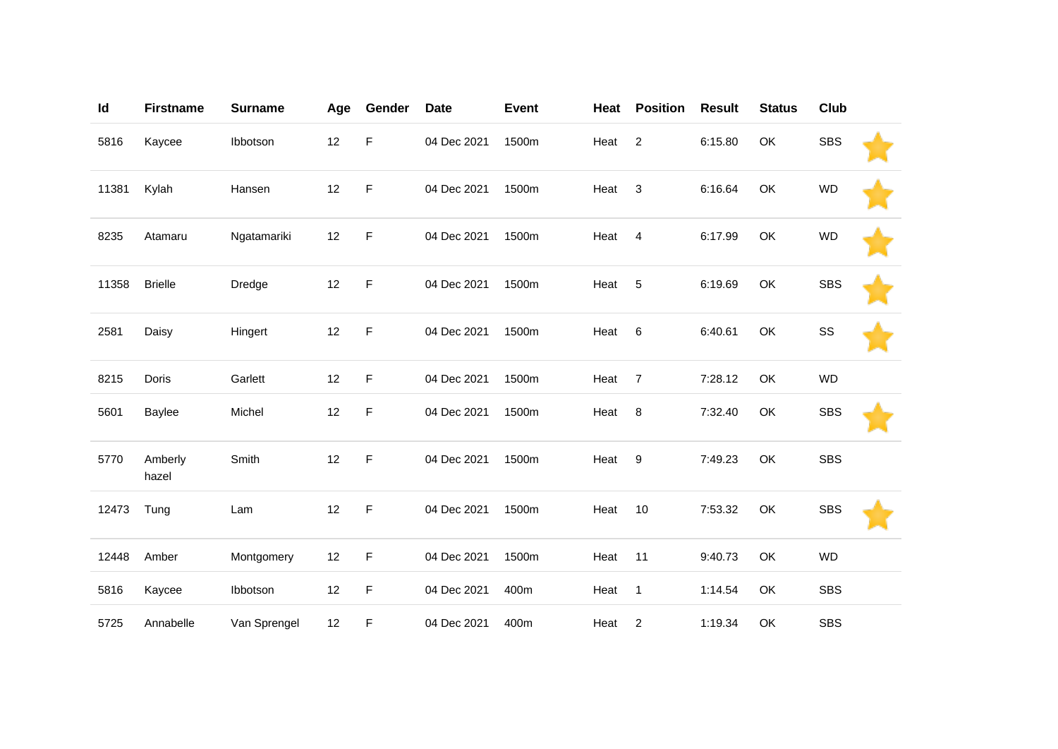| Id    | <b>Firstname</b> | <b>Surname</b> | Age | Gender | <b>Date</b> | <b>Event</b> | Heat | <b>Position</b> | <b>Result</b> | <b>Status</b> | Club       |  |
|-------|------------------|----------------|-----|--------|-------------|--------------|------|-----------------|---------------|---------------|------------|--|
| 5816  | Kaycee           | Ibbotson       | 12  | F      | 04 Dec 2021 | 1500m        | Heat | 2               | 6:15.80       | OK            | <b>SBS</b> |  |
| 11381 | Kylah            | Hansen         | 12  | F      | 04 Dec 2021 | 1500m        | Heat | 3               | 6:16.64       | OK            | <b>WD</b>  |  |
| 8235  | Atamaru          | Ngatamariki    | 12  | F      | 04 Dec 2021 | 1500m        | Heat | $\overline{4}$  | 6:17.99       | OK            | <b>WD</b>  |  |
| 11358 | <b>Brielle</b>   | Dredge         | 12  | F      | 04 Dec 2021 | 1500m        | Heat | 5               | 6:19.69       | OK            | <b>SBS</b> |  |
| 2581  | Daisy            | Hingert        | 12  | F      | 04 Dec 2021 | 1500m        | Heat | 6               | 6:40.61       | OK            | SS         |  |
| 8215  | Doris            | Garlett        | 12  | F.     | 04 Dec 2021 | 1500m        | Heat | $\overline{7}$  | 7:28.12       | OK            | <b>WD</b>  |  |
| 5601  | Baylee           | Michel         | 12  | F      | 04 Dec 2021 | 1500m        | Heat | 8               | 7:32.40       | OK            | <b>SBS</b> |  |
| 5770  | Amberly<br>hazel | Smith          | 12  | F      | 04 Dec 2021 | 1500m        | Heat | 9               | 7:49.23       | OK            | <b>SBS</b> |  |
| 12473 | Tung             | Lam            | 12  | F      | 04 Dec 2021 | 1500m        | Heat | 10              | 7:53.32       | OK            | <b>SBS</b> |  |
| 12448 | Amber            | Montgomery     | 12  | F      | 04 Dec 2021 | 1500m        | Heat | 11              | 9:40.73       | OK            | <b>WD</b>  |  |
| 5816  | Kaycee           | Ibbotson       | 12  | F      | 04 Dec 2021 | 400m         | Heat | $\mathbf{1}$    | 1:14.54       | OK            | <b>SBS</b> |  |
| 5725  | Annabelle        | Van Sprengel   | 12  | F      | 04 Dec 2021 | 400m         | Heat | $\overline{c}$  | 1:19.34       | OK            | <b>SBS</b> |  |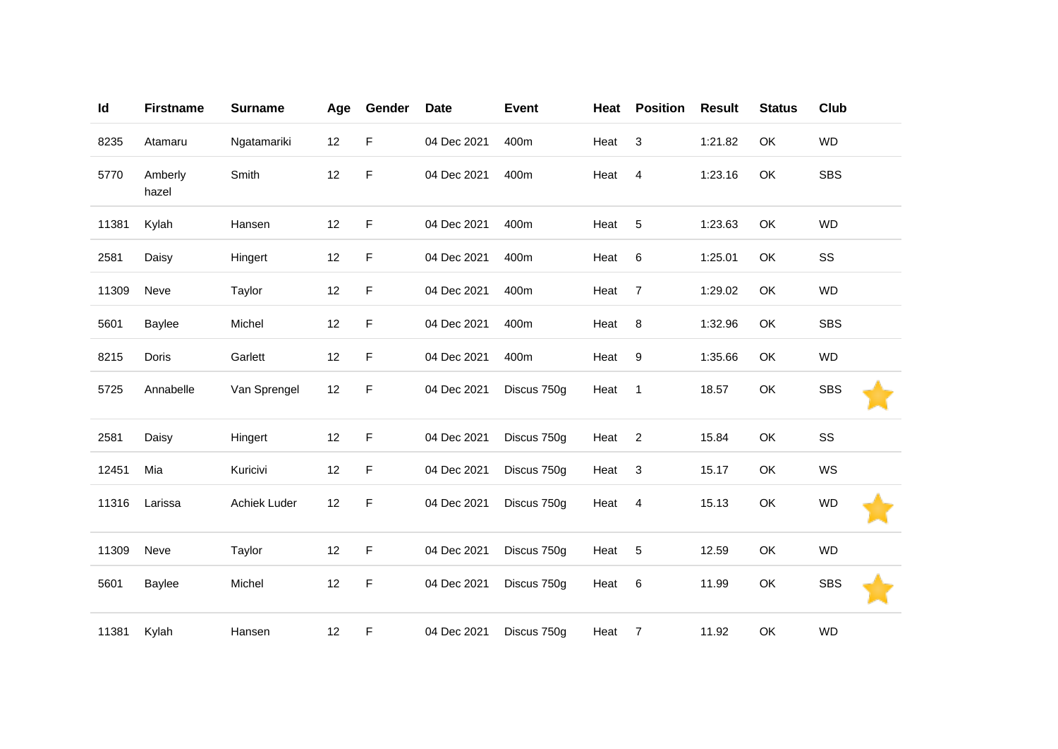| Id    | <b>Firstname</b> | <b>Surname</b> | Age | Gender      | <b>Date</b> | <b>Event</b> | Heat | <b>Position</b> | <b>Result</b> | <b>Status</b> | Club       |
|-------|------------------|----------------|-----|-------------|-------------|--------------|------|-----------------|---------------|---------------|------------|
| 8235  | Atamaru          | Ngatamariki    | 12  | F           | 04 Dec 2021 | 400m         | Heat | 3               | 1:21.82       | OK            | WD         |
| 5770  | Amberly<br>hazel | Smith          | 12  | F           | 04 Dec 2021 | 400m         | Heat | $\overline{4}$  | 1:23.16       | OK            | <b>SBS</b> |
| 11381 | Kylah            | Hansen         | 12  | F           | 04 Dec 2021 | 400m         | Heat | 5               | 1:23.63       | OK            | <b>WD</b>  |
| 2581  | Daisy            | Hingert        | 12  | F           | 04 Dec 2021 | 400m         | Heat | 6               | 1:25.01       | OK            | SS         |
| 11309 | Neve             | Taylor         | 12  | F           | 04 Dec 2021 | 400m         | Heat | $\overline{7}$  | 1:29.02       | OK            | <b>WD</b>  |
| 5601  | Baylee           | Michel         | 12  | F           | 04 Dec 2021 | 400m         | Heat | 8               | 1:32.96       | OK            | <b>SBS</b> |
| 8215  | Doris            | Garlett        | 12  | F           | 04 Dec 2021 | 400m         | Heat | 9               | 1:35.66       | OK            | <b>WD</b>  |
| 5725  | Annabelle        | Van Sprengel   | 12  | F           | 04 Dec 2021 | Discus 750g  | Heat | $\overline{1}$  | 18.57         | OK            | <b>SBS</b> |
| 2581  | Daisy            | Hingert        | 12  | F           | 04 Dec 2021 | Discus 750g  | Heat | $\sqrt{2}$      | 15.84         | OK            | SS         |
| 12451 | Mia              | Kuricivi       | 12  | $\mathsf F$ | 04 Dec 2021 | Discus 750g  | Heat | 3               | 15.17         | OK            | WS         |
| 11316 | Larissa          | Achiek Luder   | 12  | F           | 04 Dec 2021 | Discus 750g  | Heat | $\overline{4}$  | 15.13         | OK            | <b>WD</b>  |
| 11309 | Neve             | Taylor         | 12  | F           | 04 Dec 2021 | Discus 750g  | Heat | 5               | 12.59         | OK            | <b>WD</b>  |
| 5601  | Baylee           | Michel         | 12  | F           | 04 Dec 2021 | Discus 750g  | Heat | 6               | 11.99         | OK            | <b>SBS</b> |
| 11381 | Kylah            | Hansen         | 12  | F           | 04 Dec 2021 | Discus 750g  | Heat | $\overline{7}$  | 11.92         | OK            | <b>WD</b>  |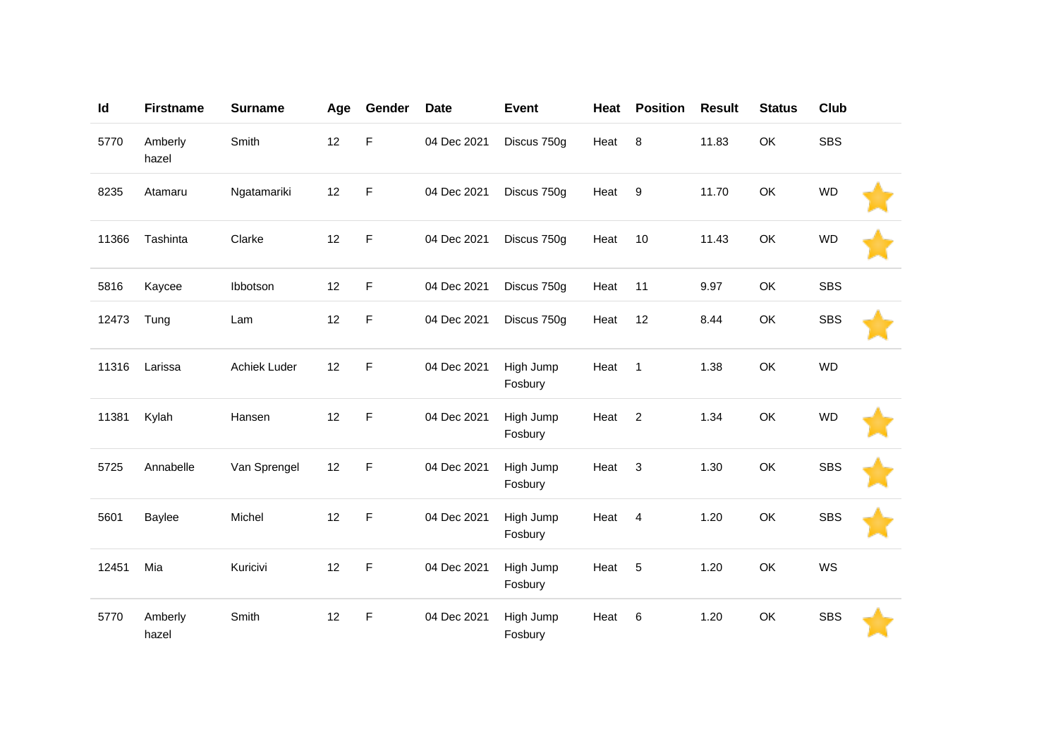| Id    | <b>Firstname</b> | <b>Surname</b> | Age | Gender | <b>Date</b> | <b>Event</b>         | Heat | <b>Position</b> | <b>Result</b> | <b>Status</b> | <b>Club</b> |  |
|-------|------------------|----------------|-----|--------|-------------|----------------------|------|-----------------|---------------|---------------|-------------|--|
| 5770  | Amberly<br>hazel | Smith          | 12  | F      | 04 Dec 2021 | Discus 750g          | Heat | 8               | 11.83         | OK            | <b>SBS</b>  |  |
| 8235  | Atamaru          | Ngatamariki    | 12  | F      | 04 Dec 2021 | Discus 750g          | Heat | 9               | 11.70         | OK            | <b>WD</b>   |  |
| 11366 | Tashinta         | Clarke         | 12  | F      | 04 Dec 2021 | Discus 750g          | Heat | 10              | 11.43         | OK            | <b>WD</b>   |  |
| 5816  | Kaycee           | Ibbotson       | 12  | F      | 04 Dec 2021 | Discus 750g          | Heat | 11              | 9.97          | OK            | <b>SBS</b>  |  |
| 12473 | Tung             | Lam            | 12  | F      | 04 Dec 2021 | Discus 750g          | Heat | 12              | 8.44          | OK            | <b>SBS</b>  |  |
| 11316 | Larissa          | Achiek Luder   | 12  | F      | 04 Dec 2021 | High Jump<br>Fosbury | Heat | $\mathbf{1}$    | 1.38          | OK            | <b>WD</b>   |  |
| 11381 | Kylah            | Hansen         | 12  | F      | 04 Dec 2021 | High Jump<br>Fosbury | Heat | $\overline{2}$  | 1.34          | OK            | <b>WD</b>   |  |
| 5725  | Annabelle        | Van Sprengel   | 12  | F      | 04 Dec 2021 | High Jump<br>Fosbury | Heat | 3               | 1.30          | OK            | <b>SBS</b>  |  |
| 5601  | Baylee           | Michel         | 12  | F      | 04 Dec 2021 | High Jump<br>Fosbury | Heat | 4               | 1.20          | OK            | <b>SBS</b>  |  |
| 12451 | Mia              | Kuricivi       | 12  | F      | 04 Dec 2021 | High Jump<br>Fosbury | Heat | 5               | 1.20          | OK            | WS          |  |
| 5770  | Amberly<br>hazel | Smith          | 12  | F      | 04 Dec 2021 | High Jump<br>Fosbury | Heat | 6               | 1.20          | OK            | <b>SBS</b>  |  |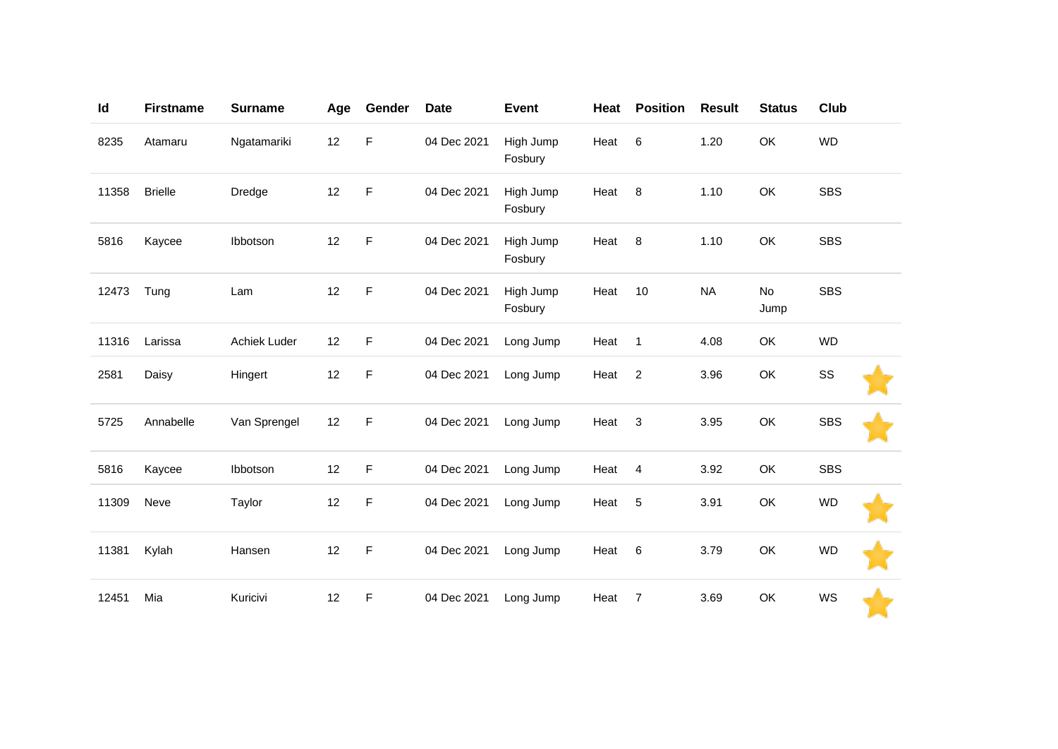| Id    | <b>Firstname</b> | <b>Surname</b> | Age | Gender      | <b>Date</b> | Event                | Heat | <b>Position</b> | <b>Result</b> | <b>Status</b>     | Club       |  |
|-------|------------------|----------------|-----|-------------|-------------|----------------------|------|-----------------|---------------|-------------------|------------|--|
| 8235  | Atamaru          | Ngatamariki    | 12  | F           | 04 Dec 2021 | High Jump<br>Fosbury | Heat | 6               | 1.20          | OK                | <b>WD</b>  |  |
| 11358 | <b>Brielle</b>   | Dredge         | 12  | $\mathsf F$ | 04 Dec 2021 | High Jump<br>Fosbury | Heat | 8               | 1.10          | OK                | <b>SBS</b> |  |
| 5816  | Kaycee           | Ibbotson       | 12  | $\mathsf F$ | 04 Dec 2021 | High Jump<br>Fosbury | Heat | $\, 8$          | 1.10          | OK                | <b>SBS</b> |  |
| 12473 | Tung             | Lam            | 12  | $\mathsf F$ | 04 Dec 2021 | High Jump<br>Fosbury | Heat | 10              | <b>NA</b>     | <b>No</b><br>Jump | <b>SBS</b> |  |
| 11316 | Larissa          | Achiek Luder   | 12  | $\mathsf F$ | 04 Dec 2021 | Long Jump            | Heat | $\overline{1}$  | 4.08          | OK                | <b>WD</b>  |  |
| 2581  | Daisy            | Hingert        | 12  | $\mathsf F$ | 04 Dec 2021 | Long Jump            | Heat | $\overline{2}$  | 3.96          | OK                | SS         |  |
| 5725  | Annabelle        | Van Sprengel   | 12  | $\mathsf F$ | 04 Dec 2021 | Long Jump            | Heat | 3               | 3.95          | OK                | <b>SBS</b> |  |
| 5816  | Kaycee           | Ibbotson       | 12  | $\mathsf F$ | 04 Dec 2021 | Long Jump            | Heat | $\overline{4}$  | 3.92          | OK                | <b>SBS</b> |  |
| 11309 | Neve             | Taylor         | 12  | F           | 04 Dec 2021 | Long Jump            | Heat | $\sqrt{5}$      | 3.91          | OK                | <b>WD</b>  |  |
| 11381 | Kylah            | Hansen         | 12  | $\mathsf F$ | 04 Dec 2021 | Long Jump            | Heat | 6               | 3.79          | OK                | <b>WD</b>  |  |
| 12451 | Mia              | Kuricivi       | 12  | F           | 04 Dec 2021 | Long Jump            | Heat | 7               | 3.69          | OK                | WS         |  |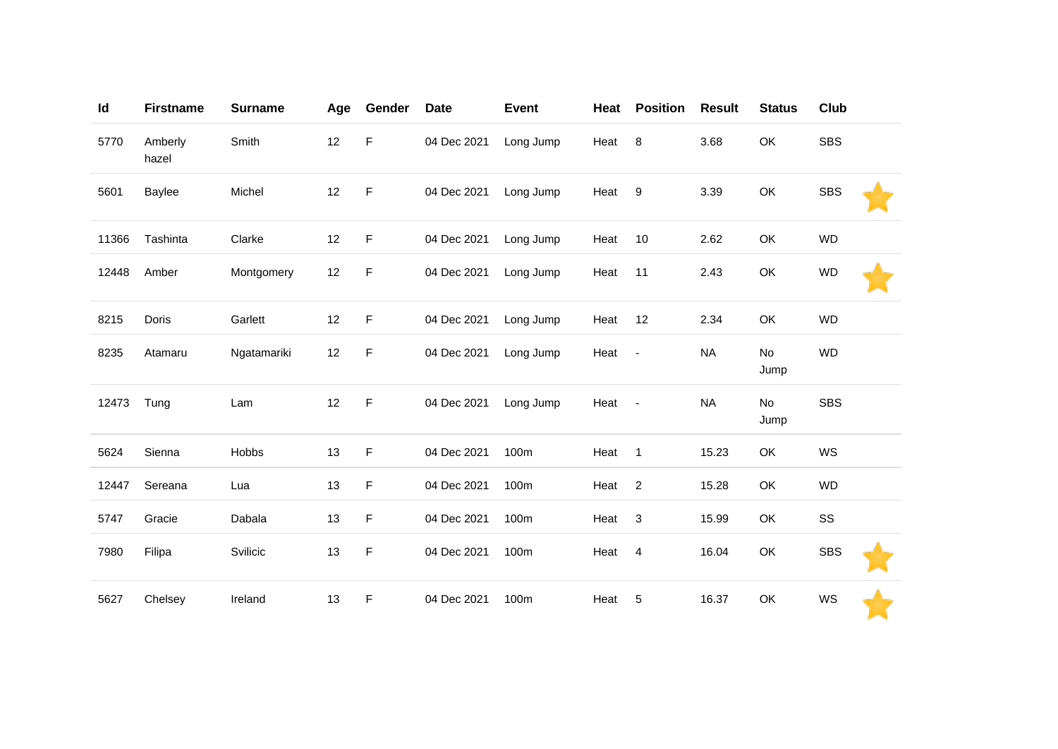| Id    | <b>Firstname</b> | <b>Surname</b> | Age | Gender      | <b>Date</b> | <b>Event</b> | Heat   | <b>Position</b>          | <b>Result</b> | <b>Status</b>     | <b>Club</b> |  |
|-------|------------------|----------------|-----|-------------|-------------|--------------|--------|--------------------------|---------------|-------------------|-------------|--|
| 5770  | Amberly<br>hazel | Smith          | 12  | $\mathsf F$ | 04 Dec 2021 | Long Jump    | Heat   | 8                        | 3.68          | OK                | <b>SBS</b>  |  |
| 5601  | Baylee           | Michel         | 12  | F           | 04 Dec 2021 | Long Jump    | Heat 9 |                          | 3.39          | OK                | <b>SBS</b>  |  |
| 11366 | Tashinta         | Clarke         | 12  | F           | 04 Dec 2021 | Long Jump    | Heat   | 10                       | 2.62          | OK                | <b>WD</b>   |  |
| 12448 | Amber            | Montgomery     | 12  | F           | 04 Dec 2021 | Long Jump    | Heat   | 11                       | 2.43          | OK                | <b>WD</b>   |  |
| 8215  | Doris            | Garlett        | 12  | F           | 04 Dec 2021 | Long Jump    | Heat   | 12                       | 2.34          | OK                | <b>WD</b>   |  |
| 8235  | Atamaru          | Ngatamariki    | 12  | F           | 04 Dec 2021 | Long Jump    | Heat   | $\blacksquare$           | <b>NA</b>     | No<br>Jump        | <b>WD</b>   |  |
| 12473 | Tung             | Lam            | 12  | F           | 04 Dec 2021 | Long Jump    | Heat   | $\overline{\phantom{a}}$ | <b>NA</b>     | <b>No</b><br>Jump | <b>SBS</b>  |  |
| 5624  | Sienna           | Hobbs          | 13  | F           | 04 Dec 2021 | 100m         | Heat   | $\mathbf{1}$             | 15.23         | OK                | WS          |  |
| 12447 | Sereana          | Lua            | 13  | F           | 04 Dec 2021 | 100m         | Heat   | $\overline{2}$           | 15.28         | OK                | <b>WD</b>   |  |
| 5747  | Gracie           | Dabala         | 13  | F           | 04 Dec 2021 | 100m         | Heat   | 3                        | 15.99         | OK                | SS          |  |
| 7980  | Filipa           | Svilicic       | 13  | F           | 04 Dec 2021 | 100m         | Heat   | 4                        | 16.04         | OK                | <b>SBS</b>  |  |
| 5627  | Chelsey          | Ireland        | 13  | F           | 04 Dec 2021 | 100m         | Heat   | 5                        | 16.37         | OK                | WS          |  |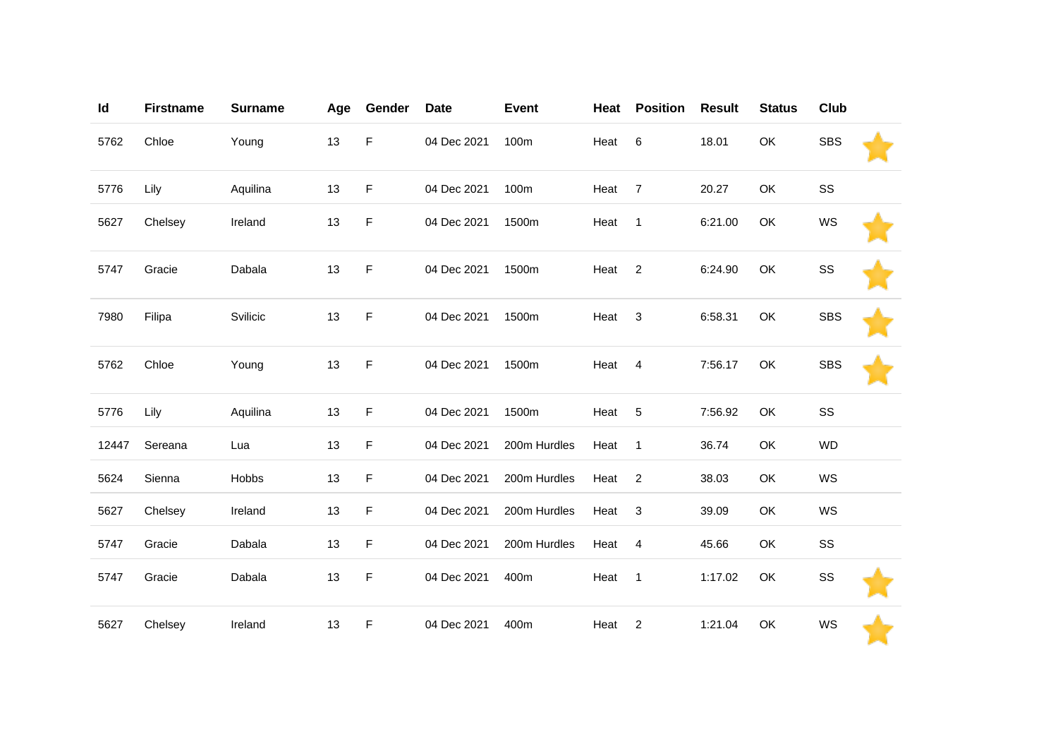| Id    | <b>Firstname</b> | <b>Surname</b> | Age | Gender      | <b>Date</b> | <b>Event</b> | Heat | <b>Position</b> | <b>Result</b> | <b>Status</b> | Club       |  |
|-------|------------------|----------------|-----|-------------|-------------|--------------|------|-----------------|---------------|---------------|------------|--|
| 5762  | Chloe            | Young          | 13  | F           | 04 Dec 2021 | 100m         | Heat | $\,6$           | 18.01         | OK            | <b>SBS</b> |  |
| 5776  | Lily             | Aquilina       | 13  | F           | 04 Dec 2021 | 100m         | Heat | $\overline{7}$  | 20.27         | OK            | SS         |  |
| 5627  | Chelsey          | Ireland        | 13  | F           | 04 Dec 2021 | 1500m        | Heat | $\mathbf{1}$    | 6:21.00       | OK            | WS         |  |
| 5747  | Gracie           | Dabala         | 13  | F           | 04 Dec 2021 | 1500m        | Heat | $\overline{2}$  | 6:24.90       | OK            | SS         |  |
| 7980  | Filipa           | Svilicic       | 13  | F           | 04 Dec 2021 | 1500m        | Heat | 3               | 6:58.31       | OK            | <b>SBS</b> |  |
| 5762  | Chloe            | Young          | 13  | $\mathsf F$ | 04 Dec 2021 | 1500m        | Heat | $\overline{4}$  | 7:56.17       | OK            | <b>SBS</b> |  |
| 5776  | Lily             | Aquilina       | 13  | F           | 04 Dec 2021 | 1500m        | Heat | $\overline{5}$  | 7:56.92       | OK            | SS         |  |
| 12447 | Sereana          | Lua            | 13  | F           | 04 Dec 2021 | 200m Hurdles | Heat | $\mathbf{1}$    | 36.74         | OK            | <b>WD</b>  |  |
| 5624  | Sienna           | Hobbs          | 13  | F           | 04 Dec 2021 | 200m Hurdles | Heat | $\overline{2}$  | 38.03         | OK            | WS         |  |
| 5627  | Chelsey          | Ireland        | 13  | F           | 04 Dec 2021 | 200m Hurdles | Heat | 3               | 39.09         | OK            | WS         |  |
| 5747  | Gracie           | Dabala         | 13  | F           | 04 Dec 2021 | 200m Hurdles | Heat | $\overline{4}$  | 45.66         | OK            | SS         |  |
| 5747  | Gracie           | Dabala         | 13  | F           | 04 Dec 2021 | 400m         | Heat | $\overline{1}$  | 1:17.02       | OK            | SS         |  |
| 5627  | Chelsey          | Ireland        | 13  | F           | 04 Dec 2021 | 400m         | Heat | $\overline{c}$  | 1:21.04       | OK            | WS         |  |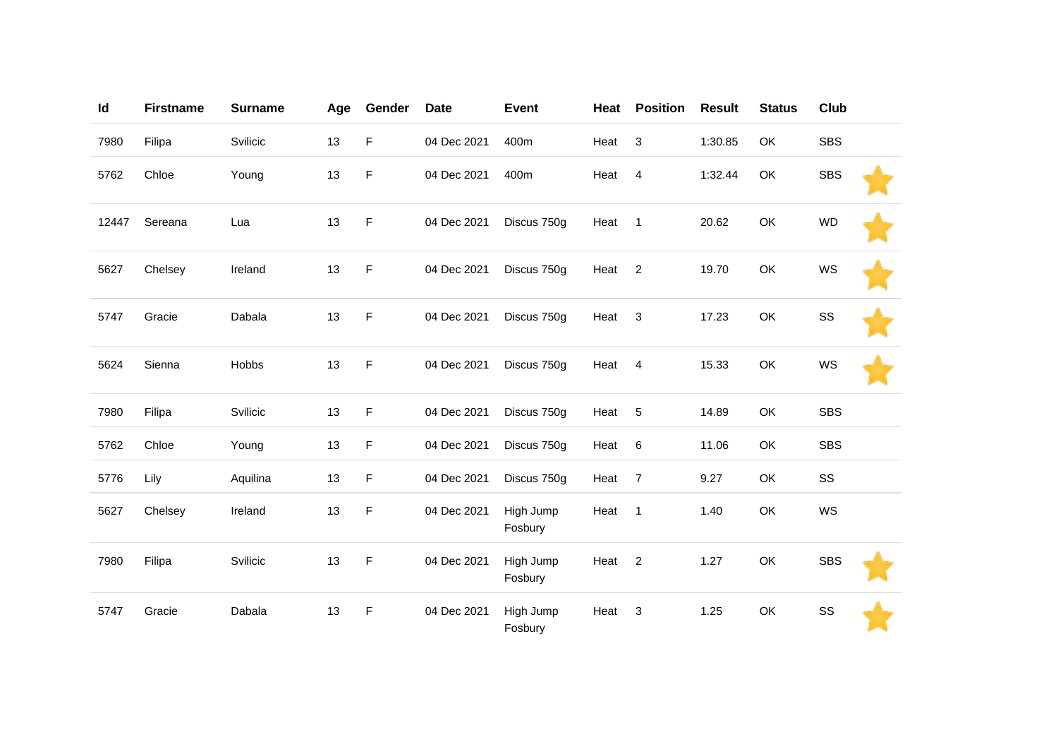| Id    | <b>Firstname</b> | <b>Surname</b> | Age | Gender | <b>Date</b> | <b>Event</b>         | Heat | <b>Position</b> | <b>Result</b> | <b>Status</b> | Club       |  |
|-------|------------------|----------------|-----|--------|-------------|----------------------|------|-----------------|---------------|---------------|------------|--|
| 7980  | Filipa           | Svilicic       | 13  | F      | 04 Dec 2021 | 400m                 | Heat | 3               | 1:30.85       | OK            | <b>SBS</b> |  |
| 5762  | Chloe            | Young          | 13  | F      | 04 Dec 2021 | 400m                 | Heat | $\overline{4}$  | 1:32.44       | OK            | <b>SBS</b> |  |
| 12447 | Sereana          | Lua            | 13  | F      | 04 Dec 2021 | Discus 750g          | Heat | $\mathbf{1}$    | 20.62         | OK            | <b>WD</b>  |  |
| 5627  | Chelsey          | Ireland        | 13  | F      | 04 Dec 2021 | Discus 750g          | Heat | 2               | 19.70         | OK            | WS         |  |
| 5747  | Gracie           | Dabala         | 13  | F      | 04 Dec 2021 | Discus 750g          | Heat | 3               | 17.23         | OK            | SS         |  |
| 5624  | Sienna           | Hobbs          | 13  | F      | 04 Dec 2021 | Discus 750g          | Heat | 4               | 15.33         | OK            | WS         |  |
| 7980  | Filipa           | Svilicic       | 13  | F      | 04 Dec 2021 | Discus 750g          | Heat | 5               | 14.89         | OK            | <b>SBS</b> |  |
| 5762  | Chloe            | Young          | 13  | F      | 04 Dec 2021 | Discus 750g          | Heat | $\,6$           | 11.06         | OK            | <b>SBS</b> |  |
| 5776  | Lily             | Aquilina       | 13  | F      | 04 Dec 2021 | Discus 750g          | Heat | $\overline{7}$  | 9.27          | OK            | SS         |  |
| 5627  | Chelsey          | Ireland        | 13  | F      | 04 Dec 2021 | High Jump<br>Fosbury | Heat | $\mathbf{1}$    | 1.40          | OK            | WS         |  |
| 7980  | Filipa           | Svilicic       | 13  | F      | 04 Dec 2021 | High Jump<br>Fosbury | Heat | $\overline{2}$  | 1.27          | OK            | <b>SBS</b> |  |
| 5747  | Gracie           | Dabala         | 13  | F      | 04 Dec 2021 | High Jump<br>Fosbury | Heat | 3               | 1.25          | OK            | SS         |  |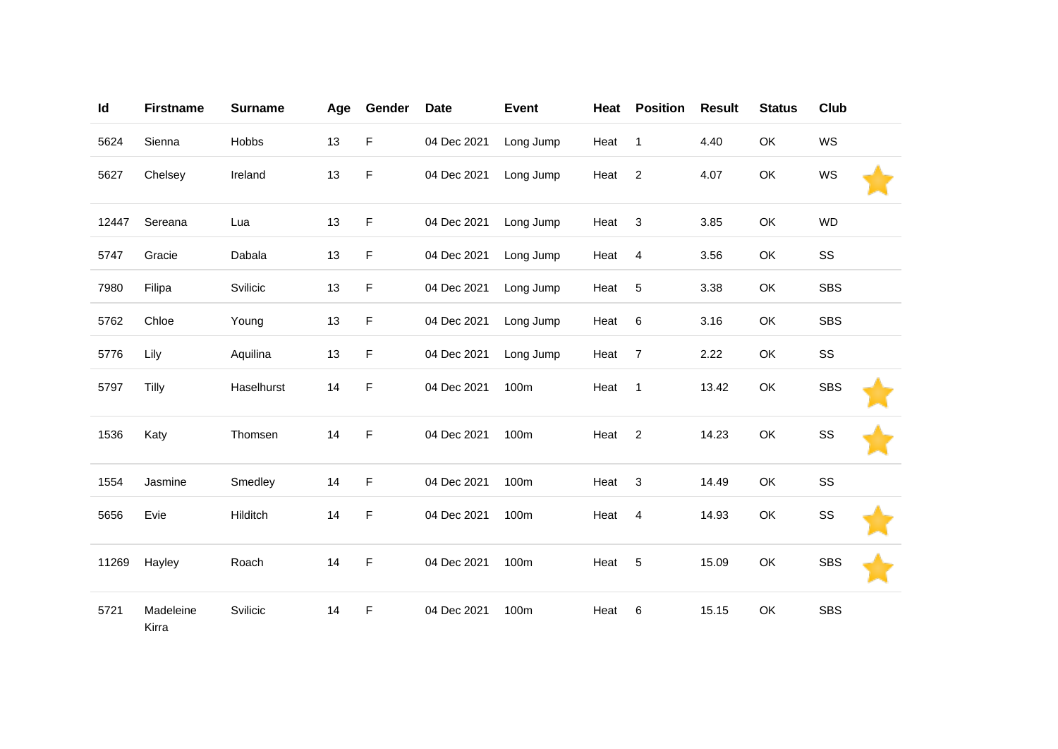| Id    | <b>Firstname</b>   | <b>Surname</b> | Age | Gender      | <b>Date</b> | <b>Event</b> | Heat | <b>Position</b> | <b>Result</b> | <b>Status</b> | Club       |
|-------|--------------------|----------------|-----|-------------|-------------|--------------|------|-----------------|---------------|---------------|------------|
| 5624  | Sienna             | Hobbs          | 13  | F           | 04 Dec 2021 | Long Jump    | Heat | $\mathbf{1}$    | 4.40          | OK            | WS         |
| 5627  | Chelsey            | Ireland        | 13  | $\mathsf F$ | 04 Dec 2021 | Long Jump    | Heat | $\sqrt{2}$      | 4.07          | OK            | WS         |
| 12447 | Sereana            | Lua            | 13  | F           | 04 Dec 2021 | Long Jump    | Heat | $\sqrt{3}$      | 3.85          | OK            | <b>WD</b>  |
| 5747  | Gracie             | Dabala         | 13  | F           | 04 Dec 2021 | Long Jump    | Heat | $\overline{4}$  | 3.56          | OK            | SS         |
| 7980  | Filipa             | Svilicic       | 13  | $\mathsf F$ | 04 Dec 2021 | Long Jump    | Heat | 5               | 3.38          | OK            | <b>SBS</b> |
| 5762  | Chloe              | Young          | 13  | F           | 04 Dec 2021 | Long Jump    | Heat | 6               | 3.16          | OK            | <b>SBS</b> |
| 5776  | Lily               | Aquilina       | 13  | F           | 04 Dec 2021 | Long Jump    | Heat | $\overline{7}$  | 2.22          | OK            | SS         |
| 5797  | Tilly              | Haselhurst     | 14  | F           | 04 Dec 2021 | 100m         | Heat | $\mathbf{1}$    | 13.42         | OK            | <b>SBS</b> |
| 1536  | Katy               | Thomsen        | 14  | F           | 04 Dec 2021 | 100m         | Heat | $\overline{2}$  | 14.23         | OK            | SS         |
| 1554  | Jasmine            | Smedley        | 14  | $\mathsf F$ | 04 Dec 2021 | 100m         | Heat | $\sqrt{3}$      | 14.49         | OK            | SS         |
| 5656  | Evie               | Hilditch       | 14  | F           | 04 Dec 2021 | 100m         | Heat | 4               | 14.93         | OK            | SS         |
| 11269 | Hayley             | Roach          | 14  | $\mathsf F$ | 04 Dec 2021 | 100m         | Heat | 5               | 15.09         | OK            | <b>SBS</b> |
| 5721  | Madeleine<br>Kirra | Svilicic       | 14  | F           | 04 Dec 2021 | 100m         | Heat | 6               | 15.15         | OK            | <b>SBS</b> |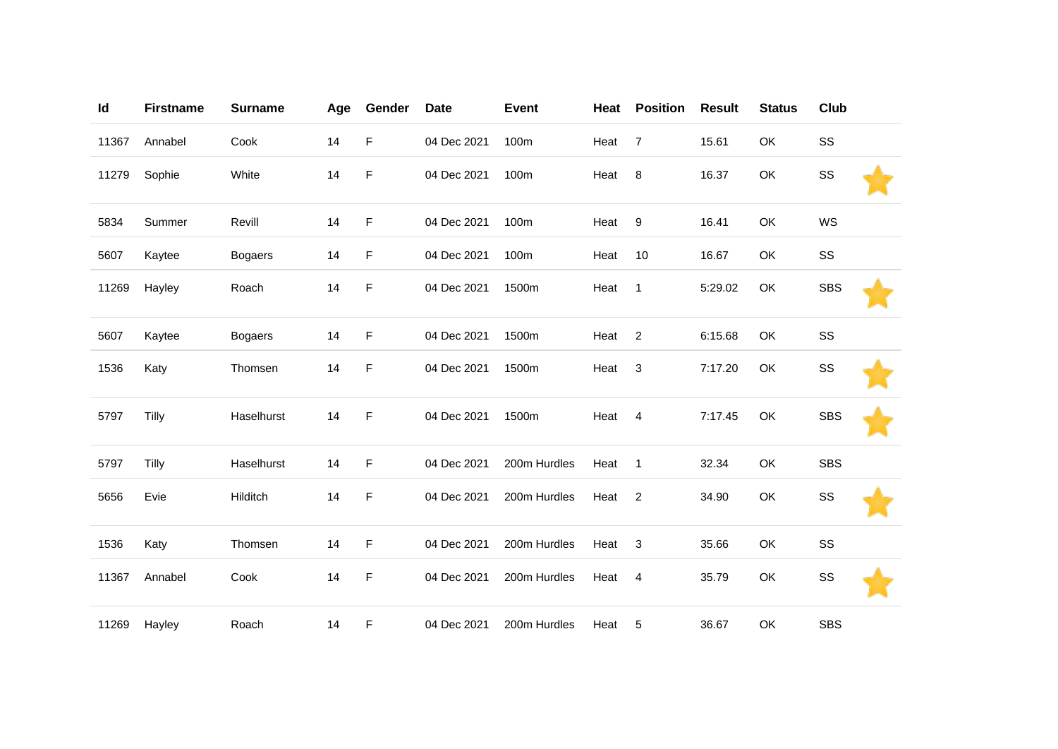| Id    | <b>Firstname</b> | <b>Surname</b> | Age | Gender | <b>Date</b> | <b>Event</b> | Heat | <b>Position</b> | <b>Result</b> | <b>Status</b> | Club       |  |
|-------|------------------|----------------|-----|--------|-------------|--------------|------|-----------------|---------------|---------------|------------|--|
| 11367 | Annabel          | Cook           | 14  | F      | 04 Dec 2021 | 100m         | Heat | $\overline{7}$  | 15.61         | OK            | SS         |  |
| 11279 | Sophie           | White          | 14  | F      | 04 Dec 2021 | 100m         | Heat | $\bf 8$         | 16.37         | OK            | SS         |  |
| 5834  | Summer           | Revill         | 14  | F      | 04 Dec 2021 | 100m         | Heat | 9               | 16.41         | OK            | WS         |  |
| 5607  | Kaytee           | <b>Bogaers</b> | 14  | F      | 04 Dec 2021 | 100m         | Heat | 10              | 16.67         | OK            | SS         |  |
| 11269 | Hayley           | Roach          | 14  | F      | 04 Dec 2021 | 1500m        | Heat | $\mathbf{1}$    | 5:29.02       | OK            | <b>SBS</b> |  |
| 5607  | Kaytee           | <b>Bogaers</b> | 14  | F      | 04 Dec 2021 | 1500m        | Heat | $\overline{2}$  | 6:15.68       | OK            | SS         |  |
| 1536  | Katy             | Thomsen        | 14  | F      | 04 Dec 2021 | 1500m        | Heat | $\sqrt{3}$      | 7:17.20       | OK            | SS         |  |
| 5797  | Tilly            | Haselhurst     | 14  | F      | 04 Dec 2021 | 1500m        | Heat | $\overline{4}$  | 7:17.45       | OK            | <b>SBS</b> |  |
| 5797  | Tilly            | Haselhurst     | 14  | F      | 04 Dec 2021 | 200m Hurdles | Heat | $\mathbf{1}$    | 32.34         | OK            | <b>SBS</b> |  |
| 5656  | Evie             | Hilditch       | 14  | F      | 04 Dec 2021 | 200m Hurdles | Heat | $\overline{2}$  | 34.90         | OK            | SS         |  |
| 1536  | Katy             | Thomsen        | 14  | F      | 04 Dec 2021 | 200m Hurdles | Heat | 3               | 35.66         | OK            | SS         |  |
| 11367 | Annabel          | Cook           | 14  | F      | 04 Dec 2021 | 200m Hurdles | Heat | 4               | 35.79         | OK            | SS         |  |
| 11269 | Hayley           | Roach          | 14  | F      | 04 Dec 2021 | 200m Hurdles | Heat | 5               | 36.67         | OK            | <b>SBS</b> |  |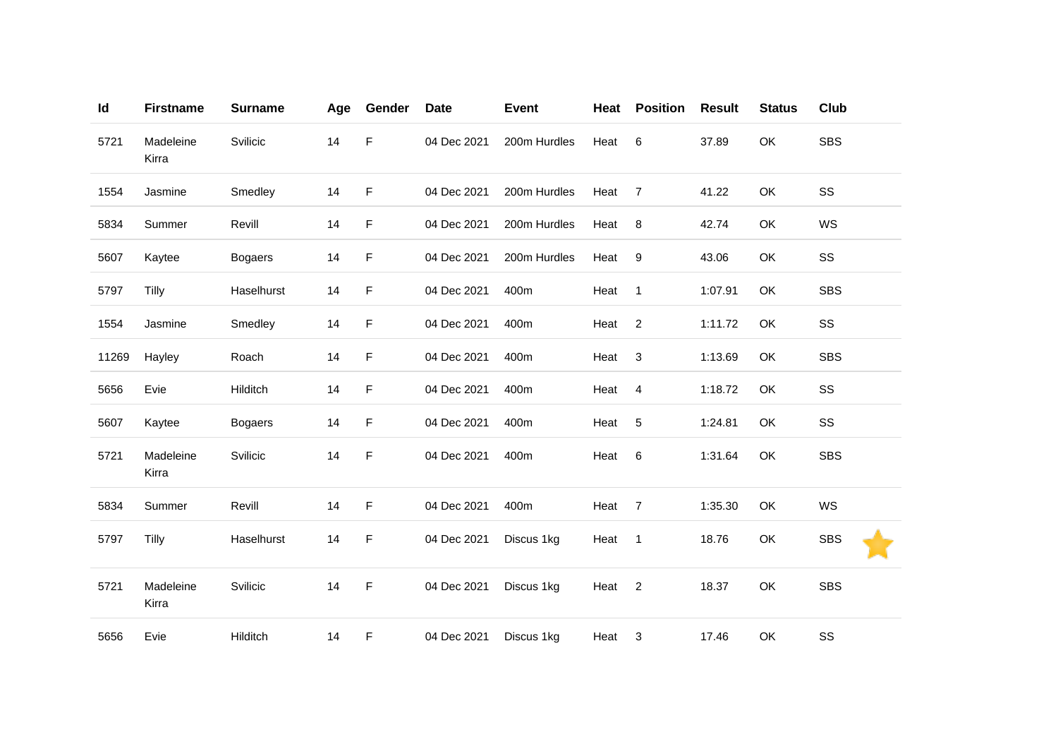| Id    | <b>Firstname</b>   | <b>Surname</b> | Age | Gender | <b>Date</b> | <b>Event</b> | Heat | <b>Position</b>           | <b>Result</b> | <b>Status</b> | Club       |
|-------|--------------------|----------------|-----|--------|-------------|--------------|------|---------------------------|---------------|---------------|------------|
| 5721  | Madeleine<br>Kirra | Svilicic       | 14  | F      | 04 Dec 2021 | 200m Hurdles | Heat | 6                         | 37.89         | OK            | <b>SBS</b> |
| 1554  | Jasmine            | Smedley        | 14  | F      | 04 Dec 2021 | 200m Hurdles | Heat | $\overline{7}$            | 41.22         | OK            | SS         |
| 5834  | Summer             | Revill         | 14  | F      | 04 Dec 2021 | 200m Hurdles | Heat | 8                         | 42.74         | OK            | WS         |
| 5607  | Kaytee             | <b>Bogaers</b> | 14  | F      | 04 Dec 2021 | 200m Hurdles | Heat | $\boldsymbol{9}$          | 43.06         | OK            | SS         |
| 5797  | Tilly              | Haselhurst     | 14  | F      | 04 Dec 2021 | 400m         | Heat | $\mathbf{1}$              | 1:07.91       | OK            | <b>SBS</b> |
| 1554  | Jasmine            | Smedley        | 14  | F      | 04 Dec 2021 | 400m         | Heat | $\overline{2}$            | 1:11.72       | OK            | SS         |
| 11269 | Hayley             | Roach          | 14  | F      | 04 Dec 2021 | 400m         | Heat | $\ensuremath{\mathsf{3}}$ | 1:13.69       | OK            | <b>SBS</b> |
| 5656  | Evie               | Hilditch       | 14  | F      | 04 Dec 2021 | 400m         | Heat | $\overline{4}$            | 1:18.72       | OK            | SS         |
| 5607  | Kaytee             | <b>Bogaers</b> | 14  | F      | 04 Dec 2021 | 400m         | Heat | $\sqrt{5}$                | 1:24.81       | OK            | SS         |
| 5721  | Madeleine<br>Kirra | Svilicic       | 14  | F      | 04 Dec 2021 | 400m         | Heat | $6\phantom{1}6$           | 1:31.64       | OK            | <b>SBS</b> |
| 5834  | Summer             | Revill         | 14  | F      | 04 Dec 2021 | 400m         | Heat | $\overline{7}$            | 1:35.30       | OK            | WS         |
| 5797  | Tilly              | Haselhurst     | 14  | F      | 04 Dec 2021 | Discus 1kg   | Heat | $\mathbf{1}$              | 18.76         | OK            | <b>SBS</b> |
| 5721  | Madeleine<br>Kirra | Svilicic       | 14  | F      | 04 Dec 2021 | Discus 1kg   | Heat | $\overline{2}$            | 18.37         | OK            | <b>SBS</b> |
| 5656  | Evie               | Hilditch       | 14  | F      | 04 Dec 2021 | Discus 1kg   | Heat | 3                         | 17.46         | OK            | SS         |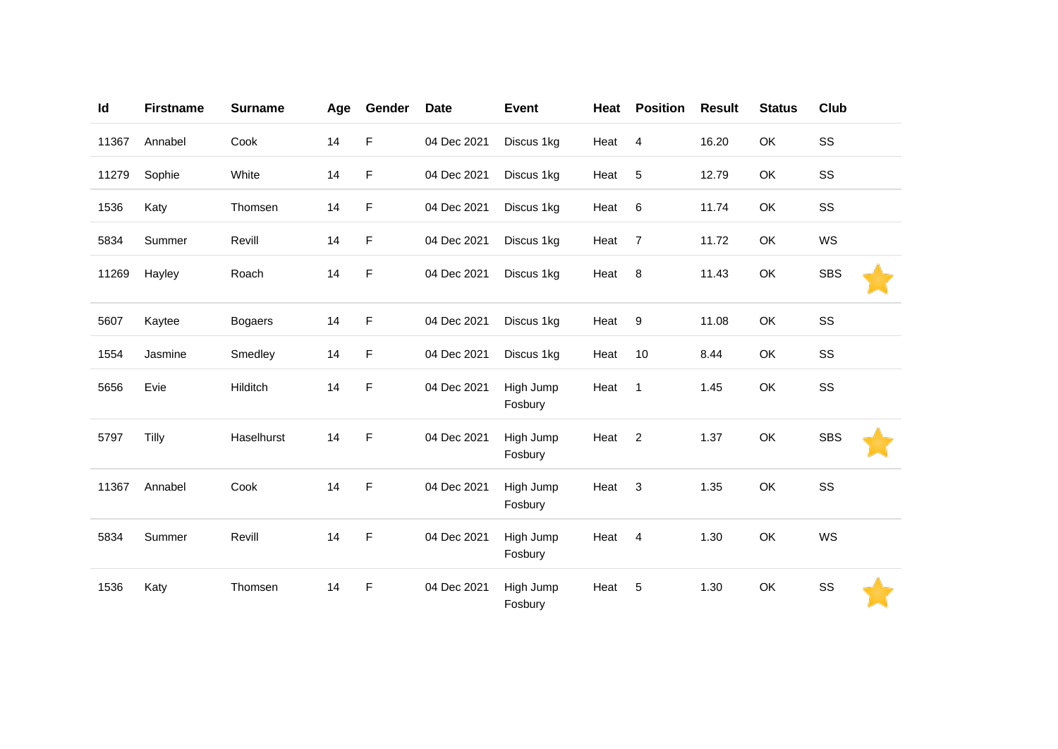| Id    | <b>Firstname</b> | <b>Surname</b> | Age | Gender | <b>Date</b> | <b>Event</b>         | Heat | <b>Position</b>  | <b>Result</b> | <b>Status</b> | Club       |
|-------|------------------|----------------|-----|--------|-------------|----------------------|------|------------------|---------------|---------------|------------|
| 11367 | Annabel          | Cook           | 14  | F      | 04 Dec 2021 | Discus 1kg           | Heat | $\overline{4}$   | 16.20         | OK            | SS         |
| 11279 | Sophie           | White          | 14  | F      | 04 Dec 2021 | Discus 1kg           | Heat | $\sqrt{5}$       | 12.79         | OK            | SS         |
| 1536  | Katy             | Thomsen        | 14  | F      | 04 Dec 2021 | Discus 1kg           | Heat | $\,6$            | 11.74         | OK            | SS         |
| 5834  | Summer           | Revill         | 14  | F      | 04 Dec 2021 | Discus 1kg           | Heat | $\overline{7}$   | 11.72         | OK            | WS         |
| 11269 | Hayley           | Roach          | 14  | F      | 04 Dec 2021 | Discus 1kg           | Heat | 8                | 11.43         | OK            | <b>SBS</b> |
| 5607  | Kaytee           | <b>Bogaers</b> | 14  | F      | 04 Dec 2021 | Discus 1kg           | Heat | $\boldsymbol{9}$ | 11.08         | OK            | SS         |
| 1554  | Jasmine          | Smedley        | 14  | F      | 04 Dec 2021 | Discus 1kg           | Heat | 10               | 8.44          | OK            | SS         |
| 5656  | Evie             | Hilditch       | 14  | F      | 04 Dec 2021 | High Jump<br>Fosbury | Heat | $\mathbf{1}$     | 1.45          | OK            | SS         |
| 5797  | Tilly            | Haselhurst     | 14  | F      | 04 Dec 2021 | High Jump<br>Fosbury | Heat | $\overline{2}$   | 1.37          | OK            | <b>SBS</b> |
| 11367 | Annabel          | Cook           | 14  | F      | 04 Dec 2021 | High Jump<br>Fosbury | Heat | $\sqrt{3}$       | 1.35          | OK            | SS         |
| 5834  | Summer           | Revill         | 14  | F      | 04 Dec 2021 | High Jump<br>Fosbury | Heat | 4                | 1.30          | OK            | WS         |
| 1536  | Katy             | Thomsen        | 14  | F      | 04 Dec 2021 | High Jump<br>Fosbury | Heat | 5                | 1.30          | OK            | SS         |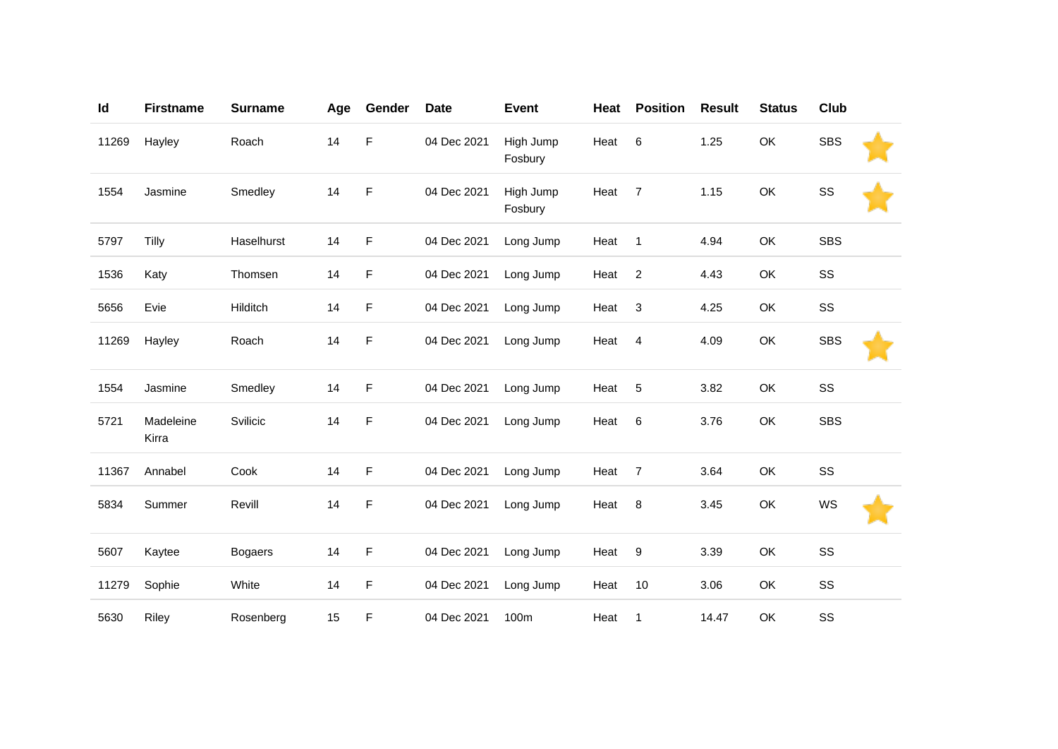| Id    | <b>Firstname</b>   | <b>Surname</b> | Age | Gender      | <b>Date</b> | <b>Event</b>         | Heat | <b>Position</b> | <b>Result</b> | <b>Status</b> | Club       |  |
|-------|--------------------|----------------|-----|-------------|-------------|----------------------|------|-----------------|---------------|---------------|------------|--|
| 11269 | Hayley             | Roach          | 14  | F           | 04 Dec 2021 | High Jump<br>Fosbury | Heat | 6               | 1.25          | OK            | <b>SBS</b> |  |
| 1554  | Jasmine            | Smedley        | 14  | F           | 04 Dec 2021 | High Jump<br>Fosbury | Heat | $\overline{7}$  | 1.15          | OK            | SS         |  |
| 5797  | Tilly              | Haselhurst     | 14  | $\mathsf F$ | 04 Dec 2021 | Long Jump            | Heat | $\mathbf{1}$    | 4.94          | OK            | <b>SBS</b> |  |
| 1536  | Katy               | Thomsen        | 14  | F           | 04 Dec 2021 | Long Jump            | Heat | $\sqrt{2}$      | 4.43          | OK            | SS         |  |
| 5656  | Evie               | Hilditch       | 14  | F           | 04 Dec 2021 | Long Jump            | Heat | 3               | 4.25          | OK            | SS         |  |
| 11269 | Hayley             | Roach          | 14  | $\mathsf F$ | 04 Dec 2021 | Long Jump            | Heat | $\overline{4}$  | 4.09          | OK            | <b>SBS</b> |  |
| 1554  | Jasmine            | Smedley        | 14  | F           | 04 Dec 2021 | Long Jump            | Heat | 5               | 3.82          | OK            | SS         |  |
| 5721  | Madeleine<br>Kirra | Svilicic       | 14  | F           | 04 Dec 2021 | Long Jump            | Heat | $\,6$           | 3.76          | OK            | <b>SBS</b> |  |
| 11367 | Annabel            | Cook           | 14  | F           | 04 Dec 2021 | Long Jump            | Heat | $\overline{7}$  | 3.64          | OK            | SS         |  |
| 5834  | Summer             | Revill         | 14  | F           | 04 Dec 2021 | Long Jump            | Heat | 8               | 3.45          | OK            | WS         |  |
| 5607  | Kaytee             | <b>Bogaers</b> | 14  | $\mathsf F$ | 04 Dec 2021 | Long Jump            | Heat | 9               | 3.39          | OK            | SS         |  |
| 11279 | Sophie             | White          | 14  | F           | 04 Dec 2021 | Long Jump            | Heat | 10              | 3.06          | OK            | SS         |  |
| 5630  | Riley              | Rosenberg      | 15  | F           | 04 Dec 2021 | 100m                 | Heat | $\mathbf{1}$    | 14.47         | OK            | SS         |  |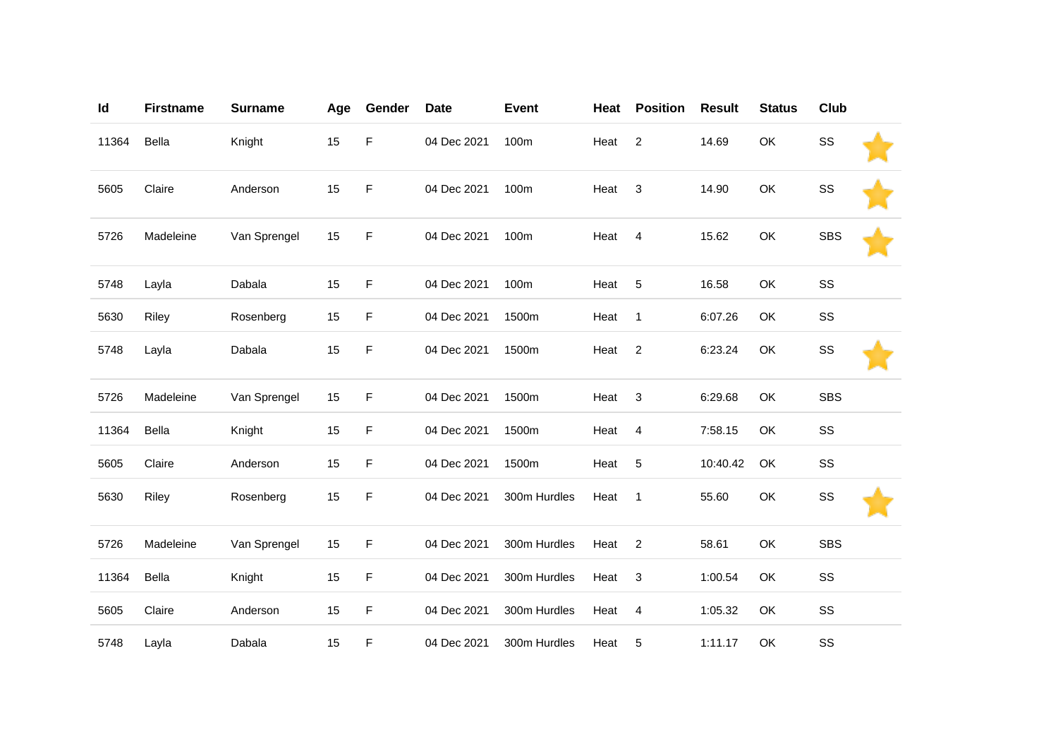| Id    | <b>Firstname</b> | <b>Surname</b> | Age | Gender | <b>Date</b> | <b>Event</b> | Heat | <b>Position</b> | <b>Result</b> | <b>Status</b> | Club       |  |
|-------|------------------|----------------|-----|--------|-------------|--------------|------|-----------------|---------------|---------------|------------|--|
| 11364 | Bella            | Knight         | 15  | F      | 04 Dec 2021 | 100m         | Heat | $\overline{2}$  | 14.69         | OK            | SS         |  |
| 5605  | Claire           | Anderson       | 15  | F      | 04 Dec 2021 | 100m         | Heat | 3               | 14.90         | OK            | SS         |  |
| 5726  | Madeleine        | Van Sprengel   | 15  | F      | 04 Dec 2021 | 100m         | Heat | $\overline{4}$  | 15.62         | OK            | <b>SBS</b> |  |
| 5748  | Layla            | Dabala         | 15  | F      | 04 Dec 2021 | 100m         | Heat | 5               | 16.58         | OK            | SS         |  |
| 5630  | Riley            | Rosenberg      | 15  | F      | 04 Dec 2021 | 1500m        | Heat | $\mathbf{1}$    | 6:07.26       | OK            | SS         |  |
| 5748  | Layla            | Dabala         | 15  | F      | 04 Dec 2021 | 1500m        | Heat | $\overline{c}$  | 6:23.24       | OK            | SS         |  |
| 5726  | Madeleine        | Van Sprengel   | 15  | F      | 04 Dec 2021 | 1500m        | Heat | 3               | 6:29.68       | OK            | <b>SBS</b> |  |
| 11364 | Bella            | Knight         | 15  | F      | 04 Dec 2021 | 1500m        | Heat | $\overline{4}$  | 7:58.15       | OK            | SS         |  |
| 5605  | Claire           | Anderson       | 15  | F      | 04 Dec 2021 | 1500m        | Heat | 5               | 10:40.42      | OK            | SS         |  |
| 5630  | Riley            | Rosenberg      | 15  | F      | 04 Dec 2021 | 300m Hurdles | Heat | $\mathbf{1}$    | 55.60         | OK            | SS         |  |
| 5726  | Madeleine        | Van Sprengel   | 15  | F      | 04 Dec 2021 | 300m Hurdles | Heat | $\overline{c}$  | 58.61         | OK            | <b>SBS</b> |  |
| 11364 | Bella            | Knight         | 15  | F      | 04 Dec 2021 | 300m Hurdles | Heat | 3               | 1:00.54       | OK            | SS         |  |
| 5605  | Claire           | Anderson       | 15  | F      | 04 Dec 2021 | 300m Hurdles | Heat | $\overline{4}$  | 1:05.32       | OK            | SS         |  |
| 5748  | Layla            | Dabala         | 15  | F      | 04 Dec 2021 | 300m Hurdles | Heat | 5               | 1:11.17       | OK            | SS         |  |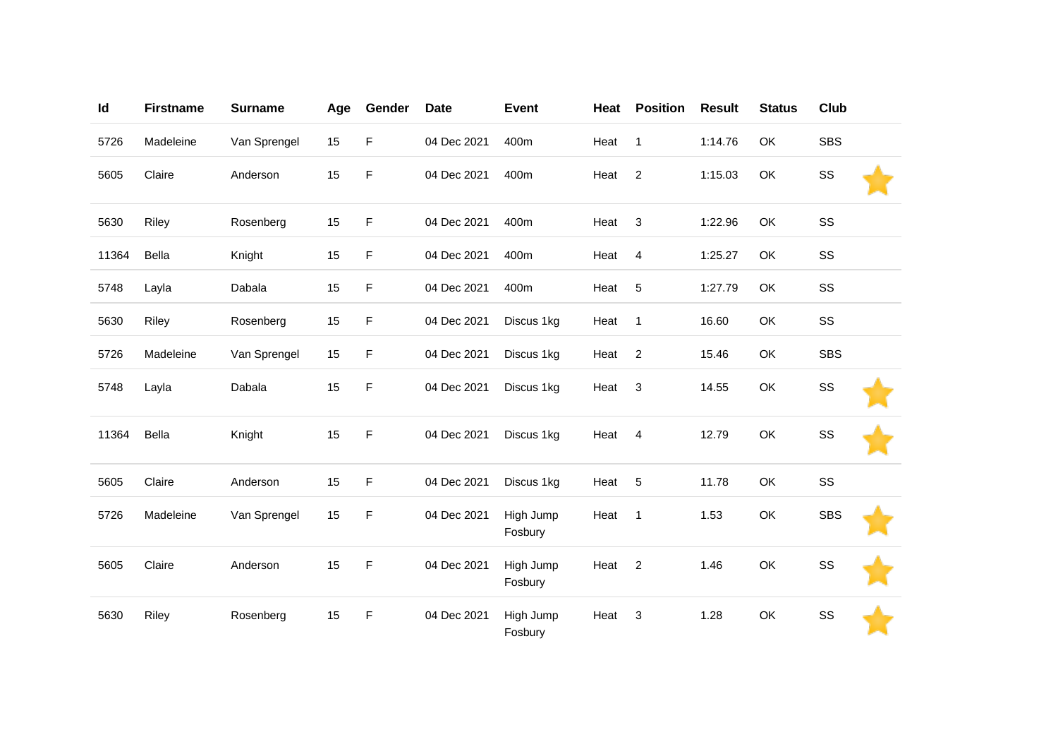| Id    | <b>Firstname</b> | <b>Surname</b> | Age | Gender      | <b>Date</b> | <b>Event</b>         | Heat | <b>Position</b> | <b>Result</b> | <b>Status</b> | Club       |  |
|-------|------------------|----------------|-----|-------------|-------------|----------------------|------|-----------------|---------------|---------------|------------|--|
| 5726  | Madeleine        | Van Sprengel   | 15  | F           | 04 Dec 2021 | 400m                 | Heat | $\mathbf{1}$    | 1:14.76       | OK            | <b>SBS</b> |  |
| 5605  | Claire           | Anderson       | 15  | F           | 04 Dec 2021 | 400m                 | Heat | $\overline{c}$  | 1:15.03       | OK            | SS         |  |
| 5630  | Riley            | Rosenberg      | 15  | F           | 04 Dec 2021 | 400m                 | Heat | 3               | 1:22.96       | OK            | SS         |  |
| 11364 | Bella            | Knight         | 15  | F           | 04 Dec 2021 | 400m                 | Heat | $\overline{4}$  | 1:25.27       | OK            | SS         |  |
| 5748  | Layla            | Dabala         | 15  | F           | 04 Dec 2021 | 400m                 | Heat | 5               | 1:27.79       | OK            | SS         |  |
| 5630  | Riley            | Rosenberg      | 15  | F           | 04 Dec 2021 | Discus 1kg           | Heat | $\overline{1}$  | 16.60         | OK            | SS         |  |
| 5726  | Madeleine        | Van Sprengel   | 15  | F           | 04 Dec 2021 | Discus 1kg           | Heat | $\overline{2}$  | 15.46         | OK            | <b>SBS</b> |  |
| 5748  | Layla            | Dabala         | 15  | $\mathsf F$ | 04 Dec 2021 | Discus 1kg           | Heat | 3               | 14.55         | OK            | SS         |  |
| 11364 | Bella            | Knight         | 15  | F           | 04 Dec 2021 | Discus 1kg           | Heat | $\overline{4}$  | 12.79         | OK            | SS         |  |
| 5605  | Claire           | Anderson       | 15  | F           | 04 Dec 2021 | Discus 1kg           | Heat | 5               | 11.78         | OK            | SS         |  |
| 5726  | Madeleine        | Van Sprengel   | 15  | F           | 04 Dec 2021 | High Jump<br>Fosbury | Heat | $\overline{1}$  | 1.53          | OK            | <b>SBS</b> |  |
| 5605  | Claire           | Anderson       | 15  | F           | 04 Dec 2021 | High Jump<br>Fosbury | Heat | $\overline{2}$  | 1.46          | OK            | SS         |  |
| 5630  | Riley            | Rosenberg      | 15  | F           | 04 Dec 2021 | High Jump<br>Fosbury | Heat | 3               | 1.28          | OK            | SS         |  |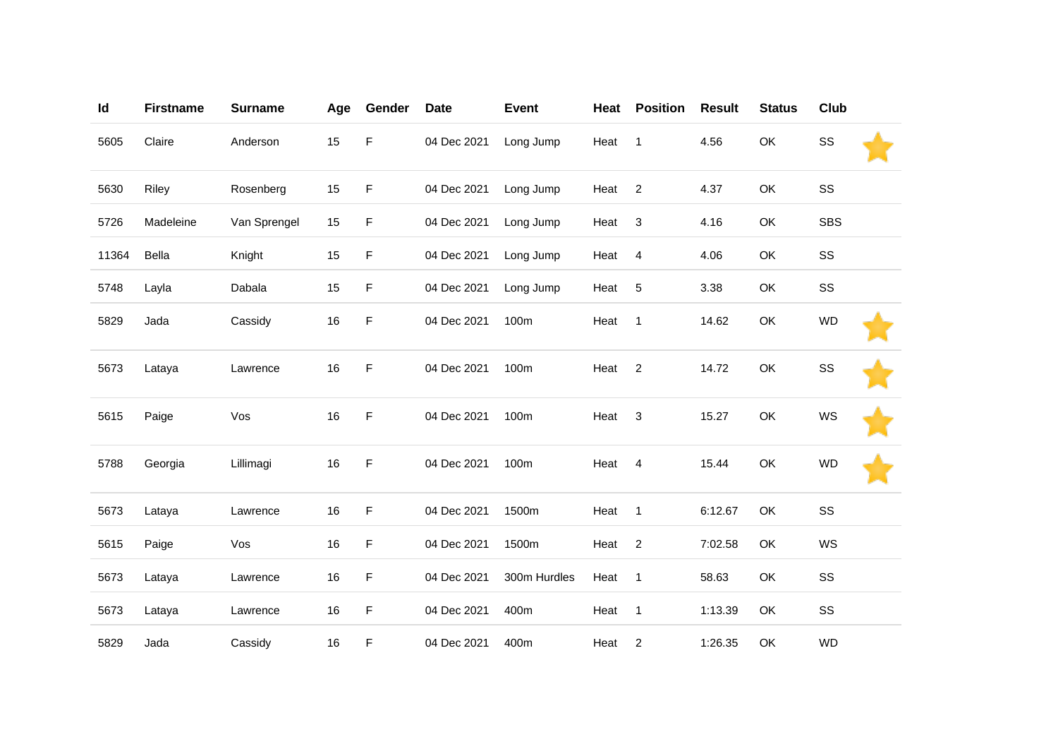| Id    | <b>Firstname</b> | <b>Surname</b> | Age | Gender | <b>Date</b> | <b>Event</b> | Heat | <b>Position</b> | <b>Result</b> | <b>Status</b> | <b>Club</b> |  |
|-------|------------------|----------------|-----|--------|-------------|--------------|------|-----------------|---------------|---------------|-------------|--|
| 5605  | Claire           | Anderson       | 15  | F      | 04 Dec 2021 | Long Jump    | Heat | $\mathbf{1}$    | 4.56          | OK            | SS          |  |
| 5630  | Riley            | Rosenberg      | 15  | F      | 04 Dec 2021 | Long Jump    | Heat | $\overline{2}$  | 4.37          | OK            | SS          |  |
| 5726  | Madeleine        | Van Sprengel   | 15  | F      | 04 Dec 2021 | Long Jump    | Heat | 3               | 4.16          | OK            | <b>SBS</b>  |  |
| 11364 | Bella            | Knight         | 15  | F      | 04 Dec 2021 | Long Jump    | Heat | $\overline{4}$  | 4.06          | OK            | SS          |  |
| 5748  | Layla            | Dabala         | 15  | F      | 04 Dec 2021 | Long Jump    | Heat | 5               | 3.38          | OK            | SS          |  |
| 5829  | Jada             | Cassidy        | 16  | F      | 04 Dec 2021 | 100m         | Heat | $\mathbf{1}$    | 14.62         | OK            | <b>WD</b>   |  |
| 5673  | Lataya           | Lawrence       | 16  | F      | 04 Dec 2021 | 100m         | Heat | $\overline{2}$  | 14.72         | OK            | SS          |  |
| 5615  | Paige            | Vos            | 16  | F      | 04 Dec 2021 | 100m         | Heat | 3               | 15.27         | OK            | <b>WS</b>   |  |
| 5788  | Georgia          | Lillimagi      | 16  | F      | 04 Dec 2021 | 100m         | Heat | $\overline{4}$  | 15.44         | OK            | <b>WD</b>   |  |
| 5673  | Lataya           | Lawrence       | 16  | F      | 04 Dec 2021 | 1500m        | Heat | $\mathbf{1}$    | 6:12.67       | OK            | SS          |  |
| 5615  | Paige            | Vos            | 16  | F      | 04 Dec 2021 | 1500m        | Heat | $\sqrt{2}$      | 7:02.58       | OK            | WS          |  |
| 5673  | Lataya           | Lawrence       | 16  | F      | 04 Dec 2021 | 300m Hurdles | Heat | $\mathbf{1}$    | 58.63         | OK            | SS          |  |
| 5673  | Lataya           | Lawrence       | 16  | F      | 04 Dec 2021 | 400m         | Heat | $\mathbf{1}$    | 1:13.39       | OK            | SS          |  |
| 5829  | Jada             | Cassidy        | 16  | F      | 04 Dec 2021 | 400m         | Heat | $\overline{c}$  | 1:26.35       | OK            | <b>WD</b>   |  |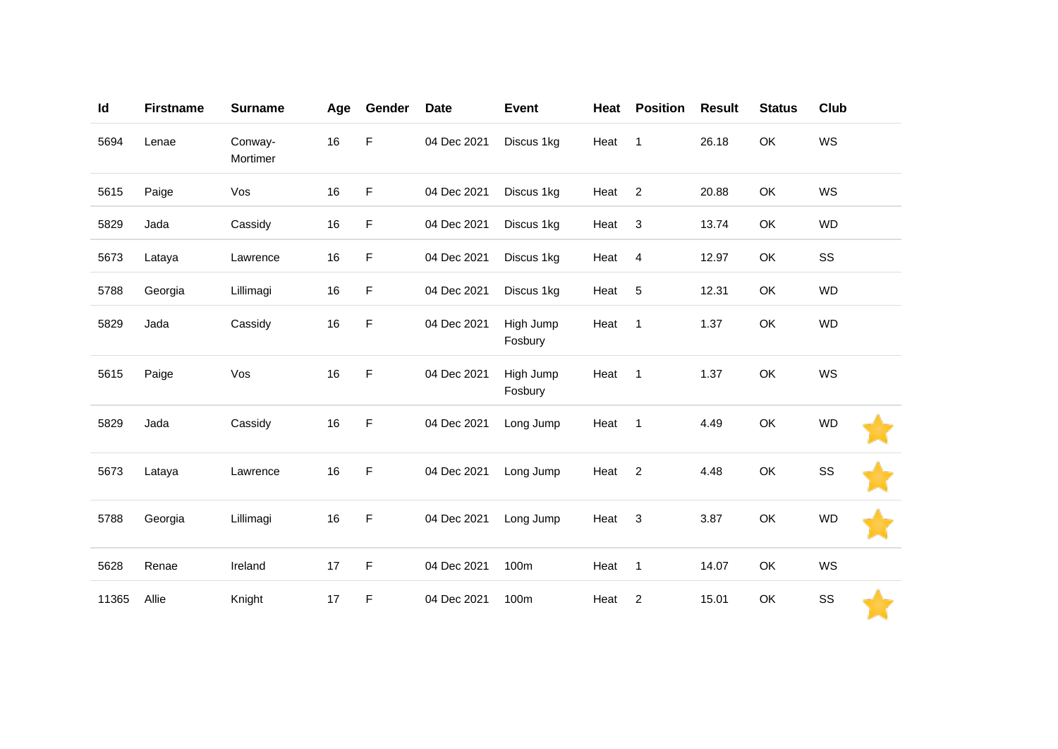| Id    | <b>Firstname</b> | <b>Surname</b>      | Age    | Gender | <b>Date</b> | <b>Event</b>         | Heat | <b>Position</b> | <b>Result</b> | <b>Status</b> | Club      |
|-------|------------------|---------------------|--------|--------|-------------|----------------------|------|-----------------|---------------|---------------|-----------|
| 5694  | Lenae            | Conway-<br>Mortimer | $16\,$ | F      | 04 Dec 2021 | Discus 1kg           | Heat | $\mathbf{1}$    | 26.18         | OK            | WS        |
| 5615  | Paige            | Vos                 | 16     | F      | 04 Dec 2021 | Discus 1kg           | Heat | $\overline{2}$  | 20.88         | OK            | WS        |
| 5829  | Jada             | Cassidy             | 16     | F      | 04 Dec 2021 | Discus 1kg           | Heat | 3               | 13.74         | OK            | <b>WD</b> |
| 5673  | Lataya           | Lawrence            | 16     | F      | 04 Dec 2021 | Discus 1kg           | Heat | $\overline{4}$  | 12.97         | OK            | SS        |
| 5788  | Georgia          | Lillimagi           | 16     | F      | 04 Dec 2021 | Discus 1kg           | Heat | $\sqrt{5}$      | 12.31         | OK            | <b>WD</b> |
| 5829  | Jada             | Cassidy             | 16     | F      | 04 Dec 2021 | High Jump<br>Fosbury | Heat | $\mathbf{1}$    | 1.37          | OK            | <b>WD</b> |
| 5615  | Paige            | Vos                 | $16\,$ | F      | 04 Dec 2021 | High Jump<br>Fosbury | Heat | $\mathbf{1}$    | 1.37          | OK            | WS        |
| 5829  | Jada             | Cassidy             | 16     | F      | 04 Dec 2021 | Long Jump            | Heat | $\mathbf{1}$    | 4.49          | OK            | <b>WD</b> |
| 5673  | Lataya           | Lawrence            | 16     | F      | 04 Dec 2021 | Long Jump            | Heat | $\overline{2}$  | 4.48          | OK            | SS        |
| 5788  | Georgia          | Lillimagi           | 16     | F      | 04 Dec 2021 | Long Jump            | Heat | 3               | 3.87          | OK            | <b>WD</b> |
| 5628  | Renae            | Ireland             | 17     | F      | 04 Dec 2021 | 100m                 | Heat | $\mathbf{1}$    | 14.07         | OK            | <b>WS</b> |
| 11365 | Allie            | Knight              | 17     | F      | 04 Dec 2021 | 100m                 | Heat | $\overline{c}$  | 15.01         | OK            | SS        |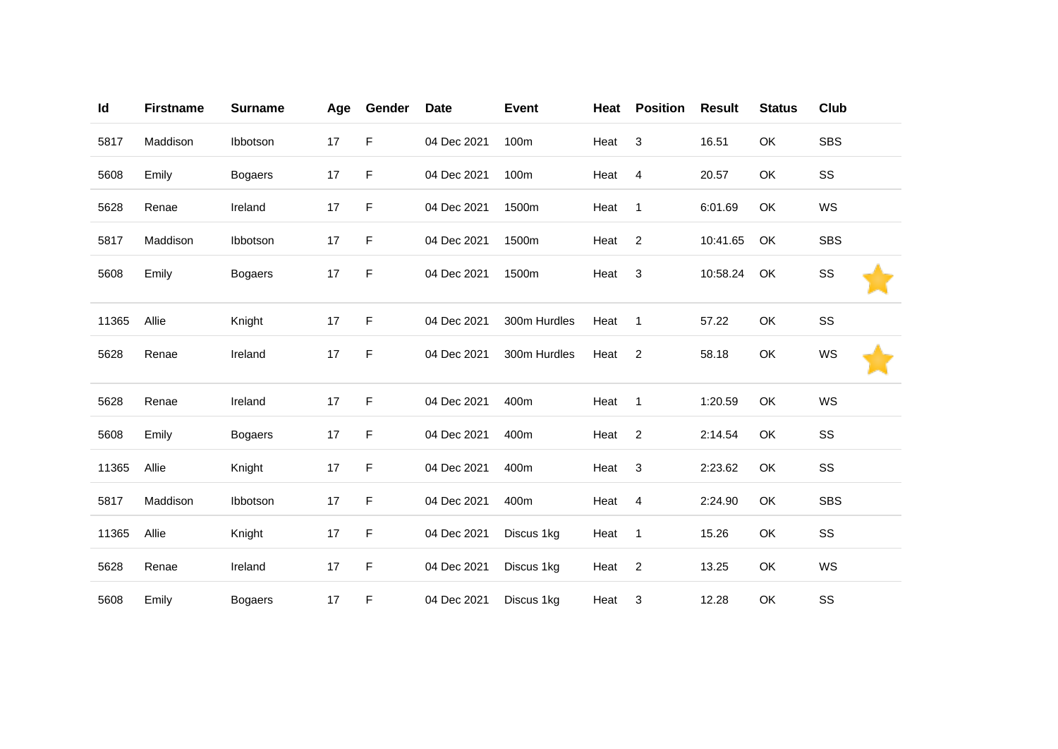| Id    | <b>Firstname</b> | <b>Surname</b> | Age | Gender | <b>Date</b> | <b>Event</b> | Heat | <b>Position</b> | <b>Result</b> | <b>Status</b> | <b>Club</b> |
|-------|------------------|----------------|-----|--------|-------------|--------------|------|-----------------|---------------|---------------|-------------|
| 5817  | Maddison         | Ibbotson       | 17  | F      | 04 Dec 2021 | 100m         | Heat | $\sqrt{3}$      | 16.51         | OK            | <b>SBS</b>  |
| 5608  | Emily            | <b>Bogaers</b> | 17  | F      | 04 Dec 2021 | 100m         | Heat | $\overline{4}$  | 20.57         | OK            | SS          |
| 5628  | Renae            | Ireland        | 17  | F      | 04 Dec 2021 | 1500m        | Heat | $\mathbf{1}$    | 6:01.69       | <b>OK</b>     | WS          |
| 5817  | Maddison         | Ibbotson       | 17  | F      | 04 Dec 2021 | 1500m        | Heat | $\overline{2}$  | 10:41.65      | OK            | <b>SBS</b>  |
| 5608  | Emily            | <b>Bogaers</b> | 17  | F      | 04 Dec 2021 | 1500m        | Heat | 3               | 10:58.24      | OK            | SS          |
| 11365 | Allie            | Knight         | 17  | F      | 04 Dec 2021 | 300m Hurdles | Heat | $\mathbf{1}$    | 57.22         | OK            | SS          |
| 5628  | Renae            | Ireland        | 17  | F      | 04 Dec 2021 | 300m Hurdles | Heat | $\overline{c}$  | 58.18         | OK            | WS          |
| 5628  | Renae            | Ireland        | 17  | F      | 04 Dec 2021 | 400m         | Heat | $\overline{1}$  | 1:20.59       | OK            | WS          |
| 5608  | Emily            | <b>Bogaers</b> | 17  | F      | 04 Dec 2021 | 400m         | Heat | $\overline{2}$  | 2:14.54       | OK            | SS          |
| 11365 | Allie            | Knight         | 17  | F      | 04 Dec 2021 | 400m         | Heat | $\sqrt{3}$      | 2:23.62       | OK            | SS          |
| 5817  | Maddison         | Ibbotson       | 17  | F      | 04 Dec 2021 | 400m         | Heat | $\overline{4}$  | 2:24.90       | OK            | <b>SBS</b>  |
| 11365 | Allie            | Knight         | 17  | F      | 04 Dec 2021 | Discus 1kg   | Heat | $\mathbf{1}$    | 15.26         | OK            | SS          |
| 5628  | Renae            | Ireland        | 17  | F      | 04 Dec 2021 | Discus 1kg   | Heat | $\overline{2}$  | 13.25         | OK            | WS          |
| 5608  | Emily            | <b>Bogaers</b> | 17  | F      | 04 Dec 2021 | Discus 1kg   | Heat | 3               | 12.28         | OK            | SS          |